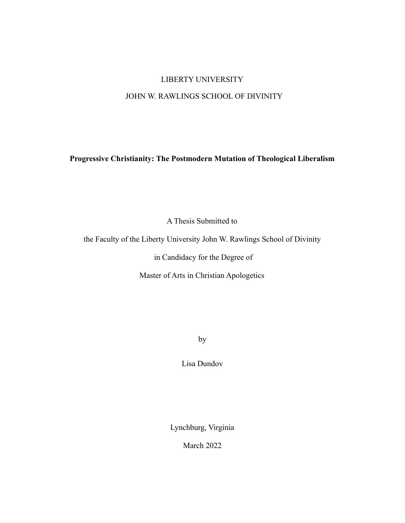# LIBERTY UNIVERSITY

## JOHN W. RAWLINGS SCHOOL OF DIVINITY

**Progressive Christianity: The Postmodern Mutation of Theological Liberalism**

A Thesis Submitted to

the Faculty of the Liberty University John W. Rawlings School of Divinity

in Candidacy for the Degree of

Master of Arts in Christian Apologetics

by

Lisa Dundov

Lynchburg, Virginia

March 2022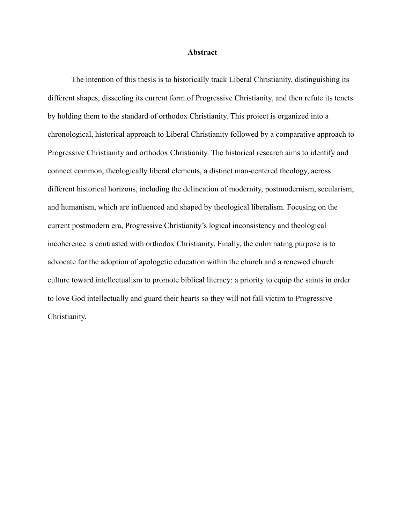#### **Abstract**

The intention of this thesis is to historically track Liberal Christianity, distinguishing its different shapes, dissecting its current form of Progressive Christianity, and then refute its tenets by holding them to the standard of orthodox Christianity. This project is organized into a chronological, historical approach to Liberal Christianity followed by a comparative approach to Progressive Christianity and orthodox Christianity. The historical research aims to identify and connect common, theologically liberal elements, a distinct man-centered theology, across different historical horizons, including the delineation of modernity, postmodernism, secularism, and humanism, which are influenced and shaped by theological liberalism. Focusing on the current postmodern era, Progressive Christianity's logical inconsistency and theological incoherence is contrasted with orthodox Christianity. Finally, the culminating purpose is to advocate for the adoption of apologetic education within the church and a renewed church culture toward intellectualism to promote biblical literacy: a priority to equip the saints in order to love God intellectually and guard their hearts so they will not fall victim to Progressive Christianity.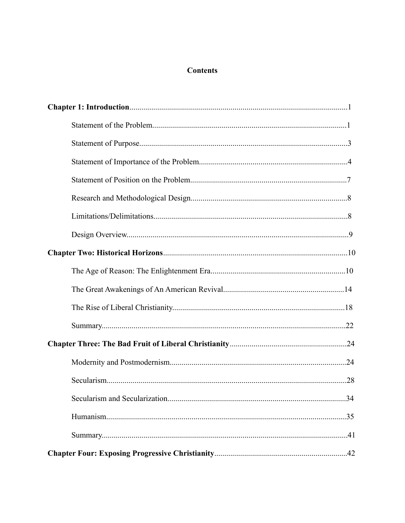## **Contents**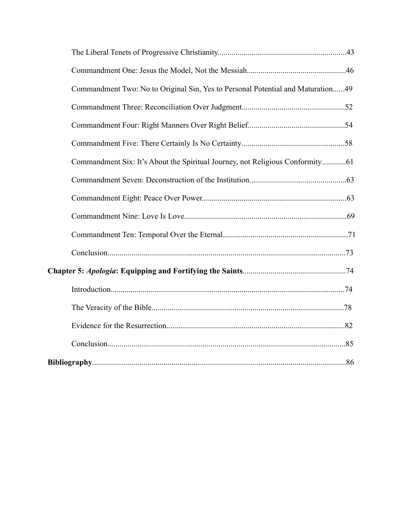| Commandment Two: No to Original Sin, Yes to Personal Potential and Maturation49 |  |
|---------------------------------------------------------------------------------|--|
|                                                                                 |  |
|                                                                                 |  |
|                                                                                 |  |
| Commandment Six: It's About the Spiritual Journey, not Religious Conformity61   |  |
|                                                                                 |  |
|                                                                                 |  |
|                                                                                 |  |
|                                                                                 |  |
|                                                                                 |  |
|                                                                                 |  |
|                                                                                 |  |
|                                                                                 |  |
|                                                                                 |  |
|                                                                                 |  |
|                                                                                 |  |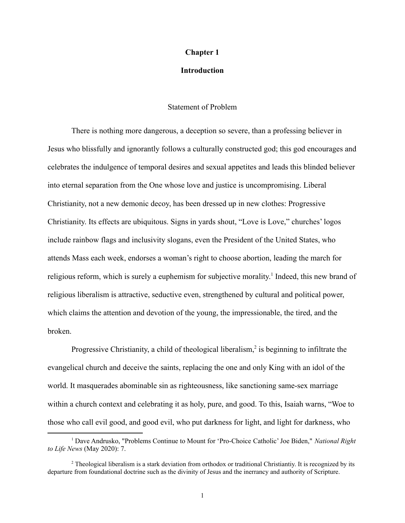#### **Chapter 1**

## **Introduction**

### Statement of Problem

There is nothing more dangerous, a deception so severe, than a professing believer in Jesus who blissfully and ignorantly follows a culturally constructed god; this god encourages and celebrates the indulgence of temporal desires and sexual appetites and leads this blinded believer into eternal separation from the One whose love and justice is uncompromising. Liberal Christianity, not a new demonic decoy, has been dressed up in new clothes: Progressive Christianity. Its effects are ubiquitous. Signs in yards shout, "Love is Love," churches' logos include rainbow flags and inclusivity slogans, even the President of the United States, who attends Mass each week, endorses a woman's right to choose abortion, leading the march for religious reform, which is surely a euphemism for subjective morality.<sup>1</sup> Indeed, this new brand of religious liberalism is attractive, seductive even, strengthened by cultural and political power, which claims the attention and devotion of the young, the impressionable, the tired, and the broken.

Progressive Christianity, a child of theological liberalism, $2$  is beginning to infiltrate the evangelical church and deceive the saints, replacing the one and only King with an idol of the world. It masquerades abominable sin as righteousness, like sanctioning same-sex marriage within a church context and celebrating it as holy, pure, and good. To this, Isaiah warns, "Woe to those who call evil good, and good evil, who put darkness for light, and light for darkness, who

<sup>1</sup> Dave Andrusko, "Problems Continue to Mount for 'Pro-Choice Catholic' Joe Biden," *National Right to Life News* (May 2020): 7.

<sup>&</sup>lt;sup>2</sup> Theological liberalism is a stark deviation from orthodox or traditional Christiantiy. It is recognized by its departure from foundational doctrine such as the divinity of Jesus and the inerrancy and authority of Scripture.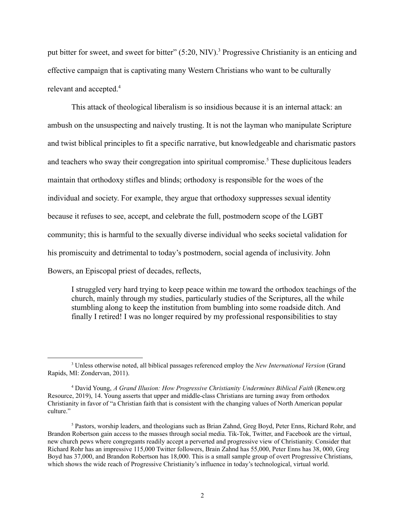put bitter for sweet, and sweet for bitter" (5:20, NIV).<sup>3</sup> Progressive Christianity is an enticing and effective campaign that is captivating many Western Christians who want to be culturally relevant and accepted.<sup>4</sup>

This attack of theological liberalism is so insidious because it is an internal attack: an ambush on the unsuspecting and naively trusting. It is not the layman who manipulate Scripture and twist biblical principles to fit a specific narrative, but knowledgeable and charismatic pastors and teachers who sway their congregation into spiritual compromise.<sup>5</sup> These duplicitous leaders maintain that orthodoxy stifles and blinds; orthodoxy is responsible for the woes of the individual and society. For example, they argue that orthodoxy suppresses sexual identity because it refuses to see, accept, and celebrate the full, postmodern scope of the LGBT community; this is harmful to the sexually diverse individual who seeks societal validation for his promiscuity and detrimental to today's postmodern, social agenda of inclusivity. John Bowers, an Episcopal priest of decades, reflects,

I struggled very hard trying to keep peace within me toward the orthodox teachings of the church, mainly through my studies, particularly studies of the Scriptures, all the while stumbling along to keep the institution from bumbling into some roadside ditch. And finally I retired! I was no longer required by my professional responsibilities to stay

<sup>3</sup> Unless otherwise noted, all biblical passages referenced employ the *New International Version* (Grand Rapids, MI: Zondervan, 2011).

<sup>4</sup> David Young, *A Grand Illusion: How Progressive Christianity Undermines Biblical Faith* (Renew.org Resource, 2019), 14. Young asserts that upper and middle-class Christians are turning away from orthodox Christianity in favor of "a Christian faith that is consistent with the changing values of North American popular culture."

<sup>5</sup> Pastors, worship leaders, and theologians such as Brian Zahnd, Greg Boyd, Peter Enns, Richard Rohr, and Brandon Robertson gain access to the masses through social media. Tik-Tok, Twitter, and Facebook are the virtual, new church pews where congregants readily accept a perverted and progressive view of Christianity. Consider that Richard Rohr has an impressive 115,000 Twitter followers, Brain Zahnd has 55,000, Peter Enns has 38, 000, Greg Boyd has 37,000, and Brandon Robertson has 18,000. This is a small sample group of overt Progressive Christians, which shows the wide reach of Progressive Christianity's influence in today's technological, virtual world.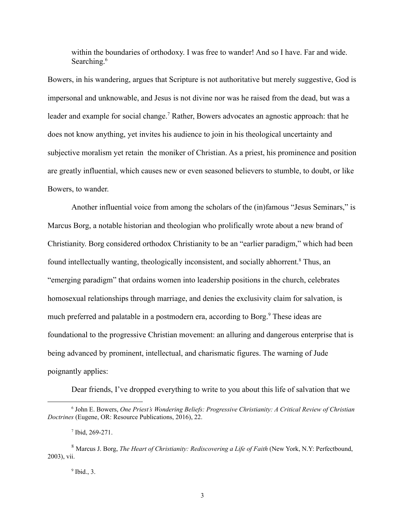within the boundaries of orthodoxy. I was free to wander! And so I have. Far and wide. Searching.<sup>6</sup>

Bowers, in his wandering, argues that Scripture is not authoritative but merely suggestive, God is impersonal and unknowable, and Jesus is not divine nor was he raised from the dead, but was a leader and example for social change.<sup>7</sup> Rather, Bowers advocates an agnostic approach: that he does not know anything, yet invites his audience to join in his theological uncertainty and subjective moralism yet retain the moniker of Christian. As a priest, his prominence and position are greatly influential, which causes new or even seasoned believers to stumble, to doubt, or like Bowers, to wander.

Another influential voice from among the scholars of the (in)famous "Jesus Seminars," is Marcus Borg, a notable historian and theologian who prolifically wrote about a new brand of Christianity. Borg considered orthodox Christianity to be an "earlier paradigm," which had been found intellectually wanting, theologically inconsistent, and socially abhorrent.<sup>8</sup> Thus, an "emerging paradigm" that ordains women into leadership positions in the church, celebrates homosexual relationships through marriage, and denies the exclusivity claim for salvation, is much preferred and palatable in a postmodern era, according to Borg.<sup>9</sup> These ideas are foundational to the progressive Christian movement: an alluring and dangerous enterprise that is being advanced by prominent, intellectual, and charismatic figures. The warning of Jude poignantly applies:

Dear friends, I've dropped everything to write to you about this life of salvation that we

<sup>6</sup> John E. Bowers, *One Priest's Wondering Beliefs: Progressive Christianity: A Critical Review of Christian Doctrines* (Eugene, OR: Resource Publications, 2016), 22.

<sup>7</sup> Ibid, 269-271.

<sup>8</sup> Marcus J. Borg, *The Heart of Christianity: Rediscovering a Life of Faith* (New York, N.Y: Perfectbound, 2003), vii.

 $<sup>9</sup>$  Ibid., 3.</sup>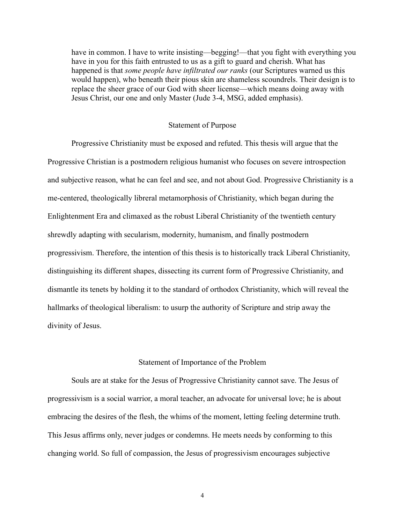have in common. I have to write insisting—begging!—that you fight with everything you have in you for this faith entrusted to us as a gift to guard and cherish. What has happened is that *some people have infiltrated our ranks* (our Scriptures warned us this would happen), who beneath their pious skin are shameless scoundrels. Their design is to replace the sheer grace of our God with sheer license—which means doing away with Jesus Christ, our one and only Master (Jude 3-4, MSG, added emphasis).

#### Statement of Purpose

Progressive Christianity must be exposed and refuted. This thesis will argue that the Progressive Christian is a postmodern religious humanist who focuses on severe introspection and subjective reason, what he can feel and see, and not about God. Progressive Christianity is a me-centered, theologically libreral metamorphosis of Christianity, which began during the Enlightenment Era and climaxed as the robust Liberal Christianity of the twentieth century shrewdly adapting with secularism, modernity, humanism, and finally postmodern progressivism. Therefore, the intention of this thesis is to historically track Liberal Christianity, distinguishing its different shapes, dissecting its current form of Progressive Christianity, and dismantle its tenets by holding it to the standard of orthodox Christianity, which will reveal the hallmarks of theological liberalism: to usurp the authority of Scripture and strip away the divinity of Jesus.

### Statement of Importance of the Problem

Souls are at stake for the Jesus of Progressive Christianity cannot save. The Jesus of progressivism is a social warrior, a moral teacher, an advocate for universal love; he is about embracing the desires of the flesh, the whims of the moment, letting feeling determine truth. This Jesus affirms only, never judges or condemns. He meets needs by conforming to this changing world. So full of compassion, the Jesus of progressivism encourages subjective

4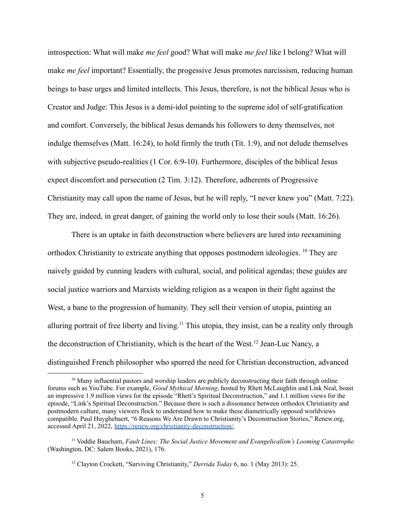introspection: What will make *me feel* good? What will make *me feel* like I belong? What will make *me feel* important? Essentially, the progessive Jesus promotes narcissism, reducing human beings to base urges and limited intellects. This Jesus, therefore, is not the biblical Jesus who is Creator and Judge: This Jesus is a demi-idol pointing to the supreme idol of self-gratification and comfort. Conversely, the biblical Jesus demands his followers to deny themselves, not indulge themselves (Matt. 16:24), to hold firmly the truth (Tit. 1:9), and not delude themselves with subjective pseudo-realities (1 Cor. 6:9-10). Furthermore, disciples of the biblical Jesus expect discomfort and persecution (2 Tim. 3:12). Therefore, adherents of Progressive Christianity may call upon the name of Jesus, but he will reply, "I never knew you" (Matt. 7:22). They are, indeed, in great danger, of gaining the world only to lose their souls (Matt. 16:26).

There is an uptake in faith deconstruction where believers are lured into reexamining orthodox Christianity to extricate anything that opposes postmodern ideologies. <sup>10</sup> They are naively guided by cunning leaders with cultural, social, and political agendas; these guides are social justice warriors and Marxists wielding religion as a weapon in their fight against the West, a bane to the progression of humanity. They sell their version of utopia, painting an alluring portrait of free liberty and living.<sup>11</sup> This utopia, they insist, can be a reality only through the deconstruction of Christianity, which is the heart of the West.<sup>12</sup> Jean-Luc Nancy, a distinguished French philosopher who spurred the need for Christian deconstruction, advanced

 $10$  Many influential pastors and worship leaders are publicly deconstructing their faith through online forums such as YouTube. For example, *Good Mythical Morning*, hosted by Rhett McLaughlin and Link Neal, boast an impressive 1.9 million views for the episode "Rhett's Spiritual Deconstruction," and 1.1 million views for the episode, "Link's Spiritual Deconstruction." Because there is such a dissonance between orthodox Christianity and postmodern culture, many viewers flock to understand how to make these diametrically opposed worldviews compatible. Paul Huyghebaert, "6 Reasons We Are Drawn to Christianity's Deconstruction Stories," Renew.org, accessed April 21, 2022, [https://renew.org/christianity-deconstruction/.](https://renew.org/christianity-deconstruction/)

<sup>11</sup> Voddie Baucham, *Fault Lines: The Social Justice Movement and Evangelicalism's Looming Catastrophe* (Washington, DC: Salem Books, 2021), 176.

<sup>12</sup> Clayton Crockett, "Surviving Christianity," *Derrida Today* 6, no. 1 (May 2013): 25.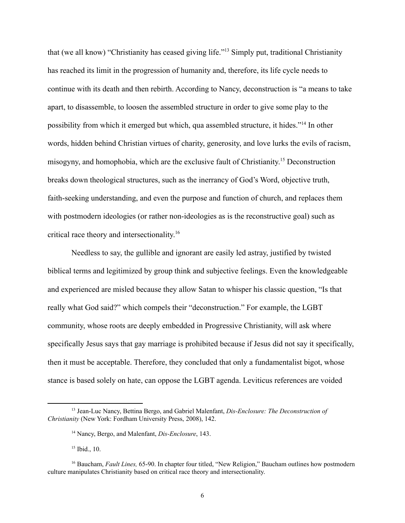that (we all know) "Christianity has ceased giving life."<sup>13</sup> Simply put, traditional Christianity has reached its limit in the progression of humanity and, therefore, its life cycle needs to continue with its death and then rebirth. According to Nancy, deconstruction is "a means to take apart, to disassemble, to loosen the assembled structure in order to give some play to the possibility from which it emerged but which, qua assembled structure, it hides."<sup>14</sup> In other words, hidden behind Christian virtues of charity, generosity, and love lurks the evils of racism, misogyny, and homophobia, which are the exclusive fault of Christianity. <sup>15</sup> Deconstruction breaks down theological structures, such as the inerrancy of God's Word, objective truth, faith-seeking understanding, and even the purpose and function of church, and replaces them with postmodern ideologies (or rather non-ideologies as is the reconstructive goal) such as critical race theory and intersectionality. 16

Needless to say, the gullible and ignorant are easily led astray, justified by twisted biblical terms and legitimized by group think and subjective feelings. Even the knowledgeable and experienced are misled because they allow Satan to whisper his classic question, "Is that really what God said?" which compels their "deconstruction." For example, the LGBT community, whose roots are deeply embedded in Progressive Christianity, will ask where specifically Jesus says that gay marriage is prohibited because if Jesus did not say it specifically, then it must be acceptable. Therefore, they concluded that only a fundamentalist bigot, whose stance is based solely on hate, can oppose the LGBT agenda. Leviticus references are voided

<sup>13</sup> Jean-Luc Nancy, Bettina Bergo, and Gabriel Malenfant, *Dis-Enclosure: The Deconstruction of Christianity* (New York: Fordham University Press, 2008), 142.

<sup>14</sup> Nancy, Bergo, and Malenfant, *Dis-Enclosure*, 143.

 $15$  Ibid., 10.

<sup>&</sup>lt;sup>16</sup> Baucham, *Fault Lines*, 65-90. In chapter four titled, "New Religion," Baucham outlines how postmodern culture manipulates Christianity based on critical race theory and intersectionality.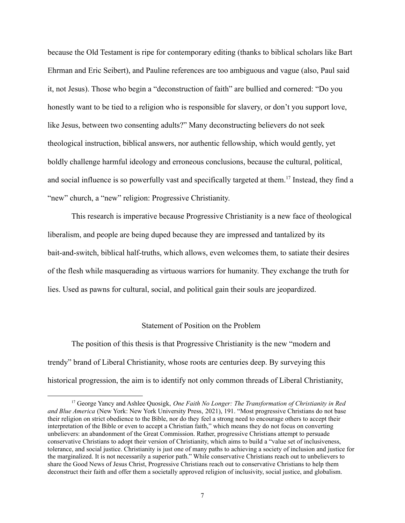because the Old Testament is ripe for contemporary editing (thanks to biblical scholars like Bart Ehrman and Eric Seibert), and Pauline references are too ambiguous and vague (also, Paul said it, not Jesus). Those who begin a "deconstruction of faith" are bullied and cornered: "Do you honestly want to be tied to a religion who is responsible for slavery, or don't you support love, like Jesus, between two consenting adults?" Many deconstructing believers do not seek theological instruction, biblical answers, nor authentic fellowship, which would gently, yet boldly challenge harmful ideology and erroneous conclusions, because the cultural, political, and social influence is so powerfully vast and specifically targeted at them.<sup>17</sup> Instead, they find a "new" church, a "new" religion: Progressive Christianity.

This research is imperative because Progressive Christianity is a new face of theological liberalism, and people are being duped because they are impressed and tantalized by its bait-and-switch, biblical half-truths, which allows, even welcomes them, to satiate their desires of the flesh while masquerading as virtuous warriors for humanity. They exchange the truth for lies. Used as pawns for cultural, social, and political gain their souls are jeopardized.

#### Statement of Position on the Problem

The position of this thesis is that Progressive Christianity is the new "modern and trendy" brand of Liberal Christianity, whose roots are centuries deep. By surveying this historical progression, the aim is to identify not only common threads of Liberal Christianity,

<sup>17</sup> George Yancy and Ashlee Quosigk, *One Faith No Longer: The Transformation of Christianity in Red and Blue America* (New York: New York University Press, 2021), 191. "Most progressive Christians do not base their religion on strict obedience to the Bible, nor do they feel a strong need to encourage others to accept their interpretation of the Bible or even to accept a Christian faith," which means they do not focus on converting unbelievers: an abandonment of the Great Commission. Rather, progressive Christians attempt to persuade conservative Christians to adopt their version of Christianity, which aims to build a "value set of inclusiveness, tolerance, and social justice. Christianity is just one of many paths to achieving a society of inclusion and justice for the marginalized. It is not necessarily a superior path." While conservative Christians reach out to unbelievers to share the Good News of Jesus Christ, Progressive Christians reach out to conservative Christians to help them deconstruct their faith and offer them a societally approved religion of inclusivity, social justice, and globalism.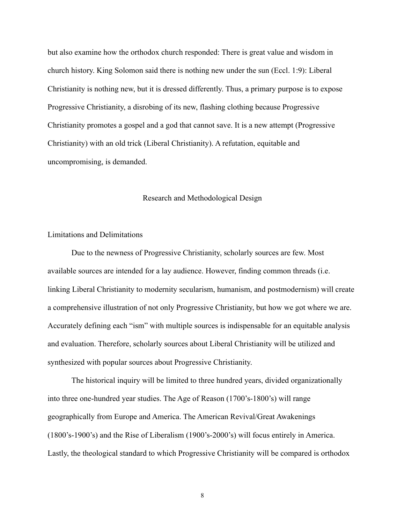but also examine how the orthodox church responded: There is great value and wisdom in church history. King Solomon said there is nothing new under the sun (Eccl. 1:9): Liberal Christianity is nothing new, but it is dressed differently. Thus, a primary purpose is to expose Progressive Christianity, a disrobing of its new, flashing clothing because Progressive Christianity promotes a gospel and a god that cannot save. It is a new attempt (Progressive Christianity) with an old trick (Liberal Christianity). A refutation, equitable and uncompromising, is demanded.

### Research and Methodological Design

#### Limitations and Delimitations

Due to the newness of Progressive Christianity, scholarly sources are few. Most available sources are intended for a lay audience. However, finding common threads (i.e. linking Liberal Christianity to modernity secularism, humanism, and postmodernism) will create a comprehensive illustration of not only Progressive Christianity, but how we got where we are. Accurately defining each "ism" with multiple sources is indispensable for an equitable analysis and evaluation. Therefore, scholarly sources about Liberal Christianity will be utilized and synthesized with popular sources about Progressive Christianity.

The historical inquiry will be limited to three hundred years, divided organizationally into three one-hundred year studies. The Age of Reason (1700's-1800's) will range geographically from Europe and America. The American Revival/Great Awakenings (1800's-1900's) and the Rise of Liberalism (1900's-2000's) will focus entirely in America. Lastly, the theological standard to which Progressive Christianity will be compared is orthodox

8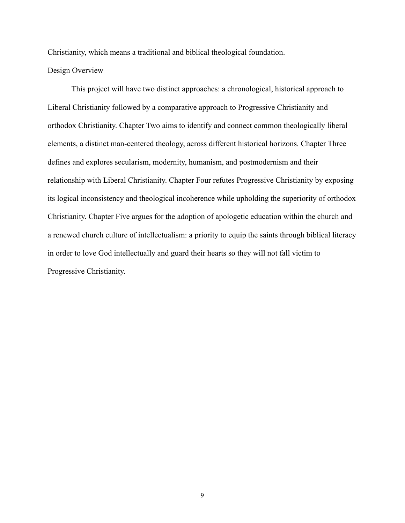Christianity, which means a traditional and biblical theological foundation.

## Design Overview

This project will have two distinct approaches: a chronological, historical approach to Liberal Christianity followed by a comparative approach to Progressive Christianity and orthodox Christianity. Chapter Two aims to identify and connect common theologically liberal elements, a distinct man-centered theology, across different historical horizons. Chapter Three defines and explores secularism, modernity, humanism, and postmodernism and their relationship with Liberal Christianity. Chapter Four refutes Progressive Christianity by exposing its logical inconsistency and theological incoherence while upholding the superiority of orthodox Christianity. Chapter Five argues for the adoption of apologetic education within the church and a renewed church culture of intellectualism: a priority to equip the saints through biblical literacy in order to love God intellectually and guard their hearts so they will not fall victim to Progressive Christianity.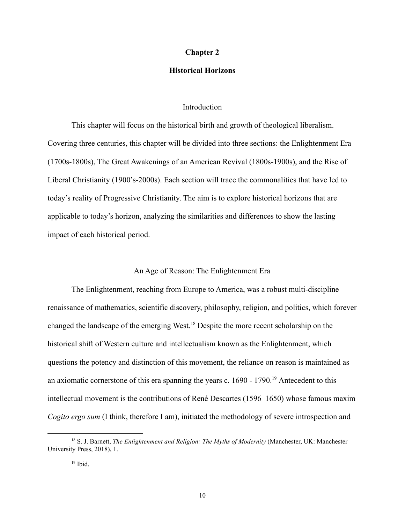#### **Chapter 2**

## **Historical Horizons**

### **Introduction**

This chapter will focus on the historical birth and growth of theological liberalism. Covering three centuries, this chapter will be divided into three sections: the Enlightenment Era (1700s-1800s), The Great Awakenings of an American Revival (1800s-1900s), and the Rise of Liberal Christianity (1900's-2000s). Each section will trace the commonalities that have led to today's reality of Progressive Christianity. The aim is to explore historical horizons that are applicable to today's horizon, analyzing the similarities and differences to show the lasting impact of each historical period.

#### An Age of Reason: The Enlightenment Era

The Enlightenment, reaching from Europe to America, was a robust multi-discipline renaissance of mathematics, scientific discovery, philosophy, religion, and politics, which forever changed the landscape of the emerging West.<sup>18</sup> Despite the more recent scholarship on the historical shift of Western culture and intellectualism known as the Enlightenment, which questions the potency and distinction of this movement, the reliance on reason is maintained as an axiomatic cornerstone of this era spanning the years c.  $1690 - 1790$ .<sup>19</sup> Antecedent to this intellectual movement is the contributions of René Descartes (1596–1650) whose famous maxim *Cogito ergo sum* (I think, therefore I am), initiated the methodology of severe introspection and

<sup>18</sup> S. J. Barnett, *The Enlightenment and Religion: The Myths of Modernity* (Manchester, UK: Manchester University Press, 2018), 1.

 $19$  Ibid.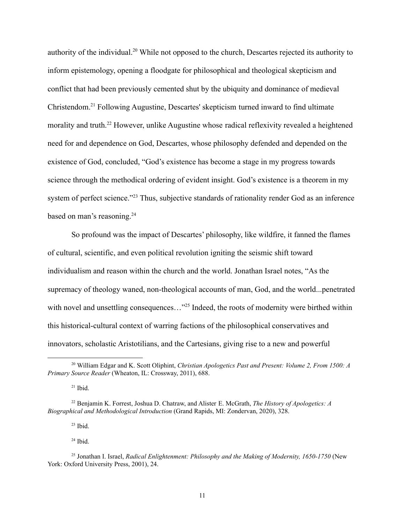authority of the individual.<sup>20</sup> While not opposed to the church, Descartes rejected its authority to inform epistemology, opening a floodgate for philosophical and theological skepticism and conflict that had been previously cemented shut by the ubiquity and dominance of medieval Christendom.<sup>21</sup> Following Augustine, Descartes' skepticism turned inward to find ultimate morality and truth.<sup>22</sup> However, unlike Augustine whose radical reflexivity revealed a heightened need for and dependence on God, Descartes, whose philosophy defended and depended on the existence of God, concluded, "God's existence has become a stage in my progress towards science through the methodical ordering of evident insight. God's existence is a theorem in my system of perfect science."<sup>23</sup> Thus, subjective standards of rationality render God as an inference based on man's reasoning.<sup>24</sup>

So profound was the impact of Descartes' philosophy, like wildfire, it fanned the flames of cultural, scientific, and even political revolution igniting the seismic shift toward individualism and reason within the church and the world. Jonathan Israel notes, "As the supremacy of theology waned, non-theological accounts of man, God, and the world...penetrated with novel and unsettling consequences..."<sup>25</sup> Indeed, the roots of modernity were birthed within this historical-cultural context of warring factions of the philosophical conservatives and innovators, scholastic Aristotilians, and the Cartesians, giving rise to a new and powerful

 $21$  Ibid.

 $23$  Ibid.

 $24$  Ibid.

<sup>20</sup> William Edgar and K. Scott Oliphint, *Christian Apologetics Past and Present: Volume 2, From 1500: A Primary Source Reader* (Wheaton, IL: Crossway, 2011), 688.

<sup>22</sup> Benjamin K. Forrest, Joshua D. Chatraw, and Alister E. McGrath, *The History of Apologetics: A Biographical and Methodological Introduction* (Grand Rapids, MI: Zondervan, 2020), 328.

<sup>25</sup> Jonathan I. Israel, *Radical Enlightenment: Philosophy and the Making of Modernity, 1650-1750* (New York: Oxford University Press, 2001), 24.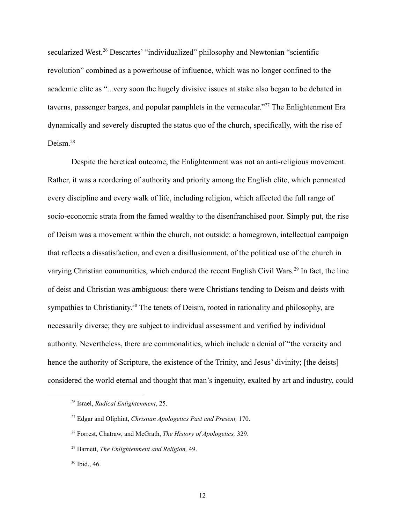secularized West.<sup>26</sup> Descartes' "individualized" philosophy and Newtonian "scientific revolution" combined as a powerhouse of influence, which was no longer confined to the academic elite as "...very soon the hugely divisive issues at stake also began to be debated in taverns, passenger barges, and popular pamphlets in the vernacular."<sup>27</sup> The Enlightenment Era dynamically and severely disrupted the status quo of the church, specifically, with the rise of Deism<sup>28</sup>

Despite the heretical outcome, the Enlightenment was not an anti-religious movement. Rather, it was a reordering of authority and priority among the English elite, which permeated every discipline and every walk of life, including religion, which affected the full range of socio-economic strata from the famed wealthy to the disenfranchised poor. Simply put, the rise of Deism was a movement within the church, not outside: a homegrown, intellectual campaign that reflects a dissatisfaction, and even a disillusionment, of the political use of the church in varying Christian communities, which endured the recent English Civil Wars.<sup>29</sup> In fact, the line of deist and Christian was ambiguous: there were Christians tending to Deism and deists with sympathies to Christianity.<sup>30</sup> The tenets of Deism, rooted in rationality and philosophy, are necessarily diverse; they are subject to individual assessment and verified by individual authority. Nevertheless, there are commonalities, which include a denial of "the veracity and hence the authority of Scripture, the existence of the Trinity, and Jesus' divinity; [the deists] considered the world eternal and thought that man's ingenuity, exalted by art and industry, could

<sup>26</sup> Israel, *Radical Enlightenment*, 25.

<sup>27</sup> Edgar and Oliphint, *Christian Apologetics Past and Present,* 170.

<sup>28</sup> Forrest, Chatraw, and McGrath, *The History of Apologetics,* 329.

<sup>29</sup> Barnett, *The Enlightenment and Religion,* 49.

 $30$  Ibid., 46.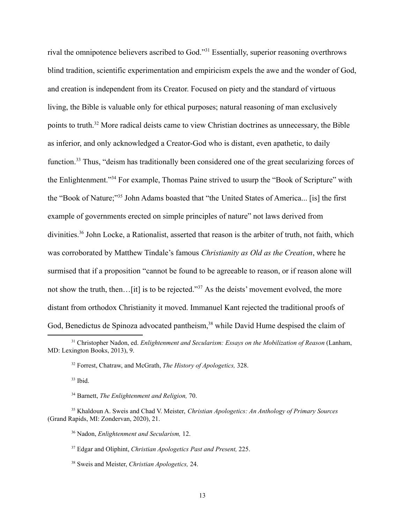rival the omnipotence believers ascribed to God."<sup>31</sup> Essentially, superior reasoning overthrows blind tradition, scientific experimentation and empiricism expels the awe and the wonder of God, and creation is independent from its Creator. Focused on piety and the standard of virtuous living, the Bible is valuable only for ethical purposes; natural reasoning of man exclusively points to truth.<sup>32</sup> More radical deists came to view Christian doctrines as unnecessary, the Bible as inferior, and only acknowledged a Creator-God who is distant, even apathetic, to daily function.<sup>33</sup> Thus, "deism has traditionally been considered one of the great secularizing forces of the Enlightenment."<sup>34</sup> For example, Thomas Paine strived to usurp the "Book of Scripture" with the "Book of Nature;"<sup>35</sup> John Adams boasted that "the United States of America... [is] the first example of governments erected on simple principles of nature" not laws derived from divinities.<sup>36</sup> John Locke, a Rationalist, asserted that reason is the arbiter of truth, not faith, which was corroborated by Matthew Tindale's famous *Christianity as Old as the Creation*, where he surmised that if a proposition "cannot be found to be agreeable to reason, or if reason alone will not show the truth, then... [it] is to be rejected."<sup>37</sup> As the deists' movement evolved, the more distant from orthodox Christianity it moved. Immanuel Kant rejected the traditional proofs of God, Benedictus de Spinoza advocated pantheism,<sup>38</sup> while David Hume despised the claim of

 $33$  Ibid.

<sup>34</sup> Barnett, *The Enlightenment and Religion,* 70.

<sup>36</sup> Nadon, *Enlightenment and Secularism,* 12.

<sup>37</sup> Edgar and Oliphint, *Christian Apologetics Past and Present,* 225.

<sup>38</sup> Sweis and Meister, *Christian Apologetics,* 24.

<sup>31</sup> Christopher Nadon, ed. *Enlightenment and Secularism: Essays on the Mobilization of Reason* (Lanham, MD: Lexington Books, 2013), 9.

<sup>32</sup> Forrest, Chatraw, and McGrath, *The History of Apologetics,* 328.

<sup>35</sup> Khaldoun A. Sweis and Chad V. Meister, *Christian Apologetics: An Anthology of Primary Sources* (Grand Rapids, MI: Zondervan, 2020), 21.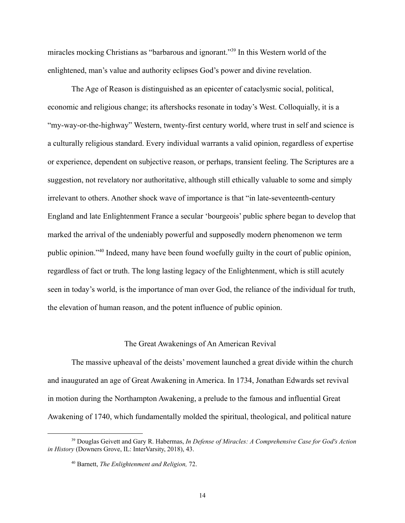miracles mocking Christians as "barbarous and ignorant."<sup>39</sup> In this Western world of the enlightened, man's value and authority eclipses God's power and divine revelation.

The Age of Reason is distinguished as an epicenter of cataclysmic social, political, economic and religious change; its aftershocks resonate in today's West. Colloquially, it is a "my-way-or-the-highway" Western, twenty-first century world, where trust in self and science is a culturally religious standard. Every individual warrants a valid opinion, regardless of expertise or experience, dependent on subjective reason, or perhaps, transient feeling. The Scriptures are a suggestion, not revelatory nor authoritative, although still ethically valuable to some and simply irrelevant to others. Another shock wave of importance is that "in late-seventeenth-century England and late Enlightenment France a secular 'bourgeois' public sphere began to develop that marked the arrival of the undeniably powerful and supposedly modern phenomenon we term public opinion."<sup>40</sup> Indeed, many have been found woefully guilty in the court of public opinion, regardless of fact or truth. The long lasting legacy of the Enlightenment, which is still acutely seen in today's world, is the importance of man over God, the reliance of the individual for truth, the elevation of human reason, and the potent influence of public opinion.

### The Great Awakenings of An American Revival

The massive upheaval of the deists' movement launched a great divide within the church and inaugurated an age of Great Awakening in America. In 1734, Jonathan Edwards set revival in motion during the Northampton Awakening, a prelude to the famous and influential Great Awakening of 1740, which fundamentally molded the spiritual, theological, and political nature

<sup>39</sup> Douglas Geivett and Gary R. Habermas, *In Defense of Miracles: A Comprehensive Case for God's Action in History* (Downers Grove, IL: InterVarsity, 2018), 43.

<sup>40</sup> Barnett, *The Enlightenment and Religion,* 72.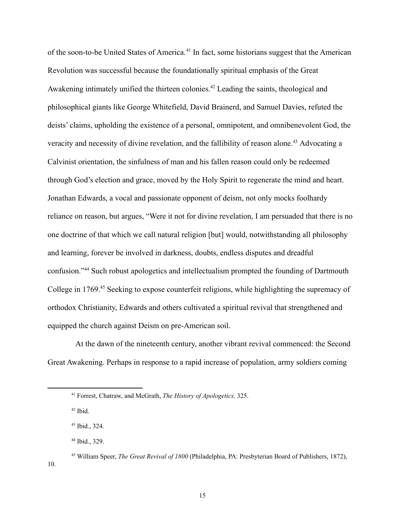of the soon-to-be United States of America.<sup>41</sup> In fact, some historians suggest that the American Revolution was successful because the foundationally spiritual emphasis of the Great Awakening intimately unified the thirteen colonies.<sup>42</sup> Leading the saints, theological and philosophical giants like George Whitefield, David Brainerd, and Samuel Davies, refuted the deists' claims, upholding the existence of a personal, omnipotent, and omnibenevolent God, the veracity and necessity of divine revelation, and the fallibility of reason alone.<sup>43</sup> Advocating a Calvinist orientation, the sinfulness of man and his fallen reason could only be redeemed through God's election and grace, moved by the Holy Spirit to regenerate the mind and heart. Jonathan Edwards, a vocal and passionate opponent of deism, not only mocks foolhardy reliance on reason, but argues, "Were it not for divine revelation, I am persuaded that there is no one doctrine of that which we call natural religion [but] would, notwithstanding all philosophy and learning, forever be involved in darkness, doubts, endless disputes and dreadful confusion."<sup>44</sup> Such robust apologetics and intellectualism prompted the founding of Dartmouth College in 1769.<sup>45</sup> Seeking to expose counterfeit religions, while highlighting the supremacy of orthodox Christianity, Edwards and others cultivated a spiritual revival that strengthened and equipped the church against Deism on pre-American soil.

At the dawn of the nineteenth century, another vibrant revival commenced: the Second Great Awakening. Perhaps in response to a rapid increase of population, army soldiers coming

 $42$  Ibid.

10.

<sup>41</sup> Forrest, Chatraw, and McGrath, *The History of Apologetics,* 325.

<sup>43</sup> Ibid., 324.

<sup>44</sup> Ibid., 329.

<sup>45</sup> William Speer, *The Great Revival of 1800* (Philadelphia, PA: Presbyterian Board of Publishers, 1872),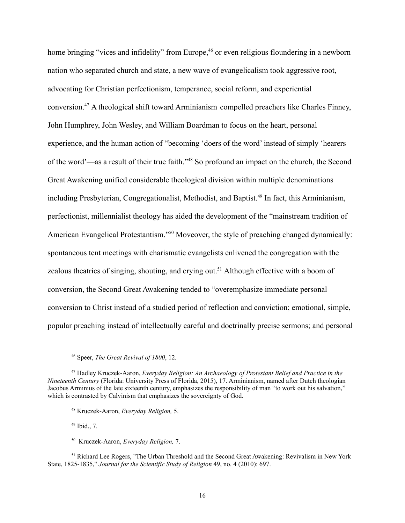home bringing "vices and infidelity" from Europe,<sup>46</sup> or even religious floundering in a newborn nation who separated church and state, a new wave of evangelicalism took aggressive root, advocating for Christian perfectionism, temperance, social reform, and experiential conversion.<sup>47</sup> A theological shift toward Arminianism compelled preachers like Charles Finney, John Humphrey, John Wesley, and William Boardman to focus on the heart, personal experience, and the human action of "becoming 'doers of the word' instead of simply 'hearers of the word'—as a result of their true faith."<sup>48</sup> So profound an impact on the church, the Second Great Awakening unified considerable theological division within multiple denominations including Presbyterian, Congregationalist, Methodist, and Baptist.<sup>49</sup> In fact, this Arminianism, perfectionist, millennialist theology has aided the development of the "mainstream tradition of American Evangelical Protestantism."<sup>50</sup> Moveover, the style of preaching changed dynamically: spontaneous tent meetings with charismatic evangelists enlivened the congregation with the zealous theatrics of singing, shouting, and crying out.<sup>51</sup> Although effective with a boom of conversion, the Second Great Awakening tended to "overemphasize immediate personal conversion to Christ instead of a studied period of reflection and conviction; emotional, simple, popular preaching instead of intellectually careful and doctrinally precise sermons; and personal

<sup>48</sup> Kruczek-Aaron, *Everyday Religion,* 5.

 $49$  Ibid., 7.

<sup>50</sup> Kruczek-Aaron, *Everyday Religion,* 7.

<sup>51</sup> Richard Lee Rogers, "The Urban Threshold and the Second Great Awakening: Revivalism in New York State, 1825-1835," *Journal for the Scientific Study of Religion* 49, no. 4 (2010): 697.

<sup>46</sup> Speer, *The Great Revival of 1800*, 12.

<sup>47</sup> Hadley Kruczek-Aaron, *Everyday Religion: An Archaeology of Protestant Belief and Practice in the Nineteenth Century* (Florida: University Press of Florida, 2015), 17. Arminianism, named after Dutch theologian Jacobus Arminius of the late sixteenth century, emphasizes the responsibility of man "to work out his salvation," which is contrasted by Calvinism that emphasizes the sovereignty of God.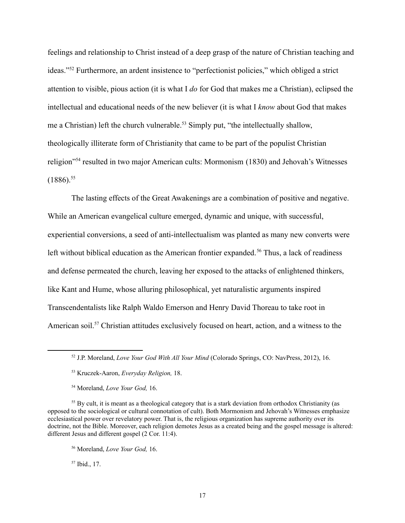feelings and relationship to Christ instead of a deep grasp of the nature of Christian teaching and ideas."<sup>52</sup> Furthermore, an ardent insistence to "perfectionist policies," which obliged a strict attention to visible, pious action (it is what I *do* for God that makes me a Christian), eclipsed the intellectual and educational needs of the new believer (it is what I *know* about God that makes me a Christian) left the church vulnerable.<sup>53</sup> Simply put, "the intellectually shallow, theologically illiterate form of Christianity that came to be part of the populist Christian religion"<sup>54</sup> resulted in two major American cults: Mormonism (1830) and Jehovah's Witnesses  $(1886).^{55}$ 

The lasting effects of the Great Awakenings are a combination of positive and negative. While an American evangelical culture emerged, dynamic and unique, with successful, experiential conversions, a seed of anti-intellectualism was planted as many new converts were left without biblical education as the American frontier expanded.<sup>56</sup> Thus, a lack of readiness and defense permeated the church, leaving her exposed to the attacks of enlightened thinkers, like Kant and Hume, whose alluring philosophical, yet naturalistic arguments inspired Transcendentalists like Ralph Waldo Emerson and Henry David Thoreau to take root in American soil.<sup>57</sup> Christian attitudes exclusively focused on heart, action, and a witness to the

<sup>54</sup> Moreland, *Love Your God,* 16.

<sup>55</sup> By cult, it is meant as a theological category that is a stark deviation from orthodox Christianity (as opposed to the sociological or cultural connotation of cult). Both Mormonism and Jehovah's Witnesses emphasize ecclesiastical power over revelatory power. That is, the religious organization has supreme authority over its doctrine, not the Bible. Moreover, each religion demotes Jesus as a created being and the gospel message is altered: different Jesus and different gospel (2 Cor. 11:4).

 $57$  Ibid., 17.

<sup>52</sup> J.P. Moreland, *Love Your God With All Your Mind* (Colorado Springs, CO: NavPress, 2012), 16.

<sup>53</sup> Kruczek-Aaron, *Everyday Religion,* 18.

<sup>56</sup> Moreland, *Love Your God,* 16.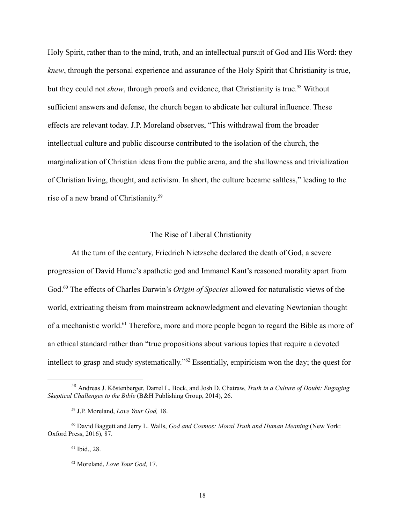Holy Spirit, rather than to the mind, truth, and an intellectual pursuit of God and His Word: they *knew*, through the personal experience and assurance of the Holy Spirit that Christianity is true, but they could not *show*, through proofs and evidence, that Christianity is true.<sup>58</sup> Without sufficient answers and defense, the church began to abdicate her cultural influence. These effects are relevant today. J.P. Moreland observes, "This withdrawal from the broader intellectual culture and public discourse contributed to the isolation of the church, the marginalization of Christian ideas from the public arena, and the shallowness and trivialization of Christian living, thought, and activism. In short, the culture became saltless," leading to the rise of a new brand of Christianity. 59

#### The Rise of Liberal Christianity

At the turn of the century, Friedrich Nietzsche declared the death of God, a severe progression of David Hume's apathetic god and Immanel Kant's reasoned morality apart from God.<sup>60</sup> The effects of Charles Darwin's *Origin of Species* allowed for naturalistic views of the world, extricating theism from mainstream acknowledgment and elevating Newtonian thought of a mechanistic world.<sup>61</sup> Therefore, more and more people began to regard the Bible as more of an ethical standard rather than "true propositions about various topics that require a devoted intellect to grasp and study systematically."<sup>62</sup> Essentially, empiricism won the day; the quest for

<sup>58</sup> Andreas J. Köstenberger, Darrel L. Bock, and Josh D. Chatraw, *Truth in a Culture of Doubt: Engaging Skeptical Challenges to the Bible* (B&H Publishing Group, 2014), 26.

<sup>59</sup> J.P. Moreland, *Love Your God,* 18.

<sup>60</sup> David Baggett and Jerry L. Walls, *God and Cosmos: Moral Truth and Human Meaning* (New York: Oxford Press, 2016), 87.

<sup>61</sup> Ibid., 28.

<sup>62</sup> Moreland, *Love Your God,* 17.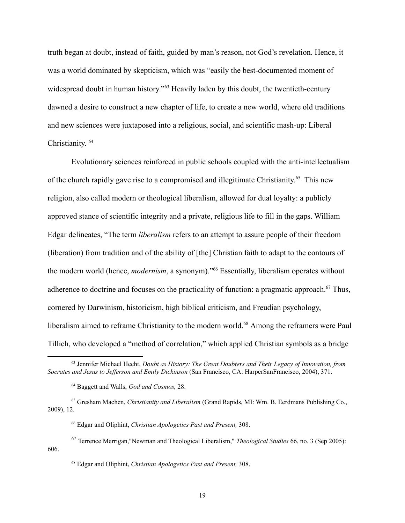truth began at doubt, instead of faith, guided by man's reason, not God's revelation. Hence, it was a world dominated by skepticism, which was "easily the best-documented moment of widespread doubt in human history."<sup>63</sup> Heavily laden by this doubt, the twentieth-century dawned a desire to construct a new chapter of life, to create a new world, where old traditions and new sciences were juxtaposed into a religious, social, and scientific mash-up: Liberal Christianity. 64

Evolutionary sciences reinforced in public schools coupled with the anti-intellectualism of the church rapidly gave rise to a compromised and illegitimate Christianity. <sup>65</sup> This new religion, also called modern or theological liberalism, allowed for dual loyalty: a publicly approved stance of scientific integrity and a private, religious life to fill in the gaps. William Edgar delineates, "The term *liberalism* refers to an attempt to assure people of their freedom (liberation) from tradition and of the ability of [the] Christian faith to adapt to the contours of the modern world (hence, *modernism*, a synonym)."<sup>66</sup> Essentially, liberalism operates without adherence to doctrine and focuses on the practicality of function: a pragmatic approach.<sup>67</sup> Thus, cornered by Darwinism, historicism, high biblical criticism, and Freudian psychology, liberalism aimed to reframe Christianity to the modern world.<sup>68</sup> Among the reframers were Paul Tillich, who developed a "method of correlation," which applied Christian symbols as a bridge

<sup>63</sup> Jennifer Michael Hecht, *Doubt as History: The Great Doubters and Their Legacy of Innovation, from Socrates and Jesus to Jef erson and Emily Dickinson* (San Francisco, CA: HarperSanFrancisco, 2004), 371.

<sup>64</sup> Baggett and Walls, *God and Cosmos,* 28.

<sup>65</sup> Gresham Machen, *Christianity and Liberalism* (Grand Rapids, MI: Wm. B. Eerdmans Publishing Co., 2009), 12.

<sup>66</sup> Edgar and Oliphint, *Christian Apologetics Past and Present,* 308.

<sup>67</sup> Terrence Merrigan,"Newman and Theological Liberalism," *Theological Studies* 66, no. 3 (Sep 2005): 606.

<sup>68</sup> Edgar and Oliphint, *Christian Apologetics Past and Present,* 308.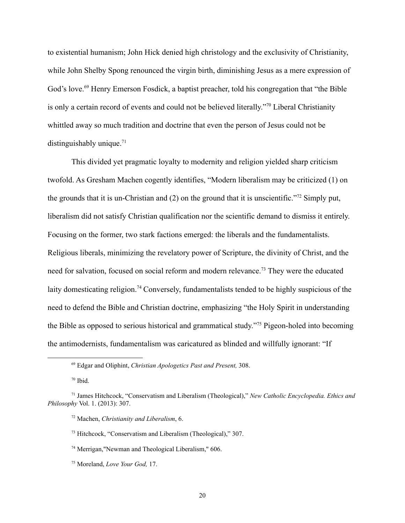to existential humanism; John Hick denied high christology and the exclusivity of Christianity, while John Shelby Spong renounced the virgin birth, diminishing Jesus as a mere expression of God's love.<sup>69</sup> Henry Emerson Fosdick, a baptist preacher, told his congregation that "the Bible" is only a certain record of events and could not be believed literally."<sup>70</sup> Liberal Christianity whittled away so much tradition and doctrine that even the person of Jesus could not be distinguishably unique. $71$ 

This divided yet pragmatic loyalty to modernity and religion yielded sharp criticism twofold. As Gresham Machen cogently identifies, "Modern liberalism may be criticized (1) on the grounds that it is un-Christian and (2) on the ground that it is unscientific."<sup>72</sup> Simply put, liberalism did not satisfy Christian qualification nor the scientific demand to dismiss it entirely. Focusing on the former, two stark factions emerged: the liberals and the fundamentalists. Religious liberals, minimizing the revelatory power of Scripture, the divinity of Christ, and the need for salvation, focused on social reform and modern relevance.<sup>73</sup> They were the educated laity domesticating religion.<sup>74</sup> Conversely, fundamentalists tended to be highly suspicious of the need to defend the Bible and Christian doctrine, emphasizing "the Holy Spirit in understanding the Bible as opposed to serious historical and grammatical study."<sup>75</sup> Pigeon-holed into becoming the antimodernists, fundamentalism was caricatured as blinded and willfully ignorant: "If

<sup>69</sup> Edgar and Oliphint, *Christian Apologetics Past and Present,* 308.

 $70$  Ibid.

<sup>71</sup> James Hitchcock, "Conservatism and Liberalism (Theological)," *New Catholic Encyclopedia. Ethics and Philosophy* Vol. 1. (2013): 307.

<sup>72</sup> Machen, *Christianity and Liberalism*, 6.

<sup>73</sup> Hitchcock, "Conservatism and Liberalism (Theological)," 307.

<sup>74</sup> Merrigan,"Newman and Theological Liberalism," 606.

<sup>75</sup> Moreland, *Love Your God,* 17.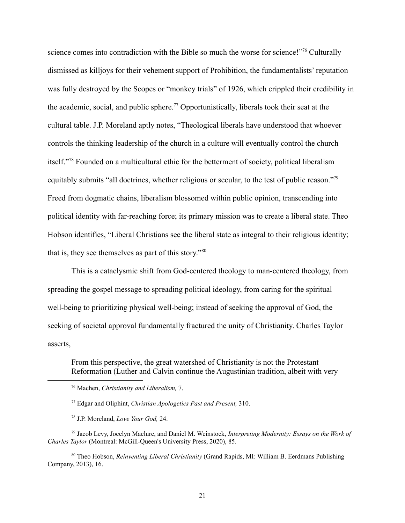science comes into contradiction with the Bible so much the worse for science!"<sup>76</sup> Culturally dismissed as killjoys for their vehement support of Prohibition, the fundamentalists' reputation was fully destroyed by the Scopes or "monkey trials" of 1926, which crippled their credibility in the academic, social, and public sphere.<sup>77</sup> Opportunistically, liberals took their seat at the cultural table. J.P. Moreland aptly notes, "Theological liberals have understood that whoever controls the thinking leadership of the church in a culture will eventually control the church itself."<sup>78</sup> Founded on a multicultural ethic for the betterment of society, political liberalism equitably submits "all doctrines, whether religious or secular, to the test of public reason."<sup>79</sup> Freed from dogmatic chains, liberalism blossomed within public opinion, transcending into political identity with far-reaching force; its primary mission was to create a liberal state. Theo Hobson identifies, "Liberal Christians see the liberal state as integral to their religious identity; that is, they see themselves as part of this story."<sup>80</sup>

This is a cataclysmic shift from God-centered theology to man-centered theology, from spreading the gospel message to spreading political ideology, from caring for the spiritual well-being to prioritizing physical well-being; instead of seeking the approval of God, the seeking of societal approval fundamentally fractured the unity of Christianity. Charles Taylor asserts,

From this perspective, the great watershed of Christianity is not the Protestant Reformation (Luther and Calvin continue the Augustinian tradition, albeit with very

<sup>79</sup> Jacob Levy, Jocelyn Maclure, and Daniel M. Weinstock, *Interpreting Modernity: Essays on the Work of Charles Taylor* (Montreal: McGill-Queen's University Press, 2020), 85.

<sup>80</sup> Theo Hobson, *Reinventing Liberal Christianity* (Grand Rapids, MI: William B. Eerdmans Publishing Company, 2013), 16.

21

<sup>76</sup> Machen, *Christianity and Liberalism,* 7.

<sup>77</sup> Edgar and Oliphint, *Christian Apologetics Past and Present,* 310.

<sup>78</sup> J.P. Moreland, *Love Your God,* 24.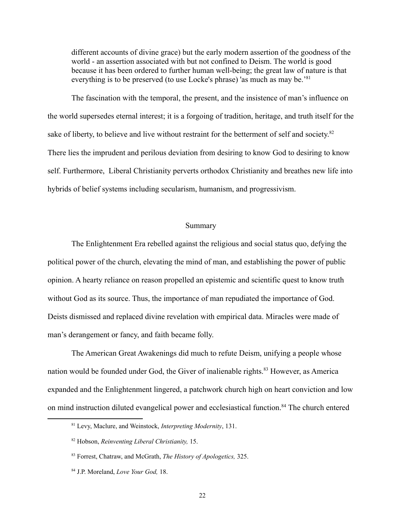different accounts of divine grace) but the early modern assertion of the goodness of the world - an assertion associated with but not confined to Deism. The world is good because it has been ordered to further human well-being; the great law of nature is that everything is to be preserved (to use Locke's phrase) 'as much as may be.<sup>81</sup>

The fascination with the temporal, the present, and the insistence of man's influence on the world supersedes eternal interest; it is a forgoing of tradition, heritage, and truth itself for the sake of liberty, to believe and live without restraint for the betterment of self and society.<sup>82</sup> There lies the imprudent and perilous deviation from desiring to know God to desiring to know self. Furthermore, Liberal Christianity perverts orthodox Christianity and breathes new life into hybrids of belief systems including secularism, humanism, and progressivism.

## Summary

The Enlightenment Era rebelled against the religious and social status quo, defying the political power of the church, elevating the mind of man, and establishing the power of public opinion. A hearty reliance on reason propelled an epistemic and scientific quest to know truth without God as its source. Thus, the importance of man repudiated the importance of God. Deists dismissed and replaced divine revelation with empirical data. Miracles were made of man's derangement or fancy, and faith became folly.

The American Great Awakenings did much to refute Deism, unifying a people whose nation would be founded under God, the Giver of inalienable rights.<sup>83</sup> However, as America expanded and the Enlightenment lingered, a patchwork church high on heart conviction and low on mind instruction diluted evangelical power and ecclesiastical function.<sup>84</sup> The church entered

<sup>81</sup> Levy, Maclure, and Weinstock, *Interpreting Modernity*, 131.

<sup>82</sup> Hobson, *Reinventing Liberal Christianity,* 15.

<sup>83</sup> Forrest, Chatraw, and McGrath, *The History of Apologetics,* 325.

<sup>84</sup> J.P. Moreland, *Love Your God,* 18.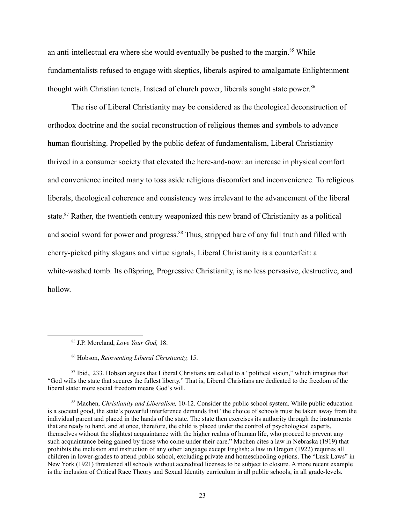an anti-intellectual era where she would eventually be pushed to the margin. $85$  While fundamentalists refused to engage with skeptics, liberals aspired to amalgamate Enlightenment thought with Christian tenets. Instead of church power, liberals sought state power. 86

The rise of Liberal Christianity may be considered as the theological deconstruction of orthodox doctrine and the social reconstruction of religious themes and symbols to advance human flourishing. Propelled by the public defeat of fundamentalism, Liberal Christianity thrived in a consumer society that elevated the here-and-now: an increase in physical comfort and convenience incited many to toss aside religious discomfort and inconvenience. To religious liberals, theological coherence and consistency was irrelevant to the advancement of the liberal state.<sup>87</sup> Rather, the twentieth century weaponized this new brand of Christianity as a political and social sword for power and progress.<sup>88</sup> Thus, stripped bare of any full truth and filled with cherry-picked pithy slogans and virtue signals, Liberal Christianity is a counterfeit: a white-washed tomb. Its offspring, Progressive Christianity, is no less pervasive, destructive, and hollow.

<sup>85</sup> J.P. Moreland, *Love Your God,* 18.

<sup>86</sup> Hobson, *Reinventing Liberal Christianity,* 15.

<sup>87</sup> Ibid.*,* 233. Hobson argues that Liberal Christians are called to a "political vision," which imagines that "God wills the state that secures the fullest liberty." That is, Liberal Christians are dedicated to the freedom of the liberal state: more social freedom means God's will.

<sup>88</sup> Machen, *Christianity and Liberalism,* 10-12. Consider the public school system. While public education is a societal good, the state's powerful interference demands that "the choice of schools must be taken away from the individual parent and placed in the hands of the state. The state then exercises its authority through the instruments that are ready to hand, and at once, therefore, the child is placed under the control of psychological experts, themselves without the slightest acquaintance with the higher realms of human life, who proceed to prevent any such acquaintance being gained by those who come under their care." Machen cites a law in Nebraska (1919) that prohibits the inclusion and instruction of any other language except English; a law in Oregon (1922) requires all children in lower-grades to attend public school, excluding private and homeschooling options. The "Lusk Laws" in New York (1921) threatened all schools without accredited licenses to be subject to closure. A more recent example is the inclusion of Critical Race Theory and Sexual Identity curriculum in all public schools, in all grade-levels.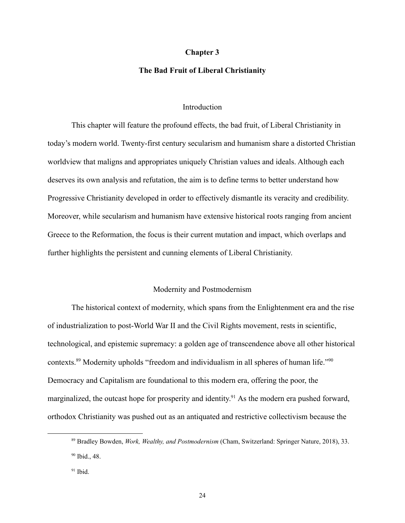#### **Chapter 3**

#### **The Bad Fruit of Liberal Christianity**

### **Introduction**

This chapter will feature the profound effects, the bad fruit, of Liberal Christianity in today's modern world. Twenty-first century secularism and humanism share a distorted Christian worldview that maligns and appropriates uniquely Christian values and ideals. Although each deserves its own analysis and refutation, the aim is to define terms to better understand how Progressive Christianity developed in order to effectively dismantle its veracity and credibility. Moreover, while secularism and humanism have extensive historical roots ranging from ancient Greece to the Reformation, the focus is their current mutation and impact, which overlaps and further highlights the persistent and cunning elements of Liberal Christianity.

#### Modernity and Postmodernism

The historical context of modernity, which spans from the Enlightenment era and the rise of industrialization to post-World War II and the Civil Rights movement, rests in scientific, technological, and epistemic supremacy: a golden age of transcendence above all other historical contexts.<sup>89</sup> Modernity upholds "freedom and individualism in all spheres of human life."<sup>90</sup> Democracy and Capitalism are foundational to this modern era, offering the poor, the marginalized, the outcast hope for prosperity and identity.<sup>91</sup> As the modern era pushed forward, orthodox Christianity was pushed out as an antiquated and restrictive collectivism because the

<sup>90</sup> Ibid., 48. <sup>89</sup> Bradley Bowden, *Work, Wealthy, and Postmodernism* (Cham, Switzerland: Springer Nature, 2018), 33.

 $91$  Ibid.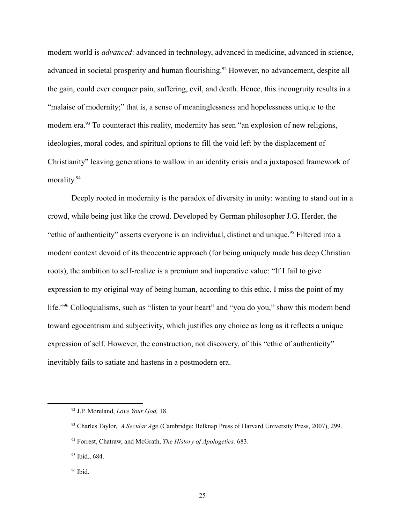modern world is *advanced*: advanced in technology, advanced in medicine, advanced in science, advanced in societal prosperity and human flourishing.<sup>92</sup> However, no advancement, despite all the gain, could ever conquer pain, suffering, evil, and death. Hence, this incongruity results in a "malaise of modernity;" that is, a sense of meaninglessness and hopelessness unique to the modern era.<sup>93</sup> To counteract this reality, modernity has seen "an explosion of new religions, ideologies, moral codes, and spiritual options to fill the void left by the displacement of Christianity" leaving generations to wallow in an identity crisis and a juxtaposed framework of morality. 94

Deeply rooted in modernity is the paradox of diversity in unity: wanting to stand out in a crowd, while being just like the crowd. Developed by German philosopher J.G. Herder, the "ethic of authenticity" asserts everyone is an individual, distinct and unique.<sup>95</sup> Filtered into a modern context devoid of its theocentric approach (for being uniquely made has deep Christian roots), the ambition to self-realize is a premium and imperative value: "If I fail to give expression to my original way of being human, according to this ethic, I miss the point of my life."<sup>96</sup> Colloquialisms, such as "listen to your heart" and "you do you," show this modern bend toward egocentrism and subjectivity, which justifies any choice as long as it reflects a unique expression of self. However, the construction, not discovery, of this "ethic of authenticity" inevitably fails to satiate and hastens in a postmodern era.

<sup>92</sup> J.P. Moreland, *Love Your God,* 18.

<sup>93</sup> Charles Taylor, *A Secular Age* (Cambridge: Belknap Press of Harvard University Press, 2007), 299.

<sup>94</sup> Forrest, Chatraw, and McGrath, *The History of Apologetics,* 683.

<sup>95</sup> Ibid., 684.

 $96$  Ibid.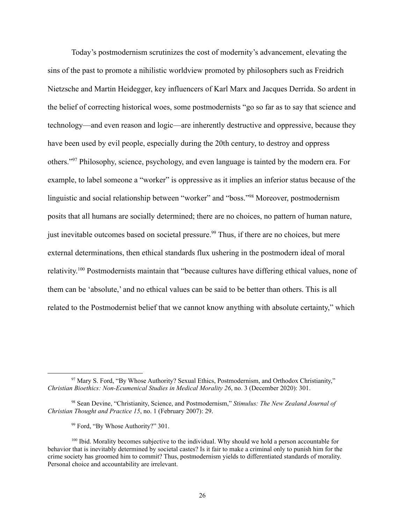Today's postmodernism scrutinizes the cost of modernity's advancement, elevating the sins of the past to promote a nihilistic worldview promoted by philosophers such as Freidrich Nietzsche and Martin Heidegger, key influencers of Karl Marx and Jacques Derrida. So ardent in the belief of correcting historical woes, some postmodernists "go so far as to say that science and technology—and even reason and logic—are inherently destructive and oppressive, because they have been used by evil people, especially during the 20th century, to destroy and oppress others."<sup>97</sup> Philosophy, science, psychology, and even language is tainted by the modern era. For example, to label someone a "worker" is oppressive as it implies an inferior status because of the linguistic and social relationship between "worker" and "boss."<sup>98</sup> Moreover, postmodernism posits that all humans are socially determined; there are no choices, no pattern of human nature, just inevitable outcomes based on societal pressure.<sup>99</sup> Thus, if there are no choices, but mere external determinations, then ethical standards flux ushering in the postmodern ideal of moral relativity.<sup>100</sup> Postmodernists maintain that "because cultures have differing ethical values, none of them can be 'absolute,' and no ethical values can be said to be better than others. This is all related to the Postmodernist belief that we cannot know anything with absolute certainty," which

<sup>97</sup> Mary S. Ford, "By Whose Authority? Sexual Ethics, Postmodernism, and Orthodox Christianity," *Christian Bioethics: Non-Ecumenical Studies in Medical Morality 26*, no. 3 (December 2020): 301.

<sup>98</sup> Sean Devine, "Christianity, Science, and Postmodernism," *Stimulus: The New Zealand Journal of Christian Thought and Practice 15*, no. 1 (February 2007): 29.

<sup>99</sup> Ford, "By Whose Authority?" 301.

<sup>&</sup>lt;sup>100</sup> Ibid. Morality becomes subjective to the individual. Why should we hold a person accountable for behavior that is inevitably determined by societal castes? Is it fair to make a criminal only to punish him for the crime society has groomed him to commit? Thus, postmodernism yields to differentiated standards of morality. Personal choice and accountability are irrelevant.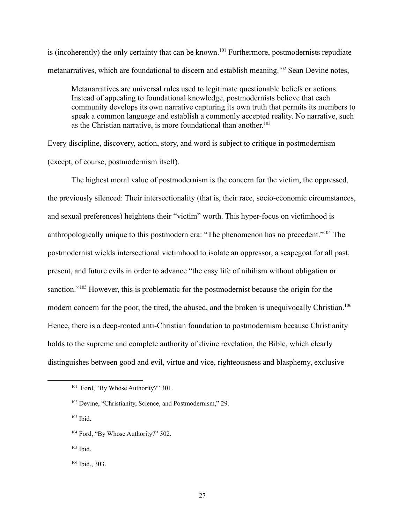is (incoherently) the only certainty that can be known.<sup>101</sup> Furthermore, postmodernists repudiate metanarratives, which are foundational to discern and establish meaning.<sup>102</sup> Sean Devine notes,

Metanarratives are universal rules used to legitimate questionable beliefs or actions. Instead of appealing to foundational knowledge, postmodernists believe that each community develops its own narrative capturing its own truth that permits its members to speak a common language and establish a commonly accepted reality. No narrative, such as the Christian narrative, is more foundational than another. 103

Every discipline, discovery, action, story, and word is subject to critique in postmodernism (except, of course, postmodernism itself).

The highest moral value of postmodernism is the concern for the victim, the oppressed, the previously silenced: Their intersectionality (that is, their race, socio-economic circumstances, and sexual preferences) heightens their "victim" worth. This hyper-focus on victimhood is anthropologically unique to this postmodern era: "The phenomenon has no precedent."<sup>104</sup> The postmodernist wields intersectional victimhood to isolate an oppressor, a scapegoat for all past, present, and future evils in order to advance "the easy life of nihilism without obligation or sanction."<sup>105</sup> However, this is problematic for the postmodernist because the origin for the modern concern for the poor, the tired, the abused, and the broken is unequivocally Christian.<sup>106</sup> Hence, there is a deep-rooted anti-Christian foundation to postmodernism because Christianity holds to the supreme and complete authority of divine revelation, the Bible, which clearly distinguishes between good and evil, virtue and vice, righteousness and blasphemy, exclusive

<sup>&</sup>lt;sup>101</sup> Ford, "By Whose Authority?" 301.

<sup>102</sup> Devine, "Christianity, Science, and Postmodernism," 29.

 $103$  Ibid.

<sup>&</sup>lt;sup>104</sup> Ford, "By Whose Authority?" 302.

 $105$  Ibid.

<sup>106</sup> Ibid., 303.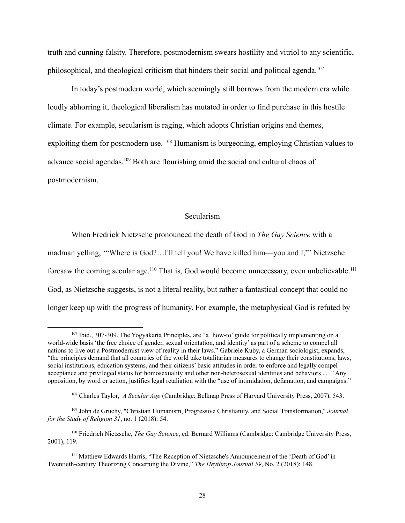truth and cunning falsity. Therefore, postmodernism swears hostility and vitriol to any scientific, philosophical, and theological criticism that hinders their social and political agenda.<sup>107</sup>

In today's postmodern world, which seemingly still borrows from the modern era while loudly abhorring it, theological liberalism has mutated in order to find purchase in this hostile climate. For example, secularism is raging, which adopts Christian origins and themes, exploiting them for postmodern use. <sup>108</sup> Humanism is burgeoning, employing Christian values to advance social agendas.<sup>109</sup> Both are flourishing amid the social and cultural chaos of postmodernism.

#### Secularism

When Fredrick Nietzsche pronounced the death of God in *The Gay Science* with a madman yelling, '"Where is God?…I'll tell you! We have killed him—you and I,"' Nietzsche foresaw the coming secular age.<sup>110</sup> That is, God would become unnecessary, even unbelievable.<sup>111</sup> God, as Nietzsche suggests, is not a literal reality, but rather a fantastical concept that could no longer keep up with the progress of humanity. For example, the metaphysical God is refuted by

<sup>&</sup>lt;sup>107</sup> Ibid., 307-309. The Yogyakarta Principles, are "a 'how-to' guide for politically implementing on a world-wide basis 'the free choice of gender, sexual orientation, and identity' as part of a scheme to compel all nations to live out a Postmodernist view of reality in their laws." Gabriele Kuby, a German sociologist, expands, "the principles demand that all countries of the world take totalitarian measures to change their constitutions, laws, social institutions, education systems, and their citizens' basic attitudes in order to enforce and legally compel acceptance and privileged status for homosexuality and other non-heterosexual identities and behaviors . . ." Any opposition, by word or action, justifies legal retaliation with the "use of intimidation, defamation, and campaigns."

<sup>108</sup> Charles Taylor, *A Secular Age* (Cambridge: Belknap Press of Harvard University Press, 2007), 543.

<sup>109</sup> John de Gruchy, "Christian Humanism, Progressive Christianity, and Social Transformation," *Journal for the Study of Religion 31*, no. 1 (2018): 54.

<sup>110</sup> Friedrich Nietzsche, *The Gay Science*, ed. Bernard Williams (Cambridge: Cambridge University Press, 2001), 119.

<sup>111</sup> Matthew Edwards Harris, "The Reception of Nietzsche's Announcement of the 'Death of God' in Twentieth-century Theorizing Concerning the Divine," *The Heythrop Journal 59*, No. 2 (2018): 148.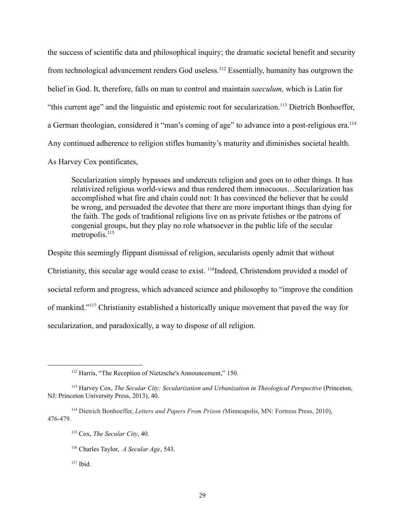the success of scientific data and philosophical inquiry; the dramatic societal benefit and security from technological advancement renders God useless.<sup>112</sup> Essentially, humanity has outgrown the belief in God. It, therefore, falls on man to control and maintain *saeculum,* which is Latin for "this current age" and the linguistic and epistemic root for secularization.<sup>113</sup> Dietrich Bonhoeffer, a German theologian, considered it "man's coming of age" to advance into a post-religious era.<sup>114</sup> Any continued adherence to religion stifles humanity's maturity and diminishes societal health.

As Harvey Cox pontificates,

Secularization simply bypasses and undercuts religion and goes on to other things. It has relativized religious world-views and thus rendered them innocuous…Secularization has accomplished what fire and chain could not: It has convinced the believer that he could be wrong, and persuaded the devotee that there are more important things than dying for the faith. The gods of traditional religions live on as private fetishes or the patrons of congenial groups, but they play no role whatsoever in the public life of the secular metropolis.<sup>115</sup>

Despite this seemingly flippant dismissal of religion, secularists openly admit that without Christianity, this secular age would cease to exist. <sup>116</sup>Indeed, Christendom provided a model of societal reform and progress, which advanced science and philosophy to "improve the condition of mankind."<sup>117</sup> Christianity established a historically unique movement that paved the way for secularization, and paradoxically, a way to dispose of all religion.

<sup>&</sup>lt;sup>112</sup> Harris, "The Reception of Nietzsche's Announcement," 150.

<sup>113</sup> Harvey Cox, *The Secular City: Secularization and Urbanization in Theological Perspective* (Princeton, NJ: Princeton University Press, 2013), 40.

<sup>114</sup> Dietrich Bonhoeffer, *Letters and Papers From Prison (*Minneapolis, MN: Fortress Press, 2010), 476-479.

<sup>115</sup> Cox, *The Secular City*, 40.

<sup>116</sup> Charles Taylor, *A Secular Age*, 543.

 $117$  Ibid.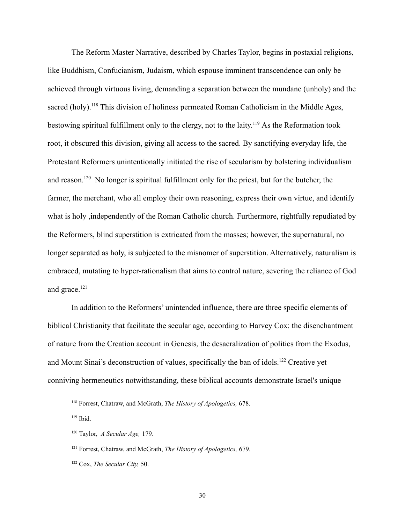The Reform Master Narrative, described by Charles Taylor, begins in postaxial religions, like Buddhism, Confucianism, Judaism, which espouse imminent transcendence can only be achieved through virtuous living, demanding a separation between the mundane (unholy) and the sacred (holy).<sup>118</sup> This division of holiness permeated Roman Catholicism in the Middle Ages, bestowing spiritual fulfillment only to the clergy, not to the laity.<sup>119</sup> As the Reformation took root, it obscured this division, giving all access to the sacred. By sanctifying everyday life, the Protestant Reformers unintentionally initiated the rise of secularism by bolstering individualism and reason.<sup>120</sup> No longer is spiritual fulfillment only for the priest, but for the butcher, the farmer, the merchant, who all employ their own reasoning, express their own virtue, and identify what is holy ,independently of the Roman Catholic church. Furthermore, rightfully repudiated by the Reformers, blind superstition is extricated from the masses; however, the supernatural, no longer separated as holy, is subjected to the misnomer of superstition. Alternatively, naturalism is embraced, mutating to hyper-rationalism that aims to control nature, severing the reliance of God and grace.<sup>121</sup>

In addition to the Reformers' unintended influence, there are three specific elements of biblical Christianity that facilitate the secular age, according to Harvey Cox: the disenchantment of nature from the Creation account in Genesis, the desacralization of politics from the Exodus, and Mount Sinai's deconstruction of values, specifically the ban of idols.<sup>122</sup> Creative yet conniving hermeneutics notwithstanding, these biblical accounts demonstrate Israel's unique

<sup>118</sup> Forrest, Chatraw, and McGrath, *The History of Apologetics,* 678.

 $119$  Ibid.

<sup>120</sup> Taylor, *A Secular Age,* 179.

<sup>121</sup> Forrest, Chatraw, and McGrath, *The History of Apologetics,* 679.

<sup>122</sup> Cox, *The Secular City,* 50.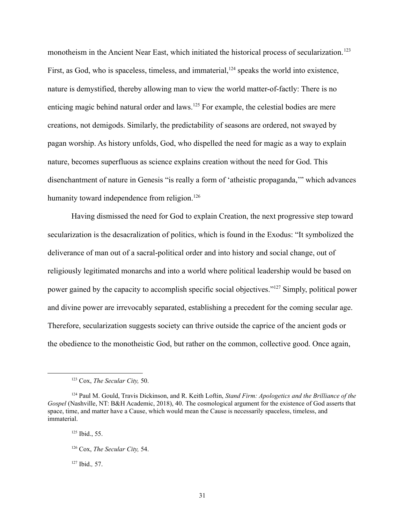monotheism in the Ancient Near East, which initiated the historical process of secularization.<sup>123</sup> First, as God, who is spaceless, timeless, and immaterial,  $^{124}$  speaks the world into existence, nature is demystified, thereby allowing man to view the world matter-of-factly: There is no enticing magic behind natural order and laws.<sup>125</sup> For example, the celestial bodies are mere creations, not demigods. Similarly, the predictability of seasons are ordered, not swayed by pagan worship. As history unfolds, God, who dispelled the need for magic as a way to explain nature, becomes superfluous as science explains creation without the need for God. This disenchantment of nature in Genesis "is really a form of 'atheistic propaganda,'" which advances humanity toward independence from religion.<sup>126</sup>

Having dismissed the need for God to explain Creation, the next progressive step toward secularization is the desacralization of politics, which is found in the Exodus: "It symbolized the deliverance of man out of a sacral-political order and into history and social change, out of religiously legitimated monarchs and into a world where political leadership would be based on power gained by the capacity to accomplish specific social objectives."<sup>127</sup> Simply, political power and divine power are irrevocably separated, establishing a precedent for the coming secular age. Therefore, secularization suggests society can thrive outside the caprice of the ancient gods or the obedience to the monotheistic God, but rather on the common, collective good. Once again,

<sup>127</sup> Ibid.*,* 57.

<sup>123</sup> Cox, *The Secular City,* 50.

<sup>124</sup> Paul M. Gould, Travis Dickinson, and R. Keith Loftin, *Stand Firm: Apologetics and the Brilliance of the Gospel* (Nashville, NT: B&H Academic, 2018), 40. The cosmological argument for the existence of God asserts that space, time, and matter have a Cause, which would mean the Cause is necessarily spaceless, timeless, and immaterial.

<sup>125</sup> Ibid., 55.

<sup>126</sup> Cox, *The Secular City,* 54.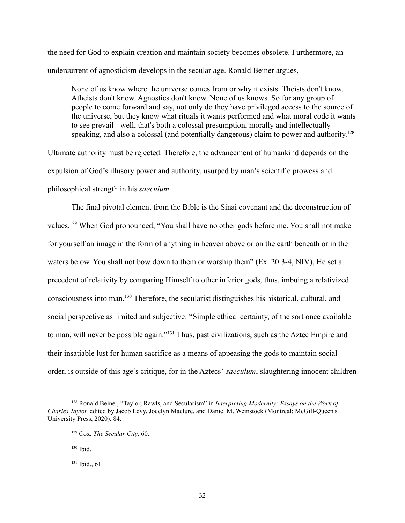the need for God to explain creation and maintain society becomes obsolete. Furthermore, an undercurrent of agnosticism develops in the secular age. Ronald Beiner argues,

None of us know where the universe comes from or why it exists. Theists don't know. Atheists don't know. Agnostics don't know. None of us knows. So for any group of people to come forward and say, not only do they have privileged access to the source of the universe, but they know what rituals it wants performed and what moral code it wants to see prevail - well, that's both a colossal presumption, morally and intellectually speaking, and also a colossal (and potentially dangerous) claim to power and authority.<sup>128</sup>

Ultimate authority must be rejected. Therefore, the advancement of humankind depends on the expulsion of God's illusory power and authority, usurped by man's scientific prowess and philosophical strength in his *saeculum.*

The final pivotal element from the Bible is the Sinai covenant and the deconstruction of values.<sup>129</sup> When God pronounced, "You shall have no other gods before me. You shall not make for yourself an image in the form of anything in heaven above or on the earth beneath or in the waters below. You shall not bow down to them or worship them" (Ex. 20:3-4, NIV), He set a precedent of relativity by comparing Himself to other inferior gods, thus, imbuing a relativized consciousness into man.<sup>130</sup> Therefore, the secularist distinguishes his historical, cultural, and social perspective as limited and subjective: "Simple ethical certainty, of the sort once available to man, will never be possible again."<sup>131</sup> Thus, past civilizations, such as the Aztec Empire and their insatiable lust for human sacrifice as a means of appeasing the gods to maintain social order, is outside of this age's critique, for in the Aztecs' *saeculum*, slaughtering innocent children

<sup>128</sup> Ronald Beiner, "Taylor, Rawls, and Secularism" in *Interpreting Modernity: Essays on the Work of Charles Taylor,* edited by Jacob Levy, Jocelyn Maclure, and Daniel M. Weinstock (Montreal: McGill-Queen's University Press, 2020), 84.

<sup>129</sup> Cox, *The Secular City*, 60.

 $130$  Ibid.

 $131$  Ibid., 61.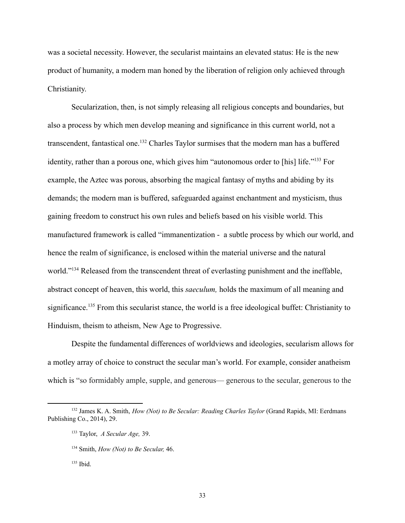was a societal necessity. However, the secularist maintains an elevated status: He is the new product of humanity, a modern man honed by the liberation of religion only achieved through Christianity.

Secularization, then, is not simply releasing all religious concepts and boundaries, but also a process by which men develop meaning and significance in this current world, not a transcendent, fantastical one.<sup>132</sup> Charles Taylor surmises that the modern man has a buffered identity, rather than a porous one, which gives him "autonomous order to [his] life."<sup>133</sup> For example, the Aztec was porous, absorbing the magical fantasy of myths and abiding by its demands; the modern man is buffered, safeguarded against enchantment and mysticism, thus gaining freedom to construct his own rules and beliefs based on his visible world. This manufactured framework is called "immanentization - a subtle process by which our world, and hence the realm of significance, is enclosed within the material universe and the natural world."<sup>134</sup> Released from the transcendent threat of everlasting punishment and the ineffable, abstract concept of heaven, this world, this *saeculum,* holds the maximum of all meaning and significance.<sup>135</sup> From this secularist stance, the world is a free ideological buffet: Christianity to Hinduism, theism to atheism, New Age to Progressive.

Despite the fundamental differences of worldviews and ideologies, secularism allows for a motley array of choice to construct the secular man's world. For example, consider anatheism which is "so formidably ample, supple, and generous— generous to the secular, generous to the

<sup>132</sup> James K. A. Smith, *How (Not) to Be Secular: Reading Charles Taylor* (Grand Rapids, MI: Eerdmans Publishing Co., 2014), 29.

<sup>133</sup> Taylor, *A Secular Age,* 39.

<sup>134</sup> Smith, *How (Not) to Be Secular,* 46.

 $135$  Ibid.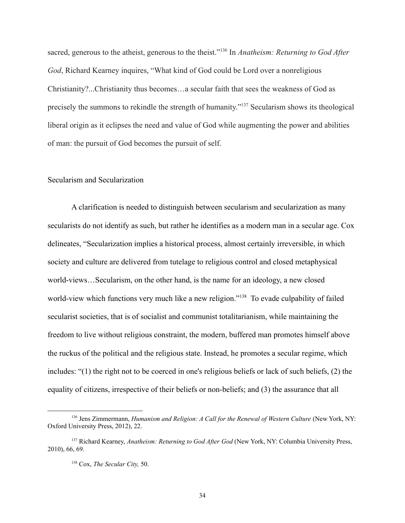sacred, generous to the atheist, generous to the theist."<sup>136</sup> In *Anatheism: Returning to God After God*, Richard Kearney inquires, "What kind of God could be Lord over a nonreligious Christianity?...Christianity thus becomes…a secular faith that sees the weakness of God as precisely the summons to rekindle the strength of humanity."<sup>137</sup> Secularism shows its theological liberal origin as it eclipses the need and value of God while augmenting the power and abilities of man: the pursuit of God becomes the pursuit of self.

## Secularism and Secularization

A clarification is needed to distinguish between secularism and secularization as many secularists do not identify as such, but rather he identifies as a modern man in a secular age. Cox delineates, "Secularization implies a historical process, almost certainly irreversible, in which society and culture are delivered from tutelage to religious control and closed metaphysical world-views…Secularism, on the other hand, is the name for an ideology, a new closed world-view which functions very much like a new religion."<sup>138</sup> To evade culpability of failed secularist societies, that is of socialist and communist totalitarianism, while maintaining the freedom to live without religious constraint, the modern, buffered man promotes himself above the ruckus of the political and the religious state. Instead, he promotes a secular regime, which includes: "(1) the right not to be coerced in one's religious beliefs or lack of such beliefs, (2) the equality of citizens, irrespective of their beliefs or non-beliefs; and (3) the assurance that all

<sup>136</sup> Jens Zimmermann, *Humanism and Religion: A Call for the Renewal of Western Culture* (New York, NY: Oxford University Press, 2012), 22.

<sup>137</sup> Richard Kearney, *Anatheism: Returning to God After God* (New York, NY: Columbia University Press, 2010), 66, 69.

<sup>138</sup> Cox, *The Secular City,* 50.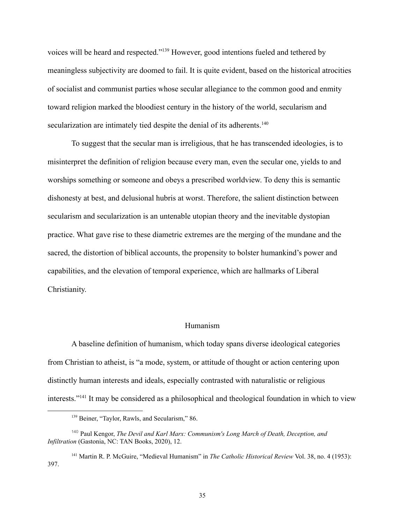voices will be heard and respected."<sup>139</sup> However, good intentions fueled and tethered by meaningless subjectivity are doomed to fail. It is quite evident, based on the historical atrocities of socialist and communist parties whose secular allegiance to the common good and enmity toward religion marked the bloodiest century in the history of the world, secularism and secularization are intimately tied despite the denial of its adherents.<sup>140</sup>

To suggest that the secular man is irreligious, that he has transcended ideologies, is to misinterpret the definition of religion because every man, even the secular one, yields to and worships something or someone and obeys a prescribed worldview. To deny this is semantic dishonesty at best, and delusional hubris at worst. Therefore, the salient distinction between secularism and secularization is an untenable utopian theory and the inevitable dystopian practice. What gave rise to these diametric extremes are the merging of the mundane and the sacred, the distortion of biblical accounts, the propensity to bolster humankind's power and capabilities, and the elevation of temporal experience, which are hallmarks of Liberal Christianity.

#### Humanism

A baseline definition of humanism, which today spans diverse ideological categories from Christian to atheist, is "a mode, system, or attitude of thought or action centering upon distinctly human interests and ideals, especially contrasted with naturalistic or religious interests."<sup>141</sup> It may be considered as a philosophical and theological foundation in which to view

<sup>&</sup>lt;sup>139</sup> Beiner, "Taylor, Rawls, and Secularism," 86.

<sup>140</sup> Paul Kengor, *The Devil and Karl Marx: Communism's Long March of Death, Deception, and Infiltration* (Gastonia, NC: TAN Books, 2020), 12.

<sup>141</sup> Martin R. P. McGuire, "Medieval Humanism" in *The Catholic Historical Review* Vol. 38, no. 4 (1953): 397.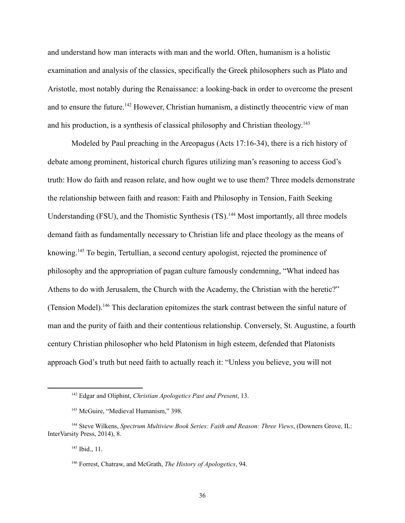and understand how man interacts with man and the world. Often, humanism is a holistic examination and analysis of the classics, specifically the Greek philosophers such as Plato and Aristotle, most notably during the Renaissance: a looking-back in order to overcome the present and to ensure the future.<sup>142</sup> However, Christian humanism, a distinctly theocentric view of man and his production, is a synthesis of classical philosophy and Christian theology.<sup>143</sup>

Modeled by Paul preaching in the Areopagus (Acts 17:16-34), there is a rich history of debate among prominent, historical church figures utilizing man's reasoning to access God's truth: How do faith and reason relate, and how ought we to use them? Three models demonstrate the relationship between faith and reason: Faith and Philosophy in Tension, Faith Seeking Understanding (FSU), and the Thomistic Synthesis (TS).<sup>144</sup> Most importantly, all three models demand faith as fundamentally necessary to Christian life and place theology as the means of knowing.<sup>145</sup> To begin, Tertullian, a second century apologist, rejected the prominence of philosophy and the appropriation of pagan culture famously condemning, "What indeed has Athens to do with Jerusalem, the Church with the Academy, the Christian with the heretic?" (Tension Model).<sup>146</sup> This declaration epitomizes the stark contrast between the sinful nature of man and the purity of faith and their contentious relationship. Conversely, St. Augustine, a fourth century Christian philosopher who held Platonism in high esteem, defended that Platonists approach God's truth but need faith to actually reach it: "Unless you believe, you will not

<sup>142</sup> Edgar and Oliphint, *Christian [Apologetics](https://ref.ly/res/LLS:CHRSTNPLGTCS2/2013-10-22T23:31:28Z/94626?len=31) Past and Present*, 13.

<sup>&</sup>lt;sup>143</sup> McGuire, "Medieval Humanism," 398.

<sup>144</sup> Steve Wilkens, *Spectrum Multiview Book Series: Faith and Reason: Three Views*, (Downers Grove, IL: InterVarsity Press, 2014), 8.

<sup>145</sup> Ibid., 11.

<sup>146</sup> Forrest, Chatraw, and McGrath, *The History of Apologetics*, 94.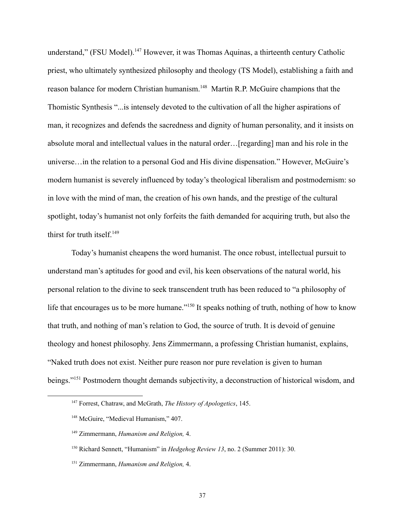understand," (FSU Model).<sup>147</sup> However, it was Thomas Aquinas, a thirteenth century Catholic priest, who ultimately synthesized philosophy and theology (TS Model), establishing a faith and reason balance for modern Christian humanism.<sup>148</sup> Martin R.P. McGuire champions that the Thomistic Synthesis "...is intensely devoted to the cultivation of all the higher aspirations of man, it recognizes and defends the sacredness and dignity of human personality, and it insists on absolute moral and intellectual values in the natural order…[regarding] man and his role in the universe…in the relation to a personal God and His divine dispensation." However, McGuire's modern humanist is severely influenced by today's theological liberalism and postmodernism: so in love with the mind of man, the creation of his own hands, and the prestige of the cultural spotlight, today's humanist not only forfeits the faith demanded for acquiring truth, but also the thirst for truth itself.<sup>149</sup>

Today's humanist cheapens the word humanist. The once robust, intellectual pursuit to understand man's aptitudes for good and evil, his keen observations of the natural world, his personal relation to the divine to seek transcendent truth has been reduced to "a philosophy of life that encourages us to be more humane."<sup>150</sup> It speaks nothing of truth, nothing of how to know that truth, and nothing of man's relation to God, the source of truth. It is devoid of genuine theology and honest philosophy. Jens Zimmermann, a professing Christian humanist, explains, "Naked truth does not exist. Neither pure reason nor pure revelation is given to human beings."<sup>151</sup> Postmodern thought demands subjectivity, a deconstruction of historical wisdom, and

<sup>147</sup> Forrest, Chatraw, and McGrath, *The History of Apologetics*, 145.

<sup>&</sup>lt;sup>148</sup> McGuire, "Medieval Humanism," 407.

<sup>149</sup> Zimmermann, *Humanism and Religion,* 4.

<sup>150</sup> Richard Sennett, "Humanism" in *Hedgehog Review 13*, no. 2 (Summer 2011): 30.

<sup>151</sup> Zimmermann, *Humanism and Religion,* 4.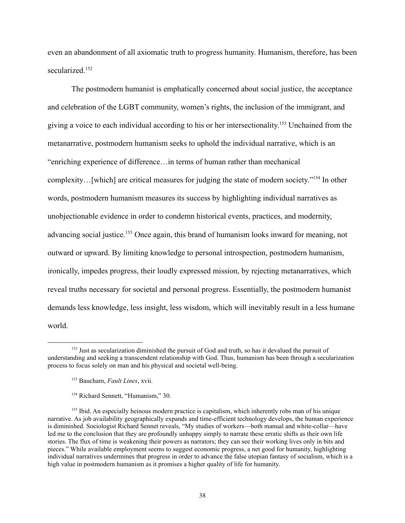even an abandonment of all axiomatic truth to progress humanity. Humanism, therefore, has been secularized.<sup>152</sup>

The postmodern humanist is emphatically concerned about social justice, the acceptance and celebration of the LGBT community, women's rights, the inclusion of the immigrant, and giving a voice to each individual according to his or her intersectionality.<sup>153</sup> Unchained from the metanarrative, postmodern humanism seeks to uphold the individual narrative, which is an "enriching experience of difference…in terms of human rather than mechanical complexity…[which] are critical measures for judging the state of modern society."<sup>154</sup> In other words, postmodern humanism measures its success by highlighting individual narratives as unobjectionable evidence in order to condemn historical events, practices, and modernity, advancing social justice.<sup>155</sup> Once again, this brand of humanism looks inward for meaning, not outward or upward. By limiting knowledge to personal introspection, postmodern humanism, ironically, impedes progress, their loudly expressed mission, by rejecting metanarratives, which reveal truths necessary for societal and personal progress. Essentially, the postmodern humanist demands less knowledge, less insight, less wisdom, which will inevitably result in a less humane world.

<sup>&</sup>lt;sup>152</sup> Just as secularization diminished the pursuit of God and truth, so has it devalued the pursuit of understanding and seeking a transcendent relationship with God. Thus, humanism has been through a secularization process to focus solely on man and his physical and societal well-being.

<sup>153</sup> Baucham, *Fault Lines*, xvii.

<sup>&</sup>lt;sup>154</sup> Richard Sennett, "Humanism," 30.

<sup>&</sup>lt;sup>155</sup> Ibid. An especially heinous modern practice is capitalism, which inherently robs man of his unique narrative. As job availability geographically expands and time-efficient technology develops, the human experience is diminished. Sociologist Richard Sennet reveals, "My studies of workers—both manual and white-collar—have led me to the conclusion that they are profoundly unhappy simply to narrate these erratic shifts as their own life stories. The flux of time is weakening their powers as narrators; they can see their working lives only in bits and pieces." While available employment seems to suggest economic progress, a net good for humanity, highlighting individual narratives undermines that progress in order to advance the false utopian fantasy of socialism, which is a high value in postmodern humanism as it promises a higher quality of life for humanity.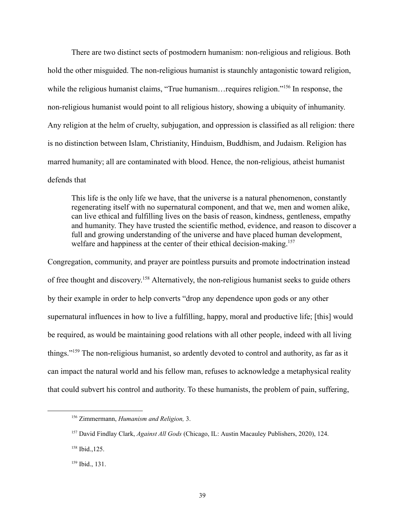There are two distinct sects of postmodern humanism: non-religious and religious. Both hold the other misguided. The non-religious humanist is staunchly antagonistic toward religion, while the religious humanist claims, "True humanism... requires religion."<sup>156</sup> In response, the non-religious humanist would point to all religious history, showing a ubiquity of inhumanity. Any religion at the helm of cruelty, subjugation, and oppression is classified as all religion: there is no distinction between Islam, Christianity, Hinduism, Buddhism, and Judaism. Religion has marred humanity; all are contaminated with blood. Hence, the non-religious, atheist humanist defends that

This life is the only life we have, that the universe is a natural phenomenon, constantly regenerating itself with no supernatural component, and that we, men and women alike, can live ethical and fulfilling lives on the basis of reason, kindness, gentleness, empathy and humanity. They have trusted the scientific method, evidence, and reason to discover a full and growing understanding of the universe and have placed human development, welfare and happiness at the center of their ethical decision-making.<sup>157</sup>

Congregation, community, and prayer are pointless pursuits and promote indoctrination instead of free thought and discovery. <sup>158</sup> Alternatively, the non-religious humanist seeks to guide others by their example in order to help converts "drop any dependence upon gods or any other supernatural influences in how to live a fulfilling, happy, moral and productive life; [this] would be required, as would be maintaining good relations with all other people, indeed with all living things."<sup>159</sup> The non-religious humanist, so ardently devoted to control and authority, as far as it can impact the natural world and his fellow man, refuses to acknowledge a metaphysical reality that could subvert his control and authority. To these humanists, the problem of pain, suffering,

<sup>156</sup> Zimmermann, *Humanism and Religion,* 3.

<sup>157</sup> David Findlay Clark, *Against All Gods* (Chicago, IL: Austin Macauley Publishers, 2020), 124.

<sup>158</sup> Ibid.,125.

<sup>159</sup> Ibid., 131.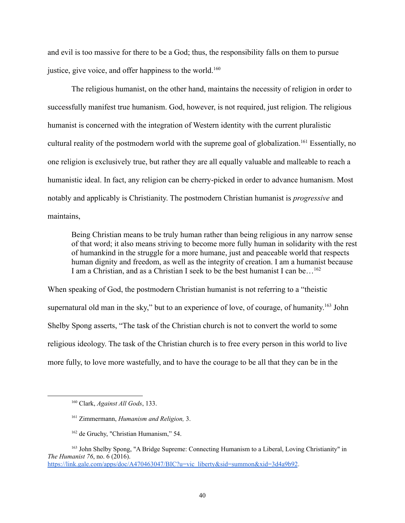and evil is too massive for there to be a God; thus, the responsibility falls on them to pursue justice, give voice, and offer happiness to the world.<sup>160</sup>

The religious humanist, on the other hand, maintains the necessity of religion in order to successfully manifest true humanism. God, however, is not required, just religion. The religious humanist is concerned with the integration of Western identity with the current pluralistic cultural reality of the postmodern world with the supreme goal of globalization.<sup>161</sup> Essentially, no one religion is exclusively true, but rather they are all equally valuable and malleable to reach a humanistic ideal. In fact, any religion can be cherry-picked in order to advance humanism. Most notably and applicably is Christianity. The postmodern Christian humanist is *progressive* and maintains,

Being Christian means to be truly human rather than being religious in any narrow sense of that word; it also means striving to become more fully human in solidarity with the rest of humankind in the struggle for a more humane, just and peaceable world that respects human dignity and freedom, as well as the integrity of creation. I am a humanist because I am a Christian, and as a Christian I seek to be the best humanist I can be…<sup>162</sup>

When speaking of God, the postmodern Christian humanist is not referring to a "theistic supernatural old man in the sky," but to an experience of love, of courage, of humanity.<sup>163</sup> John Shelby Spong asserts, "The task of the Christian church is not to convert the world to some religious ideology. The task of the Christian church is to free every person in this world to live more fully, to love more wastefully, and to have the courage to be all that they can be in the

<sup>160</sup> Clark, *Against All Gods*, 133.

<sup>161</sup> Zimmermann, *Humanism and Religion,* 3.

<sup>162</sup> de Gruchy, "Christian Humanism," 54.

<sup>163</sup> John Shelby Spong, "A Bridge Supreme: Connecting Humanism to a Liberal, Loving Christianity" in *The Humanist 76*, no. 6 (2016). [https://link.gale.com/apps/doc/A470463047/BIC?u=vic\\_liberty&sid=summon&xid=3d4a9b92](https://link.gale.com/apps/doc/A470463047/BIC?u=vic_liberty&sid=summon&xid=3d4a9b92).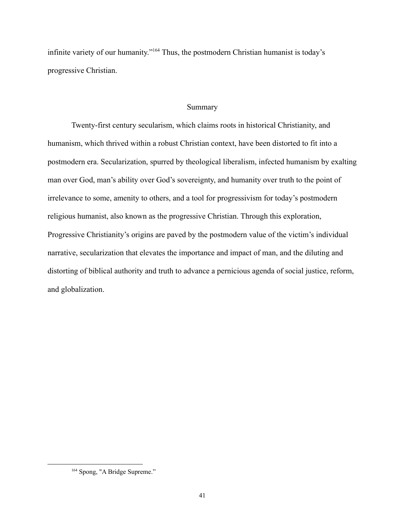infinite variety of our humanity."<sup>164</sup> Thus, the postmodern Christian humanist is today's progressive Christian.

# Summary

Twenty-first century secularism, which claims roots in historical Christianity, and humanism, which thrived within a robust Christian context, have been distorted to fit into a postmodern era. Secularization, spurred by theological liberalism, infected humanism by exalting man over God, man's ability over God's sovereignty, and humanity over truth to the point of irrelevance to some, amenity to others, and a tool for progressivism for today's postmodern religious humanist, also known as the progressive Christian. Through this exploration, Progressive Christianity's origins are paved by the postmodern value of the victim's individual narrative, secularization that elevates the importance and impact of man, and the diluting and distorting of biblical authority and truth to advance a pernicious agenda of social justice, reform, and globalization.

<sup>&</sup>lt;sup>164</sup> Spong, "A Bridge Supreme."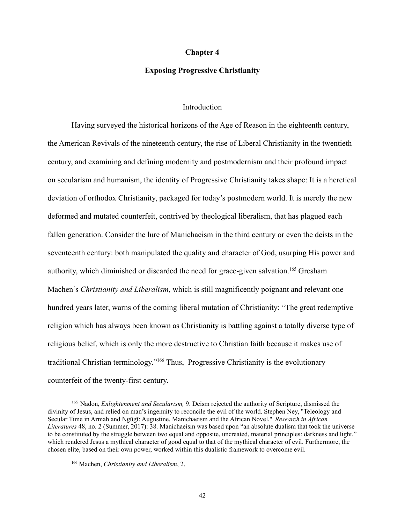### **Chapter 4**

### **Exposing Progressive Christianity**

## **Introduction**

Having surveyed the historical horizons of the Age of Reason in the eighteenth century, the American Revivals of the nineteenth century, the rise of Liberal Christianity in the twentieth century, and examining and defining modernity and postmodernism and their profound impact on secularism and humanism, the identity of Progressive Christianity takes shape: It is a heretical deviation of orthodox Christianity, packaged for today's postmodern world. It is merely the new deformed and mutated counterfeit, contrived by theological liberalism, that has plagued each fallen generation. Consider the lure of Manichaeism in the third century or even the deists in the seventeenth century: both manipulated the quality and character of God, usurping His power and authority, which diminished or discarded the need for grace-given salvation.<sup>165</sup> Gresham Machen's *Christianity and Liberalism*, which is still magnificently poignant and relevant one hundred years later, warns of the coming liberal mutation of Christianity: "The great redemptive religion which has always been known as Christianity is battling against a totally diverse type of religious belief, which is only the more destructive to Christian faith because it makes use of traditional Christian terminology."<sup>166</sup> Thus, Progressive Christianity is the evolutionary counterfeit of the twenty-first century.

<sup>165</sup> Nadon, *Enlightenment and Secularism,* 9. Deism rejected the authority of Scripture, dismissed the divinity of Jesus, and relied on man's ingenuity to reconcile the evil of the world. Stephen Ney, "Teleology and Secular Time in Armah and Ngũgĩ: Augustine, Manichaeism and the African Novel," *Research in African Literatures* 48, no. 2 (Summer, 2017): 38. Manichaeism was based upon "an absolute dualism that took the universe to be constituted by the struggle between two equal and opposite, uncreated, material principles: darkness and light," which rendered Jesus a mythical character of good equal to that of the mythical character of evil. Furthermore, the chosen elite, based on their own power, worked within this dualistic framework to overcome evil.

<sup>166</sup> Machen, *Christianity and Liberalism*, 2.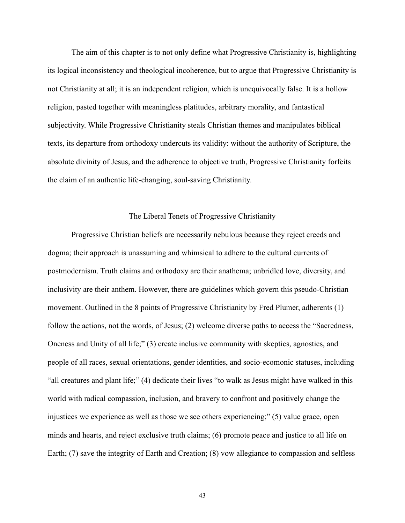The aim of this chapter is to not only define what Progressive Christianity is, highlighting its logical inconsistency and theological incoherence, but to argue that Progressive Christianity is not Christianity at all; it is an independent religion, which is unequivocally false. It is a hollow religion, pasted together with meaningless platitudes, arbitrary morality, and fantastical subjectivity. While Progressive Christianity steals Christian themes and manipulates biblical texts, its departure from orthodoxy undercuts its validity: without the authority of Scripture, the absolute divinity of Jesus, and the adherence to objective truth, Progressive Christianity forfeits the claim of an authentic life-changing, soul-saving Christianity.

## The Liberal Tenets of Progressive Christianity

Progressive Christian beliefs are necessarily nebulous because they reject creeds and dogma; their approach is unassuming and whimsical to adhere to the cultural currents of postmodernism. Truth claims and orthodoxy are their anathema; unbridled love, diversity, and inclusivity are their anthem. However, there are guidelines which govern this pseudo-Christian movement. Outlined in the 8 points of Progressive Christianity by Fred Plumer, adherents (1) follow the actions, not the words, of Jesus; (2) welcome diverse paths to access the "Sacredness, Oneness and Unity of all life;" (3) create inclusive community with skeptics, agnostics, and people of all races, sexual orientations, gender identities, and socio-ecomonic statuses, including "all creatures and plant life;" (4) dedicate their lives "to walk as Jesus might have walked in this world with radical compassion, inclusion, and bravery to confront and positively change the injustices we experience as well as those we see others experiencing;" (5) value grace, open minds and hearts, and reject exclusive truth claims; (6) promote peace and justice to all life on Earth; (7) save the integrity of Earth and Creation; (8) vow allegiance to compassion and selfless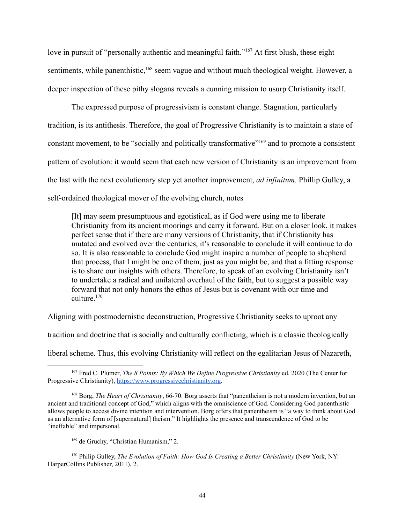love in pursuit of "personally authentic and meaningful faith."<sup>167</sup> At first blush, these eight sentiments, while panenthistic,<sup>168</sup> seem vague and without much theological weight. However, a deeper inspection of these pithy slogans reveals a cunning mission to usurp Christianity itself.

The expressed purpose of progressivism is constant change. Stagnation, particularly tradition, is its antithesis. Therefore, the goal of Progressive Christianity is to maintain a state of constant movement, to be "socially and politically transformative"<sup>169</sup> and to promote a consistent pattern of evolution: it would seem that each new version of Christianity is an improvement from the last with the next evolutionary step yet another improvement, *ad infinitum.* Phillip Gulley, a self-ordained theological mover of the evolving church, notes

[It] may seem presumptuous and egotistical, as if God were using me to liberate Christianity from its ancient moorings and carry it forward. But on a closer look, it makes perfect sense that if there are many versions of Christianity, that if Christianity has mutated and evolved over the centuries, it's reasonable to conclude it will continue to do so. It is also reasonable to conclude God might inspire a number of people to shepherd that process, that I might be one of them, just as you might be, and that a fitting response is to share our insights with others. Therefore, to speak of an evolving Christianity isn't to undertake a radical and unilateral overhaul of the faith, but to suggest a possible way forward that not only honors the ethos of Jesus but is covenant with our time and culture.<sup>170</sup>

Aligning with postmodernistic deconstruction, Progressive Christianity seeks to uproot any

tradition and doctrine that is socially and culturally conflicting, which is a classic theologically

liberal scheme. Thus, this evolving Christianity will reflect on the egalitarian Jesus of Nazareth,

<sup>167</sup> Fred C. Plumer, *The 8 Points: By Which We Define Progressive Christianity* ed. 2020 (The Center for Progressive Christianity), [https://www.progressivechristianity.org.](https://www.progressivechristianity.org)

<sup>168</sup> Borg, *The Heart of Christianity*, 66-70. Borg asserts that "panentheism is not a modern invention, but an ancient and traditional concept of God," which aligns with the omniscience of God. Considering God panenthistic allows people to access divine intention and intervention. Borg offers that panentheism is "a way to think about God as an alternative form of [supernatural] theism." It highlights the presence and transcendence of God to be "ineffable" and impersonal.

<sup>169</sup> de Gruchy, "Christian Humanism," 2.

<sup>170</sup> Philip Gulley, *The Evolution of Faith: How God Is Creating a Better Christianity* (New York, NY: HarperCollins Publisher, 2011), 2.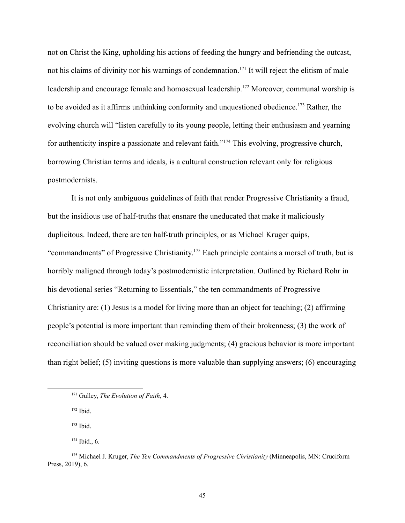not on Christ the King, upholding his actions of feeding the hungry and befriending the outcast, not his claims of divinity nor his warnings of condemnation.<sup>171</sup> It will reject the elitism of male leadership and encourage female and homosexual leadership.<sup>172</sup> Moreover, communal worship is to be avoided as it affirms unthinking conformity and unquestioned obedience.<sup>173</sup> Rather, the evolving church will "listen carefully to its young people, letting their enthusiasm and yearning for authenticity inspire a passionate and relevant faith."<sup>174</sup> This evolving, progressive church, borrowing Christian terms and ideals, is a cultural construction relevant only for religious postmodernists.

It is not only ambiguous guidelines of faith that render Progressive Christianity a fraud, but the insidious use of half-truths that ensnare the uneducated that make it maliciously duplicitous. Indeed, there are ten half-truth principles, or as Michael Kruger quips, "commandments" of Progressive Christianity.<sup>175</sup> Each principle contains a morsel of truth, but is horribly maligned through today's postmodernistic interpretation. Outlined by Richard Rohr in his devotional series "Returning to Essentials," the ten commandments of Progressive Christianity are: (1) Jesus is a model for living more than an object for teaching; (2) affirming people's potential is more important than reminding them of their brokenness; (3) the work of reconciliation should be valued over making judgments; (4) gracious behavior is more important than right belief; (5) inviting questions is more valuable than supplying answers; (6) encouraging

<sup>171</sup> Gulley, *The Evolution of Faith*, 4.

 $172$  Ibid.

<sup>173</sup> Ibid.

 $174$  Ibid., 6.

<sup>175</sup> Michael J. Kruger, *The Ten Commandments of Progressive Christianity* (Minneapolis, MN: Cruciform Press, 2019), 6.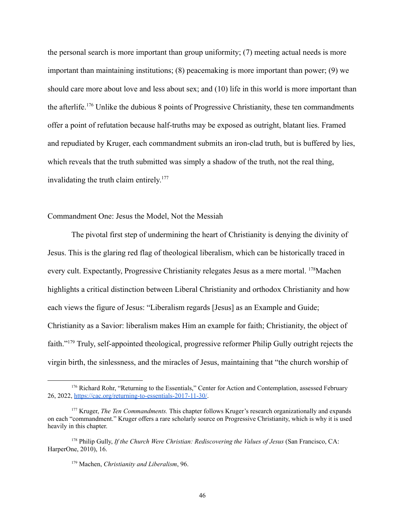the personal search is more important than group uniformity; (7) meeting actual needs is more important than maintaining institutions; (8) peacemaking is more important than power; (9) we should care more about love and less about sex; and (10) life in this world is more important than the afterlife.<sup>176</sup> Unlike the dubious 8 points of Progressive Christianity, these ten commandments offer a point of refutation because half-truths may be exposed as outright, blatant lies. Framed and repudiated by Kruger, each commandment submits an iron-clad truth, but is buffered by lies, which reveals that the truth submitted was simply a shadow of the truth, not the real thing, invalidating the truth claim entirely. 177

# Commandment One: Jesus the Model, Not the Messiah

The pivotal first step of undermining the heart of Christianity is denying the divinity of Jesus. This is the glaring red flag of theological liberalism, which can be historically traced in every cult. Expectantly, Progressive Christianity relegates Jesus as a mere mortal. <sup>178</sup>Machen highlights a critical distinction between Liberal Christianity and orthodox Christianity and how each views the figure of Jesus: "Liberalism regards [Jesus] as an Example and Guide; Christianity as a Savior: liberalism makes Him an example for faith; Christianity, the object of faith."<sup>179</sup> Truly, self-appointed theological, progressive reformer Philip Gully outright rejects the virgin birth, the sinlessness, and the miracles of Jesus, maintaining that "the church worship of

<sup>&</sup>lt;sup>176</sup> Richard Rohr, "Returning to the Essentials," Center for Action and Contemplation, assessed February 26, 2022, <https://cac.org/returning-to-essentials-2017-11-30/>.

<sup>177</sup> Kruger, *The Ten Commandments.* This chapter follows Kruger's research organizationally and expands on each "commandment." Kruger offers a rare scholarly source on Progressive Christianity, which is why it is used heavily in this chapter.

<sup>178</sup> Philip Gully, *If the Church Were Christian: Rediscovering the Values of Jesus* (San Francisco, CA: HarperOne, 2010), 16.

<sup>179</sup> Machen, *Christianity and Liberalism*, 96.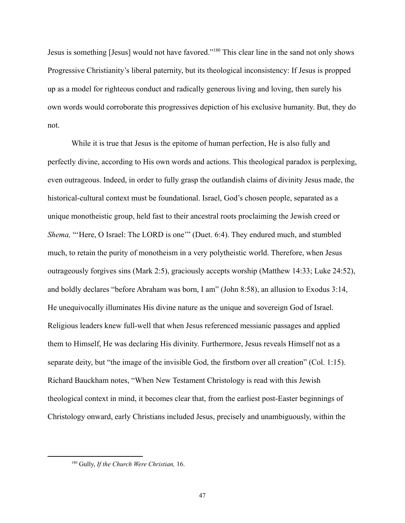Jesus is something [Jesus] would not have favored."<sup>180</sup> This clear line in the sand not only shows Progressive Christianity's liberal paternity, but its theological inconsistency: If Jesus is propped up as a model for righteous conduct and radically generous living and loving, then surely his own words would corroborate this progressives depiction of his exclusive humanity. But, they do not.

While it is true that Jesus is the epitome of human perfection, He is also fully and perfectly divine, according to His own words and actions. This theological paradox is perplexing, even outrageous. Indeed, in order to fully grasp the outlandish claims of divinity Jesus made, the historical-cultural context must be foundational. Israel, God's chosen people, separated as a unique monotheistic group, held fast to their ancestral roots proclaiming the Jewish creed or *Shema,* "'Here, O Israel: The LORD is one'" (Duet. 6:4). They endured much, and stumbled much, to retain the purity of monotheism in a very polytheistic world. Therefore, when Jesus outrageously forgives sins (Mark 2:5), graciously accepts worship (Matthew 14:33; Luke 24:52), and boldly declares "before Abraham was born, I am" (John 8:58), an allusion to Exodus 3:14, He unequivocally illuminates His divine nature as the unique and sovereign God of Israel. Religious leaders knew full-well that when Jesus referenced messianic passages and applied them to Himself, He was declaring His divinity. Furthermore, Jesus reveals Himself not as a separate deity, but "the image of the invisible God, the firstborn over all creation" (Col. 1:15). Richard Bauckham notes, "When New Testament Christology is read with this Jewish theological context in mind, it becomes clear that, from the earliest post-Easter beginnings of Christology onward, early Christians included Jesus, precisely and unambiguously, within the

<sup>180</sup> Gully, *If the Church Were Christian,* 16.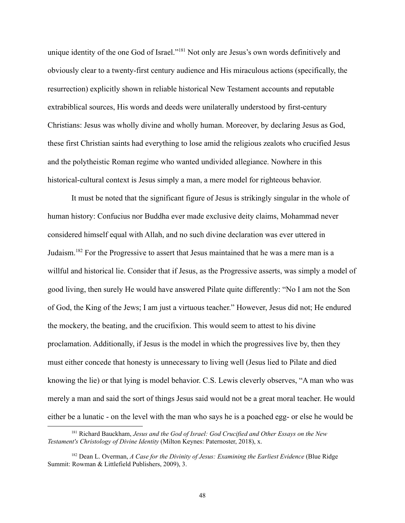unique identity of the one God of Israel."<sup>181</sup> Not only are Jesus's own words definitively and obviously clear to a twenty-first century audience and His miraculous actions (specifically, the resurrection) explicitly shown in reliable historical New Testament accounts and reputable extrabiblical sources, His words and deeds were unilaterally understood by first-century Christians: Jesus was wholly divine and wholly human. Moreover, by declaring Jesus as God, these first Christian saints had everything to lose amid the religious zealots who crucified Jesus and the polytheistic Roman regime who wanted undivided allegiance. Nowhere in this historical-cultural context is Jesus simply a man, a mere model for righteous behavior.

It must be noted that the significant figure of Jesus is strikingly singular in the whole of human history: Confucius nor Buddha ever made exclusive deity claims, Mohammad never considered himself equal with Allah, and no such divine declaration was ever uttered in Judaism.<sup>182</sup> For the Progressive to assert that Jesus maintained that he was a mere man is a willful and historical lie. Consider that if Jesus, as the Progressive asserts, was simply a model of good living, then surely He would have answered Pilate quite differently: "No I am not the Son of God, the King of the Jews; I am just a virtuous teacher." However, Jesus did not; He endured the mockery, the beating, and the crucifixion. This would seem to attest to his divine proclamation. Additionally, if Jesus is the model in which the progressives live by, then they must either concede that honesty is unnecessary to living well (Jesus lied to Pilate and died knowing the lie) or that lying is model behavior. C.S. Lewis cleverly observes, "A man who was merely a man and said the sort of things Jesus said would not be a great moral teacher. He would either be a lunatic - on the level with the man who says he is a poached egg- or else he would be

<sup>181</sup> Richard Bauckham, *Jesus and the God of Israel: God Crucified and Other Essays on the New Testament's Christology of Divine Identity* (Milton Keynes: Paternoster, 2018), x.

<sup>182</sup> Dean L. Overman, *A Case for the Divinity of Jesus: Examining the Earliest Evidence* (Blue Ridge Summit: Rowman & Littlefield Publishers, 2009), 3.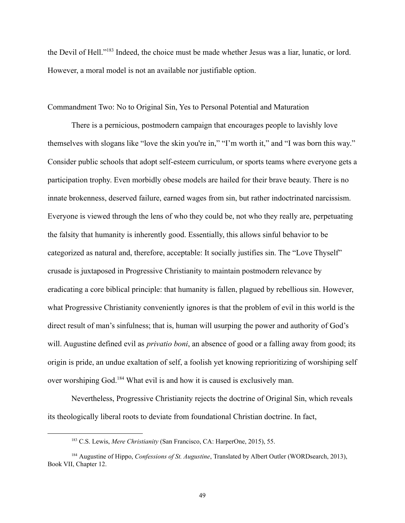the Devil of Hell."<sup>183</sup> Indeed, the choice must be made whether Jesus was a liar, lunatic, or lord. However, a moral model is not an available nor justifiable option.

#### Commandment Two: No to Original Sin, Yes to Personal Potential and Maturation

There is a pernicious, postmodern campaign that encourages people to lavishly love themselves with slogans like "love the skin you're in," "I'm worth it," and "I was born this way." Consider public schools that adopt self-esteem curriculum, or sports teams where everyone gets a participation trophy. Even morbidly obese models are hailed for their brave beauty. There is no innate brokenness, deserved failure, earned wages from sin, but rather indoctrinated narcissism. Everyone is viewed through the lens of who they could be, not who they really are, perpetuating the falsity that humanity is inherently good. Essentially, this allows sinful behavior to be categorized as natural and, therefore, acceptable: It socially justifies sin. The "Love Thyself" crusade is juxtaposed in Progressive Christianity to maintain postmodern relevance by eradicating a core biblical principle: that humanity is fallen, plagued by rebellious sin. However, what Progressive Christianity conveniently ignores is that the problem of evil in this world is the direct result of man's sinfulness; that is, human will usurping the power and authority of God's will. Augustine defined evil as *privatio boni*, an absence of good or a falling away from good; its origin is pride, an undue exaltation of self, a foolish yet knowing reprioritizing of worshiping self over worshiping God.<sup>184</sup> What evil is and how it is caused is exclusively man.

Nevertheless, Progressive Christianity rejects the doctrine of Original Sin, which reveals its theologically liberal roots to deviate from foundational Christian doctrine. In fact,

<sup>183</sup> C.S. Lewis, *Mere Christianity* (San Francisco, CA: HarperOne, 2015), 55.

<sup>184</sup> Augustine of Hippo, *Confessions of St. Augustine*, Translated by Albert Outler (WORDsearch, 2013), Book VII, Chapter 12.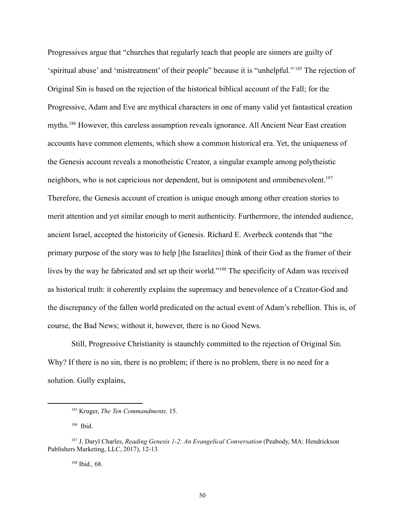Progressives argue that "churches that regularly teach that people are sinners are guilty of 'spiritual abuse' and 'mistreatment' of their people" because it is "unhelpful." <sup>185</sup> The rejection of Original Sin is based on the rejection of the historical biblical account of the Fall; for the Progressive, Adam and Eve are mythical characters in one of many valid yet fantastical creation myths.<sup>186</sup> However, this careless assumption reveals ignorance. All Ancient Near East creation accounts have common elements, which show a common historical era. Yet, the uniqueness of the Genesis account reveals a monotheistic Creator, a singular example among polytheistic neighbors, who is not capricious nor dependent, but is omnipotent and omnibenevolent.<sup>187</sup> Therefore, the Genesis account of creation is unique enough among other creation stories to merit attention and yet similar enough to merit authenticity. Furthermore, the intended audience, ancient Israel, accepted the historicity of Genesis. Richard E. Averbeck contends that "the primary purpose of the story was to help [the Israelites] think of their God as the framer of their lives by the way he fabricated and set up their world."<sup>188</sup> The specificity of Adam was received as historical truth: it coherently explains the supremacy and benevolence of a Creator-God and the discrepancy of the fallen world predicated on the actual event of Adam's rebellion. This is, of course, the Bad News; without it, however, there is no Good News.

Still, Progressive Christianity is staunchly committed to the rejection of Original Sin. Why? If there is no sin, there is no problem; if there is no problem, there is no need for a solution. Gully explains,

<sup>188</sup> Ibid.*,* 68.

<sup>185</sup> Kruger, *The Ten Commandments,* 15.

<sup>186</sup> Ibid.

<sup>187</sup> J. Daryl Charles, *Reading Genesis 1-2: An Evangelical Conversation* (Peabody, MA: Hendrickson Publishers Marketing, LLC, 2017), 12-13.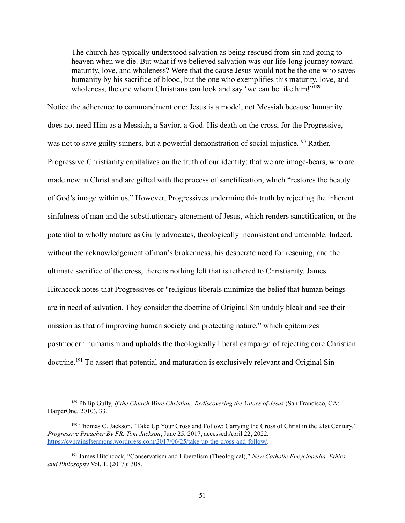The church has typically understood salvation as being rescued from sin and going to heaven when we die. But what if we believed salvation was our life-long journey toward maturity, love, and wholeness? Were that the cause Jesus would not be the one who saves humanity by his sacrifice of blood, but the one who exemplifies this maturity, love, and wholeness, the one whom Christians can look and say 'we can be like him!"<sup>189</sup>

Notice the adherence to commandment one: Jesus is a model, not Messiah because humanity does not need Him as a Messiah, a Savior, a God. His death on the cross, for the Progressive, was not to save guilty sinners, but a powerful demonstration of social injustice.<sup>190</sup> Rather, Progressive Christianity capitalizes on the truth of our identity: that we are image-bears, who are made new in Christ and are gifted with the process of sanctification, which "restores the beauty of God's image within us." However, Progressives undermine this truth by rejecting the inherent sinfulness of man and the substitutionary atonement of Jesus, which renders sanctification, or the potential to wholly mature as Gully advocates, theologically inconsistent and untenable. Indeed, without the acknowledgement of man's brokenness, his desperate need for rescuing, and the ultimate sacrifice of the cross, there is nothing left that is tethered to Christianity. James Hitchcock notes that Progressives or "religious liberals minimize the belief that human beings are in need of salvation. They consider the doctrine of Original Sin unduly bleak and see their mission as that of improving human society and protecting nature," which epitomizes postmodern humanism and upholds the theologically liberal campaign of rejecting core Christian doctrine.<sup>191</sup> To assert that potential and maturation is exclusively relevant and Original Sin

<sup>189</sup> Philip Gully, *If the Church Were Christian: Rediscovering the Values of Jesus* (San Francisco, CA: HarperOne, 2010), 33.

<sup>190</sup> Thomas C. Jackson, "Take Up Your Cross and Follow: Carrying the Cross of Christ in the 21st Century," *Progressive Preacher By FR. Tom Jackson*, June 25, 2017, accessed April 22, 2022, <https://cyprainsfsermons.wordpress.com/2017/06/25/take-up-the-cross-and-follow/>.

<sup>191</sup> James Hitchcock, "Conservatism and Liberalism (Theological)," *New Catholic Encyclopedia. Ethics and Philosophy* Vol. 1. (2013): 308.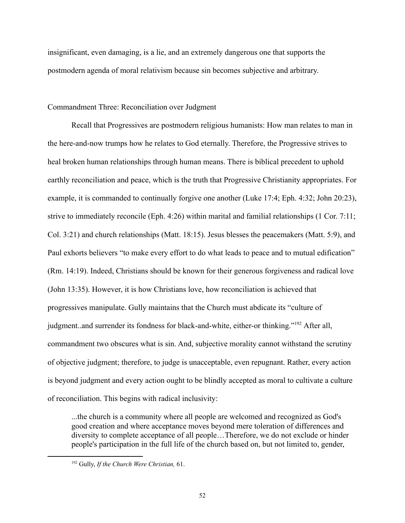insignificant, even damaging, is a lie, and an extremely dangerous one that supports the postmodern agenda of moral relativism because sin becomes subjective and arbitrary.

# Commandment Three: Reconciliation over Judgment

Recall that Progressives are postmodern religious humanists: How man relates to man in the here-and-now trumps how he relates to God eternally. Therefore, the Progressive strives to heal broken human relationships through human means. There is biblical precedent to uphold earthly reconciliation and peace, which is the truth that Progressive Christianity appropriates. For example, it is commanded to continually forgive one another (Luke 17:4; Eph. 4:32; John 20:23), strive to immediately reconcile (Eph. 4:26) within marital and familial relationships (1 Cor. 7:11; Col. 3:21) and church relationships (Matt. 18:15). Jesus blesses the peacemakers (Matt. 5:9), and Paul exhorts believers "to make every effort to do what leads to peace and to mutual edification" (Rm. 14:19). Indeed, Christians should be known for their generous forgiveness and radical love (John 13:35). However, it is how Christians love, how reconciliation is achieved that progressives manipulate. Gully maintains that the Church must abdicate its "culture of judgment..and surrender its fondness for black-and-white, either-or thinking."<sup>192</sup> After all, commandment two obscures what is sin. And, subjective morality cannot withstand the scrutiny of objective judgment; therefore, to judge is unacceptable, even repugnant. Rather, every action is beyond judgment and every action ought to be blindly accepted as moral to cultivate a culture of reconciliation. This begins with radical inclusivity:

...the church is a community where all people are welcomed and recognized as God's good creation and where acceptance moves beyond mere toleration of differences and diversity to complete acceptance of all people…Therefore, we do not exclude or hinder people's participation in the full life of the church based on, but not limited to, gender,

<sup>192</sup> Gully, *If the Church Were Christian,* 61.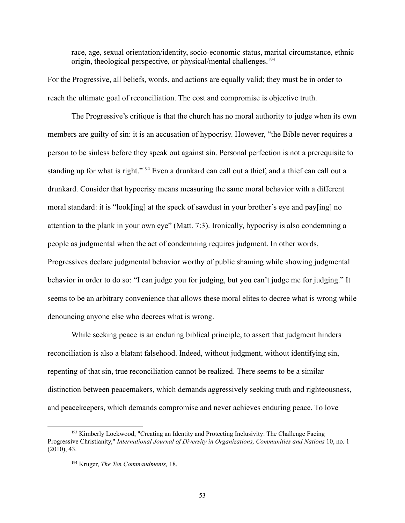race, age, sexual orientation/identity, socio-economic status, marital circumstance, ethnic origin, theological perspective, or physical/mental challenges.<sup>193</sup>

For the Progressive, all beliefs, words, and actions are equally valid; they must be in order to reach the ultimate goal of reconciliation. The cost and compromise is objective truth.

The Progressive's critique is that the church has no moral authority to judge when its own members are guilty of sin: it is an accusation of hypocrisy. However, "the Bible never requires a person to be sinless before they speak out against sin. Personal perfection is not a prerequisite to standing up for what is right."<sup>194</sup> Even a drunkard can call out a thief, and a thief can call out a drunkard. Consider that hypocrisy means measuring the same moral behavior with a different moral standard: it is "look[ing] at the speck of sawdust in your brother's eye and pay[ing] no attention to the plank in your own eye" (Matt. 7:3). Ironically, hypocrisy is also condemning a people as judgmental when the act of condemning requires judgment. In other words, Progressives declare judgmental behavior worthy of public shaming while showing judgmental behavior in order to do so: "I can judge you for judging, but you can't judge me for judging." It seems to be an arbitrary convenience that allows these moral elites to decree what is wrong while denouncing anyone else who decrees what is wrong.

While seeking peace is an enduring biblical principle, to assert that judgment hinders reconciliation is also a blatant falsehood. Indeed, without judgment, without identifying sin, repenting of that sin, true reconciliation cannot be realized. There seems to be a similar distinction between peacemakers, which demands aggressively seeking truth and righteousness, and peacekeepers, which demands compromise and never achieves enduring peace. To love

53

<sup>&</sup>lt;sup>193</sup> Kimberly Lockwood, "Creating an Identity and Protecting Inclusivity: The Challenge Facing Progressive Christianity," *International Journal of Diversity in Organizations, Communities and Nations* 10, no. 1 (2010), 43.

<sup>194</sup> Kruger, *The Ten Commandments,* 18.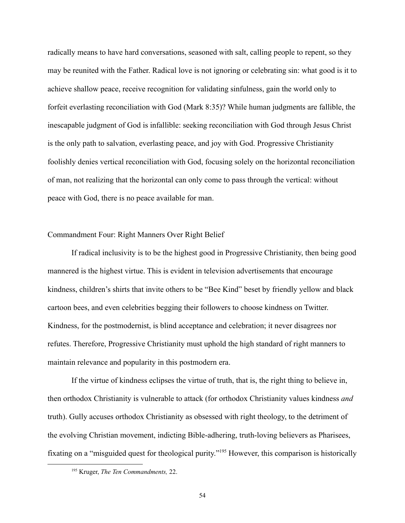radically means to have hard conversations, seasoned with salt, calling people to repent, so they may be reunited with the Father. Radical love is not ignoring or celebrating sin: what good is it to achieve shallow peace, receive recognition for validating sinfulness, gain the world only to forfeit everlasting reconciliation with God (Mark 8:35)? While human judgments are fallible, the inescapable judgment of God is infallible: seeking reconciliation with God through Jesus Christ is the only path to salvation, everlasting peace, and joy with God. Progressive Christianity foolishly denies vertical reconciliation with God, focusing solely on the horizontal reconciliation of man, not realizing that the horizontal can only come to pass through the vertical: without peace with God, there is no peace available for man.

#### Commandment Four: Right Manners Over Right Belief

If radical inclusivity is to be the highest good in Progressive Christianity, then being good mannered is the highest virtue. This is evident in television advertisements that encourage kindness, children's shirts that invite others to be "Bee Kind" beset by friendly yellow and black cartoon bees, and even celebrities begging their followers to choose kindness on Twitter. Kindness, for the postmodernist, is blind acceptance and celebration; it never disagrees nor refutes. Therefore, Progressive Christianity must uphold the high standard of right manners to maintain relevance and popularity in this postmodern era.

If the virtue of kindness eclipses the virtue of truth, that is, the right thing to believe in, then orthodox Christianity is vulnerable to attack (for orthodox Christianity values kindness *and* truth). Gully accuses orthodox Christianity as obsessed with right theology, to the detriment of the evolving Christian movement, indicting Bible-adhering, truth-loving believers as Pharisees, fixating on a "misguided quest for theological purity."<sup>195</sup> However, this comparison is historically

<sup>195</sup> Kruger, *The Ten Commandments,* 22.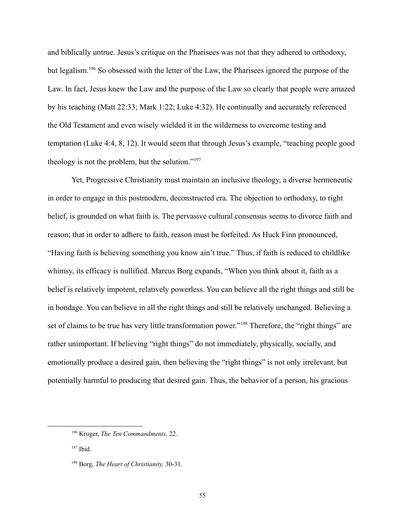and biblically untrue. Jesus's critique on the Pharisees was not that they adhered to orthodoxy, but legalism.<sup>196</sup> So obsessed with the letter of the Law, the Pharisees ignored the purpose of the Law. In fact, Jesus knew the Law and the purpose of the Law so clearly that people were amazed by his teaching (Matt 22:33; Mark 1:22; Luke 4:32). He continually and accurately referenced the Old Testament and even wisely wielded it in the wilderness to overcome testing and temptation (Luke 4:4, 8, 12). It would seem that through Jesus's example, "teaching people good theology is not the problem, but the solution."<sup>197</sup>

Yet, Progressive Christianity must maintain an inclusive theology, a diverse hermeneutic in order to engage in this postmodern, deconstructed era. The objection to orthodoxy, to right belief, is grounded on what faith is. The pervasive cultural consensus seems to divorce faith and reason; that in order to adhere to faith, reason must be forfeited. As Huck Finn pronounced, "Having faith is believing something you know ain't true." Thus, if faith is reduced to childlike whimsy, its efficacy is nullified. Marcus Borg expands, "When you think about it, faith as a belief is relatively impotent, relatively powerless. You can believe all the right things and still be in bondage. You can believe in all the right things and still be relatively unchanged. Believing a set of claims to be true has very little transformation power."<sup>198</sup> Therefore, the "right things" are rather unimportant. If believing "right things" do not immediately, physically, socially, and emotionally produce a desired gain, then believing the "right things" is not only irrelevant, but potentially harmful to producing that desired gain. Thus, the behavior of a person, his gracious

<sup>196</sup> Kruger, *The Ten Commandments,* 22.

<sup>197</sup> Ibid.

<sup>198</sup> Borg, *The Heart of Christianity,* 30-31.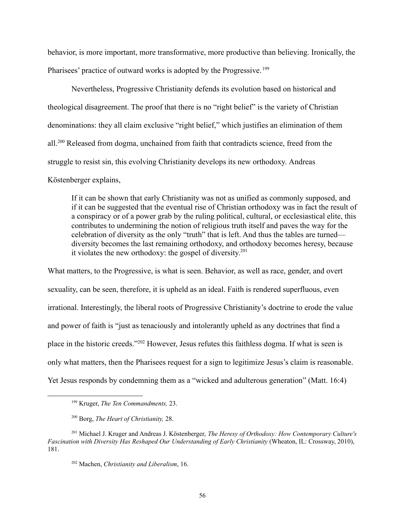behavior, is more important, more transformative, more productive than believing. Ironically, the Pharisees' practice of outward works is adopted by the Progressive.<sup>199</sup>

Nevertheless, Progressive Christianity defends its evolution based on historical and theological disagreement. The proof that there is no "right belief" is the variety of Christian denominations: they all claim exclusive "right belief," which justifies an elimination of them all.<sup>200</sup> Released from dogma, unchained from faith that contradicts science, freed from the struggle to resist sin, this evolving Christianity develops its new orthodoxy. Andreas

Köstenberger explains,

If it can be shown that early Christianity was not as unified as commonly supposed, and if it can be suggested that the eventual rise of Christian orthodoxy was in fact the result of a conspiracy or of a power grab by the ruling political, cultural, or ecclesiastical elite, this contributes to undermining the notion of religious truth itself and paves the way for the celebration of diversity as the only "truth" that is left. And thus the tables are turned diversity becomes the last remaining orthodoxy, and orthodoxy becomes heresy, because it violates the new orthodoxy: the gospel of diversity. 201

What matters, to the Progressive, is what is seen. Behavior, as well as race, gender, and overt sexuality, can be seen, therefore, it is upheld as an ideal. Faith is rendered superfluous, even irrational. Interestingly, the liberal roots of Progressive Christianity's doctrine to erode the value and power of faith is "just as tenaciously and intolerantly upheld as any doctrines that find a place in the historic creeds."<sup>202</sup> However, Jesus refutes this faithless dogma. If what is seen is only what matters, then the Pharisees request for a sign to legitimize Jesus's claim is reasonable. Yet Jesus responds by condemning them as a "wicked and adulterous generation" (Matt. 16:4)

<sup>199</sup> Kruger, *The Ten Commandments,* 23.

<sup>200</sup> Borg, *The Heart of Christianity,* 28.

<sup>201</sup> Michael J. Kruger and Andreas J. Köstenberger, *The Heresy of Orthodoxy: How Contemporary Culture's Fascination with Diversity Has Reshaped Our Understanding of Early Christianity* (Wheaton, IL: Crossway, 2010), 181.

<sup>202</sup> Machen, *Christianity and Liberalism*, 16.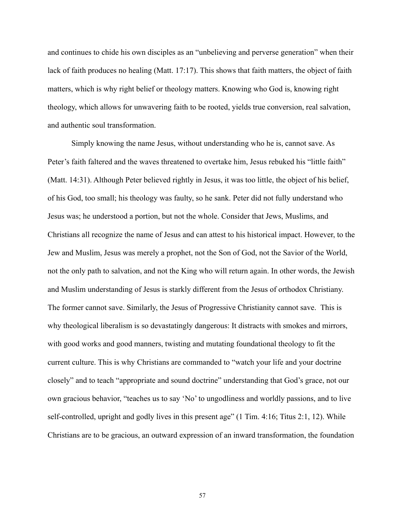and continues to chide his own disciples as an "unbelieving and perverse generation" when their lack of faith produces no healing (Matt. 17:17). This shows that faith matters, the object of faith matters, which is why right belief or theology matters. Knowing who God is, knowing right theology, which allows for unwavering faith to be rooted, yields true conversion, real salvation, and authentic soul transformation.

Simply knowing the name Jesus, without understanding who he is, cannot save. As Peter's faith faltered and the waves threatened to overtake him, Jesus rebuked his "little faith" (Matt. 14:31). Although Peter believed rightly in Jesus, it was too little, the object of his belief, of his God, too small; his theology was faulty, so he sank. Peter did not fully understand who Jesus was; he understood a portion, but not the whole. Consider that Jews, Muslims, and Christians all recognize the name of Jesus and can attest to his historical impact. However, to the Jew and Muslim, Jesus was merely a prophet, not the Son of God, not the Savior of the World, not the only path to salvation, and not the King who will return again. In other words, the Jewish and Muslim understanding of Jesus is starkly different from the Jesus of orthodox Christiany. The former cannot save. Similarly, the Jesus of Progressive Christianity cannot save. This is why theological liberalism is so devastatingly dangerous: It distracts with smokes and mirrors, with good works and good manners, twisting and mutating foundational theology to fit the current culture. This is why Christians are commanded to "watch your life and your doctrine closely" and to teach "appropriate and sound doctrine" understanding that God's grace, not our own gracious behavior, "teaches us to say 'No' to ungodliness and worldly passions, and to live self-controlled, upright and godly lives in this present age" (1 Tim. 4:16; Titus 2:1, 12). While Christians are to be gracious, an outward expression of an inward transformation, the foundation

57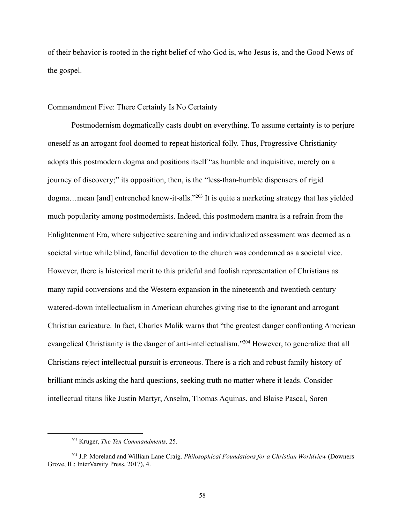of their behavior is rooted in the right belief of who God is, who Jesus is, and the Good News of the gospel.

### Commandment Five: There Certainly Is No Certainty

Postmodernism dogmatically casts doubt on everything. To assume certainty is to perjure oneself as an arrogant fool doomed to repeat historical folly. Thus, Progressive Christianity adopts this postmodern dogma and positions itself "as humble and inquisitive, merely on a journey of discovery;" its opposition, then, is the "less-than-humble dispensers of rigid dogma...mean [and] entrenched know-it-alls."<sup>203</sup> It is quite a marketing strategy that has yielded much popularity among postmodernists. Indeed, this postmodern mantra is a refrain from the Enlightenment Era, where subjective searching and individualized assessment was deemed as a societal virtue while blind, fanciful devotion to the church was condemned as a societal vice. However, there is historical merit to this prideful and foolish representation of Christians as many rapid conversions and the Western expansion in the nineteenth and twentieth century watered-down intellectualism in American churches giving rise to the ignorant and arrogant Christian caricature. In fact, Charles Malik warns that "the greatest danger confronting American evangelical Christianity is the danger of anti-intellectualism."<sup>204</sup> However, to generalize that all Christians reject intellectual pursuit is erroneous. There is a rich and robust family history of brilliant minds asking the hard questions, seeking truth no matter where it leads. Consider intellectual titans like Justin Martyr, Anselm, Thomas Aquinas, and Blaise Pascal, Soren

<sup>203</sup> Kruger, *The Ten Commandments,* 25.

<sup>204</sup> J.P. Moreland and William Lane Craig. *Philosophical Foundations for a Christian Worldview* (Downers Grove, IL: InterVarsity Press, 2017), 4.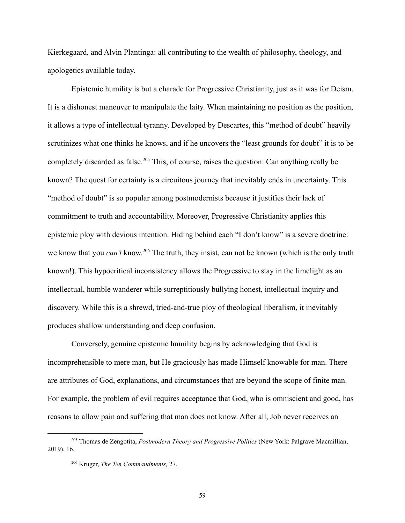Kierkegaard, and Alvin Plantinga: all contributing to the wealth of philosophy, theology, and apologetics available today.

Epistemic humility is but a charade for Progressive Christianity, just as it was for Deism. It is a dishonest maneuver to manipulate the laity. When maintaining no position as the position, it allows a type of intellectual tyranny. Developed by Descartes, this "method of doubt" heavily scrutinizes what one thinks he knows, and if he uncovers the "least grounds for doubt" it is to be completely discarded as false.<sup>205</sup> This, of course, raises the question: Can anything really be known? The quest for certainty is a circuitous journey that inevitably ends in uncertainty. This "method of doubt" is so popular among postmodernists because it justifies their lack of commitment to truth and accountability. Moreover, Progressive Christianity applies this epistemic ploy with devious intention. Hiding behind each "I don't know" is a severe doctrine: we know that you *can't* know.<sup>206</sup> The truth, they insist, can not be known (which is the only truth known!). This hypocritical inconsistency allows the Progressive to stay in the limelight as an intellectual, humble wanderer while surreptitiously bullying honest, intellectual inquiry and discovery. While this is a shrewd, tried-and-true ploy of theological liberalism, it inevitably produces shallow understanding and deep confusion.

Conversely, genuine epistemic humility begins by acknowledging that God is incomprehensible to mere man, but He graciously has made Himself knowable for man. There are attributes of God, explanations, and circumstances that are beyond the scope of finite man. For example, the problem of evil requires acceptance that God, who is omniscient and good, has reasons to allow pain and suffering that man does not know. After all, Job never receives an

<sup>205</sup> Thomas de Zengotita, *Postmodern Theory and Progressive Politics* (New York: Palgrave Macmillian, 2019), 16.

<sup>206</sup> Kruger, *The Ten Commandments,* 27.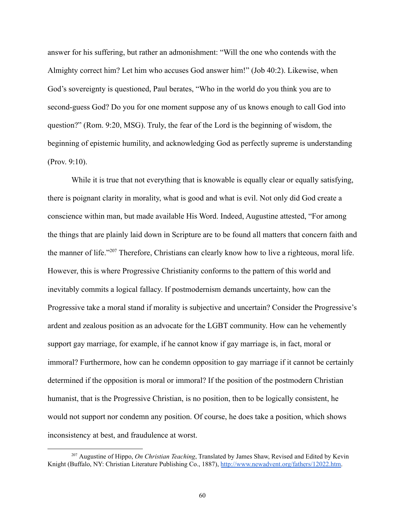answer for his suffering, but rather an admonishment: "Will the one who contends with the Almighty correct him? Let him who accuses God answer him!" (Job 40:2). Likewise, when God's sovereignty is questioned, Paul berates, "Who in the world do you think you are to second-guess God? Do you for one moment suppose any of us knows enough to call God into question?" (Rom. 9:20, MSG). Truly, the fear of the Lord is the beginning of wisdom, the beginning of epistemic humility, and acknowledging God as perfectly supreme is understanding (Prov. 9:10).

While it is true that not everything that is knowable is equally clear or equally satisfying, there is poignant clarity in morality, what is good and what is evil. Not only did God create a conscience within man, but made available His Word. Indeed, Augustine attested, "For among the things that are plainly laid down in Scripture are to be found all matters that concern faith and the manner of life."<sup>207</sup> Therefore, Christians can clearly know how to live a righteous, moral life. However, this is where Progressive Christianity conforms to the pattern of this world and inevitably commits a logical fallacy. If postmodernism demands uncertainty, how can the Progressive take a moral stand if morality is subjective and uncertain? Consider the Progressive's ardent and zealous position as an advocate for the LGBT community. How can he vehemently support gay marriage, for example, if he cannot know if gay marriage is, in fact, moral or immoral? Furthermore, how can he condemn opposition to gay marriage if it cannot be certainly determined if the opposition is moral or immoral? If the position of the postmodern Christian humanist, that is the Progressive Christian, is no position, then to be logically consistent, he would not support nor condemn any position. Of course, he does take a position, which shows inconsistency at best, and fraudulence at worst.

<sup>207</sup> Augustine of Hippo, *On Christian Teaching*, Translated by James Shaw, Revised and Edited by Kevin Knight (Buffalo, NY: Christian Literature Publishing Co., 1887), [http://www.newadvent.org/fathers/12022.htm.](http://www.newadvent.org/fathers/12022.htm)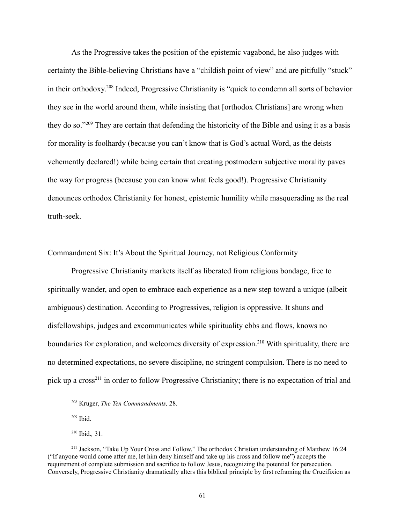As the Progressive takes the position of the epistemic vagabond, he also judges with certainty the Bible-believing Christians have a "childish point of view" and are pitifully "stuck" in their orthodoxy. 208 Indeed, Progressive Christianity is "quick to condemn all sorts of behavior they see in the world around them, while insisting that [orthodox Christians] are wrong when they do so."<sup>209</sup> They are certain that defending the historicity of the Bible and using it as a basis for morality is foolhardy (because you can't know that is God's actual Word, as the deists vehemently declared!) while being certain that creating postmodern subjective morality paves the way for progress (because you can know what feels good!). Progressive Christianity denounces orthodox Christianity for honest, epistemic humility while masquerading as the real truth-seek.

Commandment Six: It's About the Spiritual Journey, not Religious Conformity

Progressive Christianity markets itself as liberated from religious bondage, free to spiritually wander, and open to embrace each experience as a new step toward a unique (albeit ambiguous) destination. According to Progressives, religion is oppressive. It shuns and disfellowships, judges and excommunicates while spirituality ebbs and flows, knows no boundaries for exploration, and welcomes diversity of expression.<sup>210</sup> With spirituality, there are no determined expectations, no severe discipline, no stringent compulsion. There is no need to pick up a cross<sup>211</sup> in order to follow Progressive Christianity; there is no expectation of trial and

 $209$  Ibid.

<sup>210</sup> Ibid.*,* 31.

<sup>208</sup> Kruger, *The Ten Commandments,* 28.

<sup>&</sup>lt;sup>211</sup> Jackson, "Take Up Your Cross and Follow." The orthodox Christian understanding of Matthew 16:24 ("If anyone would come after me, let him deny himself and take up his cross and follow me") accepts the requirement of complete submission and sacrifice to follow Jesus, recognizing the potential for persecution. Conversely, Progressive Christianity dramatically alters this biblical principle by first reframing the Crucifixion as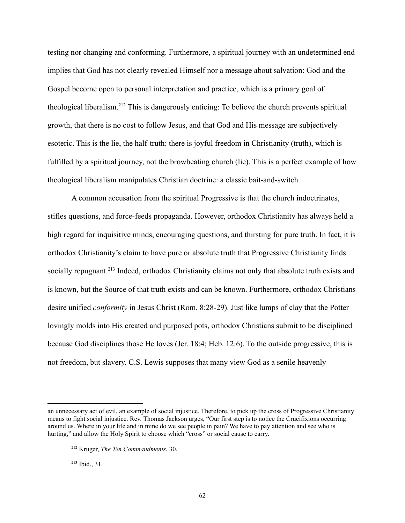testing nor changing and conforming. Furthermore, a spiritual journey with an undetermined end implies that God has not clearly revealed Himself nor a message about salvation: God and the Gospel become open to personal interpretation and practice, which is a primary goal of theological liberalism.<sup>212</sup> This is dangerously enticing: To believe the church prevents spiritual growth, that there is no cost to follow Jesus, and that God and His message are subjectively esoteric. This is the lie, the half-truth: there is joyful freedom in Christianity (truth), which is fulfilled by a spiritual journey, not the browbeating church (lie). This is a perfect example of how theological liberalism manipulates Christian doctrine: a classic bait-and-switch.

A common accusation from the spiritual Progressive is that the church indoctrinates, stifles questions, and force-feeds propaganda. However, orthodox Christianity has always held a high regard for inquisitive minds, encouraging questions, and thirsting for pure truth. In fact, it is orthodox Christianity's claim to have pure or absolute truth that Progressive Christianity finds socially repugnant.<sup>213</sup> Indeed, orthodox Christianity claims not only that absolute truth exists and is known, but the Source of that truth exists and can be known. Furthermore, orthodox Christians desire unified *conformity* in Jesus Christ (Rom. 8:28-29). Just like lumps of clay that the Potter lovingly molds into His created and purposed pots, orthodox Christians submit to be disciplined because God disciplines those He loves (Jer. 18:4; Heb. 12:6). To the outside progressive, this is not freedom, but slavery. C.S. Lewis supposes that many view God as a senile heavenly

<sup>213</sup> Ibid., 31.

an unnecessary act of evil, an example of social injustice. Therefore, to pick up the cross of Progressive Christianity means to fight social injustice. Rev. Thomas Jackson urges, "Our first step is to notice the Crucifixions occurring around us. Where in your life and in mine do we see people in pain? We have to pay attention and see who is hurting," and allow the Holy Spirit to choose which "cross" or social cause to carry.

<sup>212</sup> Kruger, *The Ten Commandments*, 30.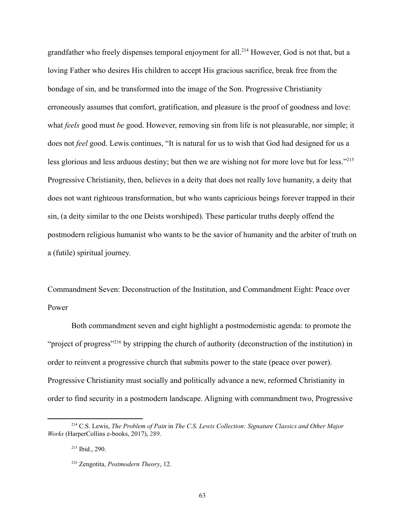grandfather who freely dispenses temporal enjoyment for all.<sup>214</sup> However, God is not that, but a loving Father who desires His children to accept His gracious sacrifice, break free from the bondage of sin, and be transformed into the image of the Son. Progressive Christianity erroneously assumes that comfort, gratification, and pleasure is the proof of goodness and love: what *feels* good must *be* good. However, removing sin from life is not pleasurable, nor simple; it does not *feel* good. Lewis continues, "It is natural for us to wish that God had designed for us a less glorious and less arduous destiny; but then we are wishing not for more love but for less."<sup>215</sup> Progressive Christianity, then, believes in a deity that does not really love humanity, a deity that does not want righteous transformation, but who wants capricious beings forever trapped in their sin, (a deity similar to the one Deists worshiped). These particular truths deeply offend the postmodern religious humanist who wants to be the savior of humanity and the arbiter of truth on a (futile) spiritual journey.

Commandment Seven: Deconstruction of the Institution, and Commandment Eight: Peace over Power

Both commandment seven and eight highlight a postmodernistic agenda: to promote the "project of progress"<sup>216</sup> by stripping the church of authority (deconstruction of the institution) in order to reinvent a progressive church that submits power to the state (peace over power). Progressive Christianity must socially and politically advance a new, reformed Christianity in order to find security in a postmodern landscape. Aligning with commandment two, Progressive

<sup>214</sup> C.S. Lewis, *The Problem of Pain* in *The C.S. Lewis Collection: Signature Classics and Other Major Works* (HarperCollins e-books, 2017), 289.

<sup>215</sup> Ibid., 290.

<sup>216</sup> Zengotita, *Postmodern Theory*, 12.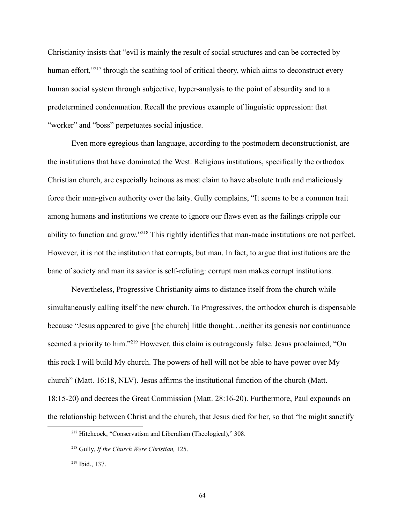Christianity insists that "evil is mainly the result of social structures and can be corrected by human effort,"<sup>217</sup> through the scathing tool of critical theory, which aims to deconstruct every human social system through subjective, hyper-analysis to the point of absurdity and to a predetermined condemnation. Recall the previous example of linguistic oppression: that "worker" and "boss" perpetuates social injustice.

Even more egregious than language, according to the postmodern deconstructionist, are the institutions that have dominated the West. Religious institutions, specifically the orthodox Christian church, are especially heinous as most claim to have absolute truth and maliciously force their man-given authority over the laity. Gully complains, "It seems to be a common trait among humans and institutions we create to ignore our flaws even as the failings cripple our ability to function and grow."<sup>218</sup> This rightly identifies that man-made institutions are not perfect. However, it is not the institution that corrupts, but man. In fact, to argue that institutions are the bane of society and man its savior is self-refuting: corrupt man makes corrupt institutions.

Nevertheless, Progressive Christianity aims to distance itself from the church while simultaneously calling itself the new church. To Progressives, the orthodox church is dispensable because "Jesus appeared to give [the church] little thought…neither its genesis nor continuance seemed a priority to him."<sup>219</sup> However, this claim is outrageously false. Jesus proclaimed, "On this rock I will build My church. The powers of hell will not be able to have power over My church" (Matt. 16:18, NLV). Jesus affirms the institutional function of the church (Matt. 18:15-20) and decrees the Great Commission (Matt. 28:16-20). Furthermore, Paul expounds on the relationship between Christ and the church, that Jesus died for her, so that "he might sanctify

<sup>&</sup>lt;sup>217</sup> Hitchcock, "Conservatism and Liberalism (Theological)," 308.

<sup>218</sup> Gully, *If the Church Were Christian,* 125.

<sup>219</sup> Ibid., 137.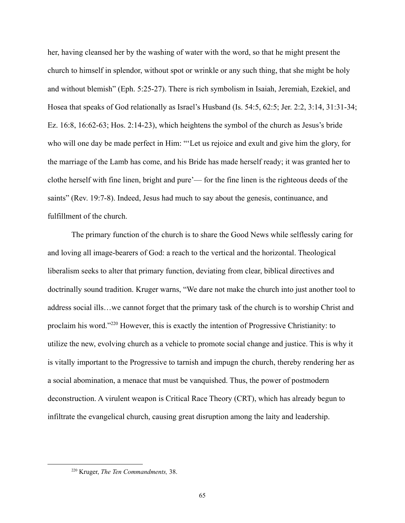her, having cleansed her by the washing of water with the word, so that he might present the church to himself in splendor, without spot or wrinkle or any such thing, that she might be holy and without blemish" (Eph. 5:25-27). There is rich symbolism in Isaiah, Jeremiah, Ezekiel, and Hosea that speaks of God relationally as Israel's Husband (Is. 54:5, 62:5; Jer. 2:2, 3:14, 31:31-34; Ez. 16:8, 16:62-63; Hos. 2:14-23), which heightens the symbol of the church as Jesus's bride who will one day be made perfect in Him: "'Let us rejoice and exult and give him the glory, for the marriage of the Lamb has come, and his Bride has made herself ready; it was granted her to clothe herself with fine linen, bright and pure'— for the fine linen is the righteous deeds of the saints" (Rev. 19:7-8). Indeed, Jesus had much to say about the genesis, continuance, and fulfillment of the church.

The primary function of the church is to share the Good News while selflessly caring for and loving all image-bearers of God: a reach to the vertical and the horizontal. Theological liberalism seeks to alter that primary function, deviating from clear, biblical directives and doctrinally sound tradition. Kruger warns, "We dare not make the church into just another tool to address social ills…we cannot forget that the primary task of the church is to worship Christ and proclaim his word."<sup>220</sup> However, this is exactly the intention of Progressive Christianity: to utilize the new, evolving church as a vehicle to promote social change and justice. This is why it is vitally important to the Progressive to tarnish and impugn the church, thereby rendering her as a social abomination, a menace that must be vanquished. Thus, the power of postmodern deconstruction. A virulent weapon is Critical Race Theory (CRT), which has already begun to infiltrate the evangelical church, causing great disruption among the laity and leadership.

<sup>220</sup> Kruger, *The Ten Commandments,* 38.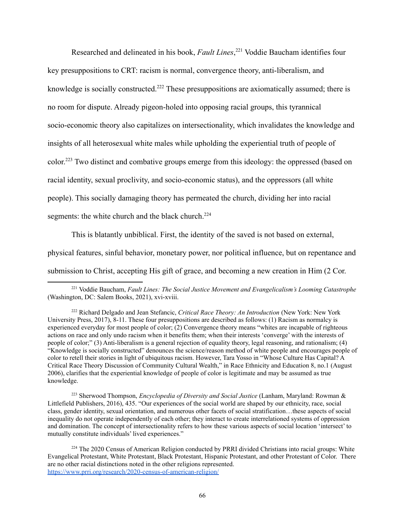Researched and delineated in his book, *Fault Lines*, <sup>221</sup> Voddie Baucham identifies four key presuppositions to CRT: racism is normal, convergence theory, anti-liberalism, and knowledge is socially constructed.<sup>222</sup> These presuppositions are axiomatically assumed; there is no room for dispute. Already pigeon-holed into opposing racial groups, this tyrannical socio-economic theory also capitalizes on intersectionality, which invalidates the knowledge and insights of all heterosexual white males while upholding the experiential truth of people of color.<sup>223</sup> Two distinct and combative groups emerge from this ideology: the oppressed (based on racial identity, sexual proclivity, and socio-economic status), and the oppressors (all white people). This socially damaging theory has permeated the church, dividing her into racial segments: the white church and the black church.<sup>224</sup>

This is blatantly unbiblical. First, the identity of the saved is not based on external, physical features, sinful behavior, monetary power, nor political influence, but on repentance and submission to Christ, accepting His gift of grace, and becoming a new creation in Him (2 Cor.

<sup>223</sup> Sherwood Thompson, *Encyclopedia of Diversity and Social Justice* (Lanham, Maryland: Rowman & Littlefield Publishers, 2016), 435. "Our experiences of the social world are shaped by our ethnicity, race, social class, gender identity, sexual orientation, and numerous other facets of social stratification…these aspects of social inequality do not operate independently of each other; they interact to create interrelationed systems of oppression and domination. The concept of intersectionality refers to how these various aspects of social location 'intersect' to mutually constitute individuals' lived experiences."

<sup>224</sup> The 2020 Census of American Religion conducted by PRRI divided Christians into racial groups: White Evangelical Protestant, White Protestant, Black Protestant, Hispanic Protestant, and other Protestant of Color. There are no other racial distinctions noted in the other religions represented. <https://www.prri.org/research/2020-census-of-american-religion/>

<sup>221</sup> Voddie Baucham, *Fault Lines: The Social Justice Movement and Evangelicalism's Looming Catastrophe* (Washington, DC: Salem Books, 2021), xvi-xviii.

<sup>222</sup> Richard Delgado and Jean Stefancic, *Critical Race Theory: An Introduction* (New York: New York University Press, 2017), 8-11. These four presuppositions are described as follows: (1) Racism as normalcy is experienced everyday for most people of color; (2) Convergence theory means "whites are incapable of righteous actions on race and only undo racism when it benefits them; when their interests 'converge' with the interests of people of color;" (3) Anti-liberalism is a general rejection of equality theory, legal reasoning, and rationalism; (4) "Knowledge is socially constructed" denounces the science/reason method of white people and encourages people of color to retell their stories in light of ubiquitous racism. However, Tara Yosso in "Whose Culture Has Capital? A Critical Race Theory Discussion of Community Cultural Wealth," in Race Ethnicity and Education 8, no.1 (August 2006), clarifies that the experiential knowledge of people of color is legitimate and may be assumed as true knowledge.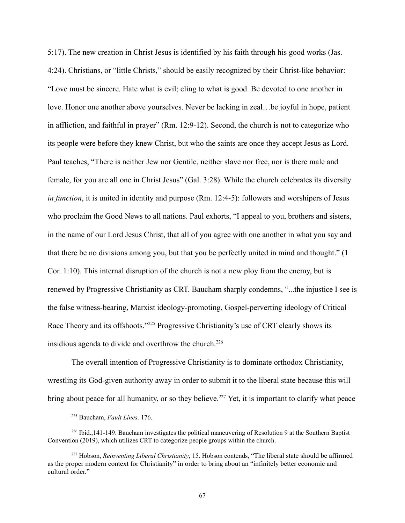5:17). The new creation in Christ Jesus is identified by his faith through his good works (Jas. 4:24). Christians, or "little Christs," should be easily recognized by their Christ-like behavior: "Love must be sincere. Hate what is evil; cling to what is good. Be devoted to one another in love. Honor one another above yourselves. Never be lacking in zeal…be joyful in hope, patient in affliction, and faithful in prayer" (Rm. 12:9-12). Second, the church is not to categorize who its people were before they knew Christ, but who the saints are once they accept Jesus as Lord. Paul teaches, "There is neither Jew nor Gentile, neither slave nor free, nor is there male and female, for you are all one in Christ Jesus" (Gal. 3:28). While the church celebrates its diversity *in function*, it is united in identity and purpose (Rm. 12:4-5): followers and worshipers of Jesus who proclaim the Good News to all nations. Paul exhorts, "I appeal to you, brothers and sisters, in the name of our Lord Jesus Christ, that all of you agree with one another in what you say and that there be no divisions among you, but that you be perfectly united in mind and thought." (1 Cor. 1:10). This internal disruption of the church is not a new ploy from the enemy, but is renewed by Progressive Christianity as CRT. Baucham sharply condemns, "...the injustice I see is the false witness-bearing, Marxist ideology-promoting, Gospel-perverting ideology of Critical Race Theory and its offshoots."<sup>225</sup> Progressive Christianity's use of CRT clearly shows its insidious agenda to divide and overthrow the church.<sup>226</sup>

The overall intention of Progressive Christianity is to dominate orthodox Christianity, wrestling its God-given authority away in order to submit it to the liberal state because this will bring about peace for all humanity, or so they believe.<sup>227</sup> Yet, it is important to clarify what peace

<sup>225</sup> Baucham, *Fault Lines,* 176.

<sup>226</sup> Ibid.,141-149. Baucham investigates the political maneuvering of Resolution 9 at the Southern Baptist Convention (2019), which utilizes CRT to categorize people groups within the church.

<sup>227</sup> Hobson, *Reinventing Liberal Christianity*, 15. Hobson contends, "The liberal state should be affirmed as the proper modern context for Christianity" in order to bring about an "infinitely better economic and cultural order."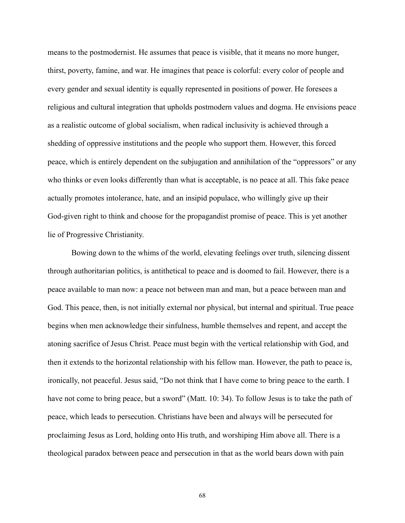means to the postmodernist. He assumes that peace is visible, that it means no more hunger, thirst, poverty, famine, and war. He imagines that peace is colorful: every color of people and every gender and sexual identity is equally represented in positions of power. He foresees a religious and cultural integration that upholds postmodern values and dogma. He envisions peace as a realistic outcome of global socialism, when radical inclusivity is achieved through a shedding of oppressive institutions and the people who support them. However, this forced peace, which is entirely dependent on the subjugation and annihilation of the "oppressors" or any who thinks or even looks differently than what is acceptable, is no peace at all. This fake peace actually promotes intolerance, hate, and an insipid populace, who willingly give up their God-given right to think and choose for the propagandist promise of peace. This is yet another lie of Progressive Christianity.

Bowing down to the whims of the world, elevating feelings over truth, silencing dissent through authoritarian politics, is antithetical to peace and is doomed to fail. However, there is a peace available to man now: a peace not between man and man, but a peace between man and God. This peace, then, is not initially external nor physical, but internal and spiritual. True peace begins when men acknowledge their sinfulness, humble themselves and repent, and accept the atoning sacrifice of Jesus Christ. Peace must begin with the vertical relationship with God, and then it extends to the horizontal relationship with his fellow man. However, the path to peace is, ironically, not peaceful. Jesus said, "Do not think that I have come to bring peace to the earth. I have not come to bring peace, but a sword" (Matt. 10: 34). To follow Jesus is to take the path of peace, which leads to persecution. Christians have been and always will be persecuted for proclaiming Jesus as Lord, holding onto His truth, and worshiping Him above all. There is a theological paradox between peace and persecution in that as the world bears down with pain

68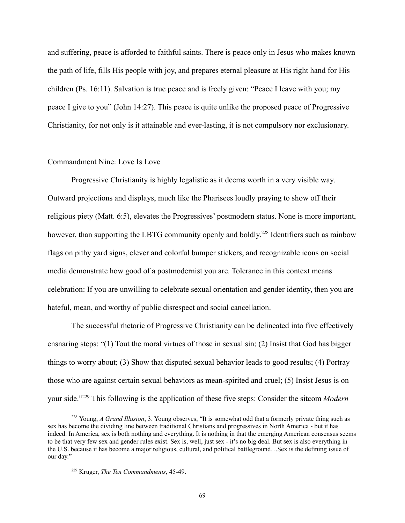and suffering, peace is afforded to faithful saints. There is peace only in Jesus who makes known the path of life, fills His people with joy, and prepares eternal pleasure at His right hand for His children (Ps. 16:11). Salvation is true peace and is freely given: "Peace I leave with you; my peace I give to you" (John 14:27). This peace is quite unlike the proposed peace of Progressive Christianity, for not only is it attainable and ever-lasting, it is not compulsory nor exclusionary.

### Commandment Nine: Love Is Love

Progressive Christianity is highly legalistic as it deems worth in a very visible way. Outward projections and displays, much like the Pharisees loudly praying to show off their religious piety (Matt. 6:5), elevates the Progressives' postmodern status. None is more important, however, than supporting the LBTG community openly and boldly.<sup>228</sup> Identifiers such as rainbow flags on pithy yard signs, clever and colorful bumper stickers, and recognizable icons on social media demonstrate how good of a postmodernist you are. Tolerance in this context means celebration: If you are unwilling to celebrate sexual orientation and gender identity, then you are hateful, mean, and worthy of public disrespect and social cancellation.

The successful rhetoric of Progressive Christianity can be delineated into five effectively ensnaring steps: "(1) Tout the moral virtues of those in sexual sin; (2) Insist that God has bigger things to worry about; (3) Show that disputed sexual behavior leads to good results; (4) Portray those who are against certain sexual behaviors as mean-spirited and cruel; (5) Insist Jesus is on your side."<sup>229</sup> This following is the application of these five steps: Consider the sitcom *Modern*

<sup>228</sup> Young, *A Grand Illusion*, 3. Young observes, "It is somewhat odd that a formerly private thing such as sex has become the dividing line between traditional Christians and progressives in North America - but it has indeed. In America, sex is both nothing and everything. It is nothing in that the emerging American consensus seems to be that very few sex and gender rules exist. Sex is, well, just sex - it's no big deal. But sex is also everything in the U.S. because it has become a major religious, cultural, and political battleground…Sex is the defining issue of our day."

<sup>229</sup> Kruger, *The Ten Commandments*, 45-49.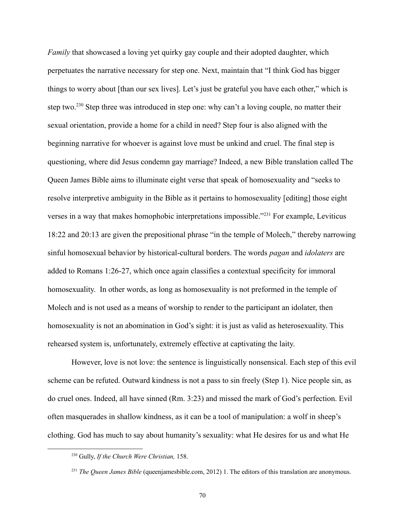*Family* that showcased a loving yet quirky gay couple and their adopted daughter, which perpetuates the narrative necessary for step one. Next, maintain that "I think God has bigger things to worry about [than our sex lives]. Let's just be grateful you have each other," which is step two.<sup>230</sup> Step three was introduced in step one: why can't a loving couple, no matter their sexual orientation, provide a home for a child in need? Step four is also aligned with the beginning narrative for whoever is against love must be unkind and cruel. The final step is questioning, where did Jesus condemn gay marriage? Indeed, a new Bible translation called The Queen James Bible aims to illuminate eight verse that speak of homosexuality and "seeks to resolve interpretive ambiguity in the Bible as it pertains to homosexuality [editing] those eight verses in a way that makes homophobic interpretations impossible."<sup>231</sup> For example, Leviticus 18:22 and 20:13 are given the prepositional phrase "in the temple of Molech," thereby narrowing sinful homosexual behavior by historical-cultural borders. The words *pagan* and *idolaters* are added to Romans 1:26-27, which once again classifies a contextual specificity for immoral homosexuality. In other words, as long as homosexuality is not preformed in the temple of Molech and is not used as a means of worship to render to the participant an idolater, then homosexuality is not an abomination in God's sight: it is just as valid as heterosexuality. This rehearsed system is, unfortunately, extremely effective at captivating the laity.

However, love is not love: the sentence is linguistically nonsensical. Each step of this evil scheme can be refuted. Outward kindness is not a pass to sin freely (Step 1). Nice people sin, as do cruel ones. Indeed, all have sinned (Rm. 3:23) and missed the mark of God's perfection. Evil often masquerades in shallow kindness, as it can be a tool of manipulation: a wolf in sheep's clothing. God has much to say about humanity's sexuality: what He desires for us and what He

<sup>230</sup> Gully, *If the Church Were Christian,* 158.

<sup>&</sup>lt;sup>231</sup> *The Queen James Bible* (queenjamesbible.com, 2012) 1. The editors of this translation are anonymous.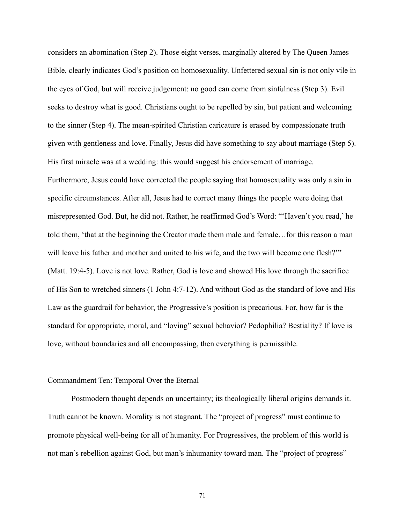considers an abomination (Step 2). Those eight verses, marginally altered by The Queen James Bible, clearly indicates God's position on homosexuality. Unfettered sexual sin is not only vile in the eyes of God, but will receive judgement: no good can come from sinfulness (Step 3). Evil seeks to destroy what is good. Christians ought to be repelled by sin, but patient and welcoming to the sinner (Step 4). The mean-spirited Christian caricature is erased by compassionate truth given with gentleness and love. Finally, Jesus did have something to say about marriage (Step 5). His first miracle was at a wedding: this would suggest his endorsement of marriage. Furthermore, Jesus could have corrected the people saying that homosexuality was only a sin in specific circumstances. After all, Jesus had to correct many things the people were doing that misrepresented God. But, he did not. Rather, he reaffirmed God's Word: "'Haven't you read,' he told them, 'that at the beginning the Creator made them male and female…for this reason a man will leave his father and mother and united to his wife, and the two will become one flesh?" (Matt. 19:4-5). Love is not love. Rather, God is love and showed His love through the sacrifice of His Son to wretched sinners (1 John 4:7-12). And without God as the standard of love and His Law as the guardrail for behavior, the Progressive's position is precarious. For, how far is the standard for appropriate, moral, and "loving" sexual behavior? Pedophilia? Bestiality? If love is love, without boundaries and all encompassing, then everything is permissible.

#### Commandment Ten: Temporal Over the Eternal

Postmodern thought depends on uncertainty; its theologically liberal origins demands it. Truth cannot be known. Morality is not stagnant. The "project of progress" must continue to promote physical well-being for all of humanity. For Progressives, the problem of this world is not man's rebellion against God, but man's inhumanity toward man. The "project of progress"

71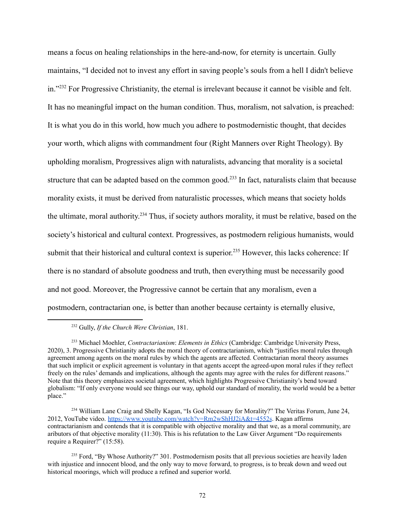means a focus on healing relationships in the here-and-now, for eternity is uncertain. Gully maintains, "I decided not to invest any effort in saving people's souls from a hell I didn't believe in."<sup>232</sup> For Progressive Christianity, the eternal is irrelevant because it cannot be visible and felt. It has no meaningful impact on the human condition. Thus, moralism, not salvation, is preached: It is what you do in this world, how much you adhere to postmodernistic thought, that decides your worth, which aligns with commandment four (Right Manners over Right Theology). By upholding moralism, Progressives align with naturalists, advancing that morality is a societal structure that can be adapted based on the common good.<sup>233</sup> In fact, naturalists claim that because morality exists, it must be derived from naturalistic processes, which means that society holds the ultimate, moral authority.<sup>234</sup> Thus, if society authors morality, it must be relative, based on the society's historical and cultural context. Progressives, as postmodern religious humanists, would submit that their historical and cultural context is superior.<sup>235</sup> However, this lacks coherence: If there is no standard of absolute goodness and truth, then everything must be necessarily good and not good. Moreover, the Progressive cannot be certain that any moralism, even a postmodern, contractarian one, is better than another because certainty is eternally elusive,

<sup>232</sup> Gully, *If the Church Were Christian*, 181.

<sup>233</sup> Michael Moehler, *Contractarianism*: *Elements in Ethics* (Cambridge: Cambridge University Press, 2020), 3. Progressive Christianity adopts the moral theory of contractarianism, which "justifies moral rules through agreement among agents on the moral rules by which the agents are affected. Contractarian moral theory assumes that such implicit or explicit agreement is voluntary in that agents accept the agreed-upon moral rules if they reflect freely on the rules' demands and implications, although the agents may agree with the rules for different reasons." Note that this theory emphasizes societal agreement, which highlights Progressive Christianity's bend toward globalism: "If only everyone would see things our way, uphold our standard of morality, the world would be a better place."

<sup>&</sup>lt;sup>234</sup> William Lane Craig and Shelly Kagan, "Is God Necessary for Morality?" The Veritas Forum, June 24, 2012, YouTube video. <https://www.youtube.com/watch?v=Rm2wShHJ2iA&t=4552s>. Kagan affirms contractarianism and contends that it is compatible with objective morality and that we, as a moral community, are aributors of that objective morality (11:30). This is his refutation to the Law Giver Argument "Do requirements require a Requirer?" (15:58).

<sup>&</sup>lt;sup>235</sup> Ford, "By Whose Authority?" 301. Postmodernism posits that all previous societies are heavily laden with injustice and innocent blood, and the only way to move forward, to progress, is to break down and weed out historical moorings, which will produce a refined and superior world.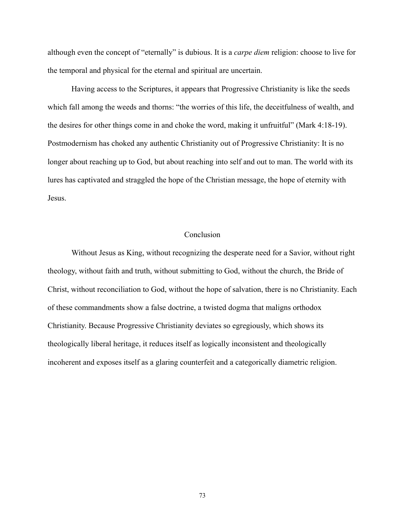although even the concept of "eternally" is dubious. It is a *carpe diem* religion: choose to live for the temporal and physical for the eternal and spiritual are uncertain.

Having access to the Scriptures, it appears that Progressive Christianity is like the seeds which fall among the weeds and thorns: "the worries of this life, the deceitfulness of wealth, and the desires for other things come in and choke the word, making it unfruitful" (Mark 4:18-19). Postmodernism has choked any authentic Christianity out of Progressive Christianity: It is no longer about reaching up to God, but about reaching into self and out to man. The world with its lures has captivated and straggled the hope of the Christian message, the hope of eternity with Jesus.

# Conclusion

Without Jesus as King, without recognizing the desperate need for a Savior, without right theology, without faith and truth, without submitting to God, without the church, the Bride of Christ, without reconciliation to God, without the hope of salvation, there is no Christianity. Each of these commandments show a false doctrine, a twisted dogma that maligns orthodox Christianity. Because Progressive Christianity deviates so egregiously, which shows its theologically liberal heritage, it reduces itself as logically inconsistent and theologically incoherent and exposes itself as a glaring counterfeit and a categorically diametric religion.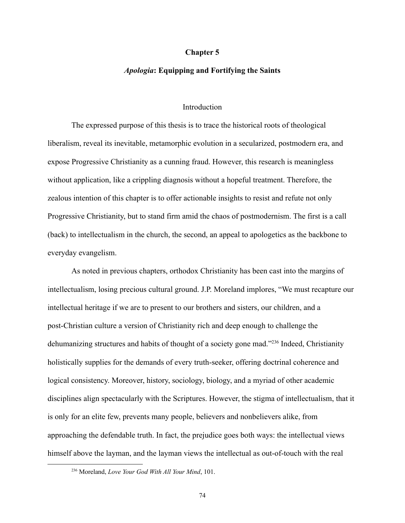#### **Chapter 5**

### *Apologia***: Equipping and Fortifying the Saints**

# **Introduction**

The expressed purpose of this thesis is to trace the historical roots of theological liberalism, reveal its inevitable, metamorphic evolution in a secularized, postmodern era, and expose Progressive Christianity as a cunning fraud. However, this research is meaningless without application, like a crippling diagnosis without a hopeful treatment. Therefore, the zealous intention of this chapter is to offer actionable insights to resist and refute not only Progressive Christianity, but to stand firm amid the chaos of postmodernism. The first is a call (back) to intellectualism in the church, the second, an appeal to apologetics as the backbone to everyday evangelism.

As noted in previous chapters, orthodox Christianity has been cast into the margins of intellectualism, losing precious cultural ground. J.P. Moreland implores, "We must recapture our intellectual heritage if we are to present to our brothers and sisters, our children, and a post-Christian culture a version of Christianity rich and deep enough to challenge the dehumanizing structures and habits of thought of a society gone mad."<sup>236</sup> Indeed, Christianity holistically supplies for the demands of every truth-seeker, offering doctrinal coherence and logical consistency. Moreover, history, sociology, biology, and a myriad of other academic disciplines align spectacularly with the Scriptures. However, the stigma of intellectualism, that it is only for an elite few, prevents many people, believers and nonbelievers alike, from approaching the defendable truth. In fact, the prejudice goes both ways: the intellectual views himself above the layman, and the layman views the intellectual as out-of-touch with the real

<sup>236</sup> Moreland, *Love Your God With All Your Mind*, 101.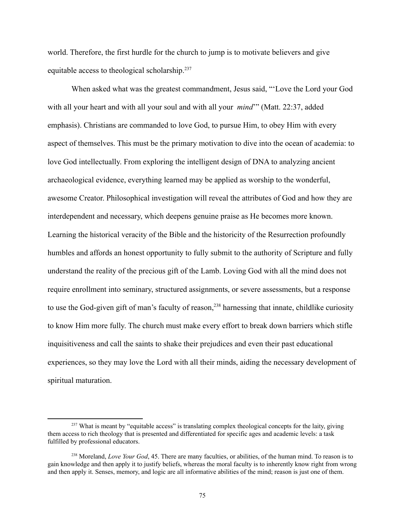world. Therefore, the first hurdle for the church to jump is to motivate believers and give equitable access to theological scholarship.<sup>237</sup>

When asked what was the greatest commandment, Jesus said, "'Love the Lord your God with all your heart and with all your soul and with all your *mind*'" (Matt. 22:37, added emphasis). Christians are commanded to love God, to pursue Him, to obey Him with every aspect of themselves. This must be the primary motivation to dive into the ocean of academia: to love God intellectually. From exploring the intelligent design of DNA to analyzing ancient archaeological evidence, everything learned may be applied as worship to the wonderful, awesome Creator. Philosophical investigation will reveal the attributes of God and how they are interdependent and necessary, which deepens genuine praise as He becomes more known. Learning the historical veracity of the Bible and the historicity of the Resurrection profoundly humbles and affords an honest opportunity to fully submit to the authority of Scripture and fully understand the reality of the precious gift of the Lamb. Loving God with all the mind does not require enrollment into seminary, structured assignments, or severe assessments, but a response to use the God-given gift of man's faculty of reason,<sup>238</sup> harnessing that innate, childlike curiosity to know Him more fully. The church must make every effort to break down barriers which stifle inquisitiveness and call the saints to shake their prejudices and even their past educational experiences, so they may love the Lord with all their minds, aiding the necessary development of spiritual maturation.

<sup>&</sup>lt;sup>237</sup> What is meant by "equitable access" is translating complex theological concepts for the laity, giving them access to rich theology that is presented and differentiated for specific ages and academic levels: a task fulfilled by professional educators.

<sup>238</sup> Moreland, *Love Your God*, 45. There are many faculties, or abilities, of the human mind. To reason is to gain knowledge and then apply it to justify beliefs, whereas the moral faculty is to inherently know right from wrong and then apply it. Senses, memory, and logic are all informative abilities of the mind; reason is just one of them.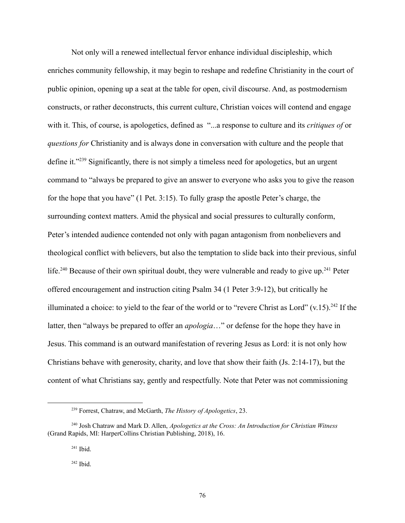Not only will a renewed intellectual fervor enhance individual discipleship, which enriches community fellowship, it may begin to reshape and redefine Christianity in the court of public opinion, opening up a seat at the table for open, civil discourse. And, as postmodernism constructs, or rather deconstructs, this current culture, Christian voices will contend and engage with it. This, of course, is apologetics, defined as "...a response to culture and its *critiques of* or *questions for* Christianity and is always done in conversation with culture and the people that define it."<sup>239</sup> Significantly, there is not simply a timeless need for apologetics, but an urgent command to "always be prepared to give an answer to everyone who asks you to give the reason for the hope that you have" (1 Pet. 3:15). To fully grasp the apostle Peter's charge, the surrounding context matters. Amid the physical and social pressures to culturally conform, Peter's intended audience contended not only with pagan antagonism from nonbelievers and theological conflict with believers, but also the temptation to slide back into their previous, sinful life.<sup>240</sup> Because of their own spiritual doubt, they were vulnerable and ready to give up.<sup>241</sup> Peter offered encouragement and instruction citing Psalm 34 (1 Peter 3:9-12), but critically he illuminated a choice: to yield to the fear of the world or to "revere Christ as Lord"  $(v.15)$ .<sup>242</sup> If the latter, then "always be prepared to offer an *apologia*…" or defense for the hope they have in Jesus. This command is an outward manifestation of revering Jesus as Lord: it is not only how Christians behave with generosity, charity, and love that show their faith (Js. 2:14-17), but the content of what Christians say, gently and respectfully. Note that Peter was not commissioning

<sup>239</sup> Forrest, Chatraw, and McGarth, *The History of Apologetics*, 23.

<sup>240</sup> Josh Chatraw and Mark D. Allen, *Apologetics at the Cross: An Introduction for Christian Witness* (Grand Rapids, MI: HarperCollins Christian Publishing, 2018), 16.

 $241$  Ibid.

 $242$  Ibid.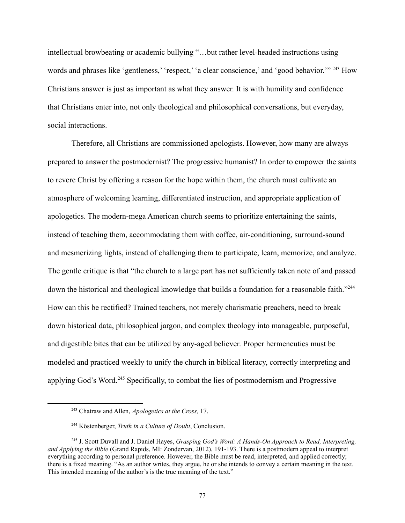intellectual browbeating or academic bullying "…but rather level-headed instructions using words and phrases like 'gentleness,' 'respect,' 'a clear conscience,' and 'good behavior.'" <sup>243</sup> How Christians answer is just as important as what they answer. It is with humility and confidence that Christians enter into, not only theological and philosophical conversations, but everyday, social interactions.

Therefore, all Christians are commissioned apologists. However, how many are always prepared to answer the postmodernist? The progressive humanist? In order to empower the saints to revere Christ by offering a reason for the hope within them, the church must cultivate an atmosphere of welcoming learning, differentiated instruction, and appropriate application of apologetics. The modern-mega American church seems to prioritize entertaining the saints, instead of teaching them, accommodating them with coffee, air-conditioning, surround-sound and mesmerizing lights, instead of challenging them to participate, learn, memorize, and analyze. The gentle critique is that "the church to a large part has not sufficiently taken note of and passed down the historical and theological knowledge that builds a foundation for a reasonable faith."<sup>244</sup> How can this be rectified? Trained teachers, not merely charismatic preachers, need to break down historical data, philosophical jargon, and complex theology into manageable, purposeful, and digestible bites that can be utilized by any-aged believer. Proper hermeneutics must be modeled and practiced weekly to unify the church in biblical literacy, correctly interpreting and applying God's Word.<sup>245</sup> Specifically, to combat the lies of postmodernism and Progressive

<sup>243</sup> Chatraw and Allen, *Apologetics at the Cross,* 17.

<sup>244</sup> Köstenberger, *Truth in a Culture of Doubt*, Conclusion.

<sup>245</sup> J. Scott Duvall and J. Daniel Hayes, *Grasping God's Word: A Hands-On Approach to Read, Interpreting, and Applying the Bible* (Grand Rapids, MI: Zondervan, 2012), 191-193. There is a postmodern appeal to interpret everything according to personal preference. However, the Bible must be read, interpreted, and applied correctly; there is a fixed meaning. "As an author writes, they argue, he or she intends to convey a certain meaning in the text. This intended meaning of the author's is the true meaning of the text."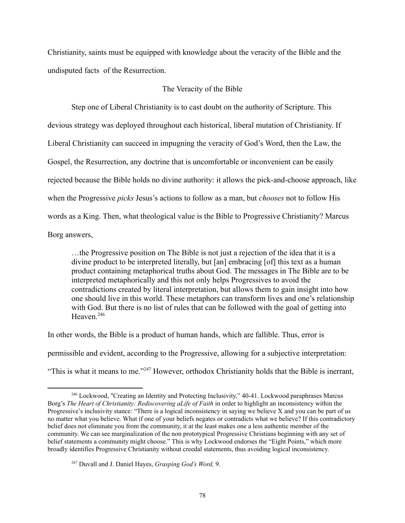Christianity, saints must be equipped with knowledge about the veracity of the Bible and the undisputed facts of the Resurrection.

# The Veracity of the Bible

Step one of Liberal Christianity is to cast doubt on the authority of Scripture. This devious strategy was deployed throughout each historical, liberal mutation of Christianity. If Liberal Christianity can succeed in impugning the veracity of God's Word, then the Law, the Gospel, the Resurrection, any doctrine that is uncomfortable or inconvenient can be easily rejected because the Bible holds no divine authority: it allows the pick-and-choose approach, like when the Progressive *picks* Jesus's actions to follow as a man, but *chooses* not to follow His words as a King. Then, what theological value is the Bible to Progressive Christianity? Marcus Borg answers,

…the Progressive position on The Bible is not just a rejection of the idea that it is a divine product to be interpreted literally, but [an] embracing [of] this text as a human product containing metaphorical truths about God. The messages in The Bible are to be interpreted metaphorically and this not only helps Progressives to avoid the contradictions created by literal interpretation, but allows them to gain insight into how one should live in this world. These metaphors can transform lives and one's relationship with God. But there is no list of rules that can be followed with the goal of getting into Heaven.<sup>246</sup>

In other words, the Bible is a product of human hands, which are fallible. Thus, error is permissible and evident, according to the Progressive, allowing for a subjective interpretation: "This is what it means to me."<sup>247</sup> However, orthodox Christianity holds that the Bible is inerrant,

<sup>246</sup> Lockwood, "Creating an Identity and Protecting Inclusivity," 40-41. Lockwood paraphrases Marcus Borg's *The Heart of Christianity: Rediscovering aLife of Faith* in order to highlight an inconsistency within the Progressive's inclusivity stance: "There is a logical inconsistency in saying we believe X and you can be part of us no matter what you believe. What if one of your beliefs negates or contradicts what we believe? If this contradictory belief does not eliminate you from the community, it at the least makes one a less authentic member of the community. We can see marginalization of the non prototypical Progressive Christians beginning with any set of belief statements a community might choose." This is why Lockwood endorses the "Eight Points," which more broadly identifies Progressive Christianity without creedal statements, thus avoiding logical inconsistency.

<sup>247</sup> Duvall and J. Daniel Hayes, *Grasping God's Word,* 9.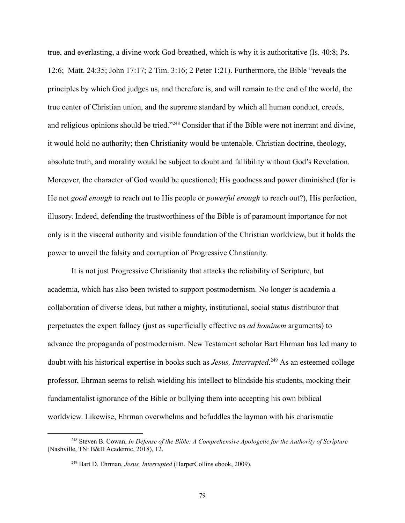true, and everlasting, a divine work God-breathed, which is why it is authoritative (Is. 40:8; Ps. 12:6; Matt. 24:35; John 17:17; 2 Tim. 3:16; 2 Peter 1:21). Furthermore, the Bible "reveals the principles by which God judges us, and therefore is, and will remain to the end of the world, the true center of Christian union, and the supreme standard by which all human conduct, creeds, and religious opinions should be tried."<sup>248</sup> Consider that if the Bible were not inerrant and divine, it would hold no authority; then Christianity would be untenable. Christian doctrine, theology, absolute truth, and morality would be subject to doubt and fallibility without God's Revelation. Moreover, the character of God would be questioned; His goodness and power diminished (for is He not *good enough* to reach out to His people or *powerful enough* to reach out?), His perfection, illusory. Indeed, defending the trustworthiness of the Bible is of paramount importance for not only is it the visceral authority and visible foundation of the Christian worldview, but it holds the power to unveil the falsity and corruption of Progressive Christianity.

It is not just Progressive Christianity that attacks the reliability of Scripture, but academia, which has also been twisted to support postmodernism. No longer is academia a collaboration of diverse ideas, but rather a mighty, institutional, social status distributor that perpetuates the expert fallacy (just as superficially effective as *ad hominem* arguments) to advance the propaganda of postmodernism. New Testament scholar Bart Ehrman has led many to doubt with his historical expertise in books such as *Jesus, Interrupted*. <sup>249</sup> As an esteemed college professor, Ehrman seems to relish wielding his intellect to blindside his students, mocking their fundamentalist ignorance of the Bible or bullying them into accepting his own biblical worldview. Likewise, Ehrman overwhelms and befuddles the layman with his charismatic

<sup>248</sup> Steven B. Cowan, *In Defense of the Bible: A Comprehensive Apologetic for the Authority of Scripture* (Nashville, TN: B&H Academic, 2018), 12.

<sup>249</sup> Bart D. Ehrman, *Jesus, Interrupted* (HarperCollins ebook, 2009).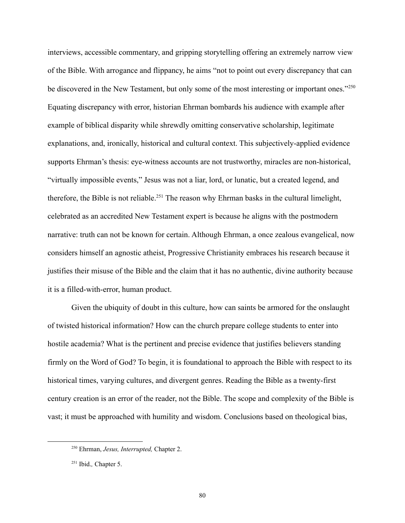interviews, accessible commentary, and gripping storytelling offering an extremely narrow view of the Bible. With arrogance and flippancy, he aims "not to point out every discrepancy that can be discovered in the New Testament, but only some of the most interesting or important ones."<sup>250</sup> Equating discrepancy with error, historian Ehrman bombards his audience with example after example of biblical disparity while shrewdly omitting conservative scholarship, legitimate explanations, and, ironically, historical and cultural context. This subjectively-applied evidence supports Ehrman's thesis: eye-witness accounts are not trustworthy, miracles are non-historical, "virtually impossible events," Jesus was not a liar, lord, or lunatic, but a created legend, and therefore, the Bible is not reliable.<sup>251</sup> The reason why Ehrman basks in the cultural limelight, celebrated as an accredited New Testament expert is because he aligns with the postmodern narrative: truth can not be known for certain. Although Ehrman, a once zealous evangelical, now considers himself an agnostic atheist, Progressive Christianity embraces his research because it justifies their misuse of the Bible and the claim that it has no authentic, divine authority because it is a filled-with-error, human product.

Given the ubiquity of doubt in this culture, how can saints be armored for the onslaught of twisted historical information? How can the church prepare college students to enter into hostile academia? What is the pertinent and precise evidence that justifies believers standing firmly on the Word of God? To begin, it is foundational to approach the Bible with respect to its historical times, varying cultures, and divergent genres. Reading the Bible as a twenty-first century creation is an error of the reader, not the Bible. The scope and complexity of the Bible is vast; it must be approached with humility and wisdom. Conclusions based on theological bias,

<sup>250</sup> Ehrman, *Jesus, Interrupted,* Chapter 2.

<sup>251</sup> Ibid.*,* Chapter 5.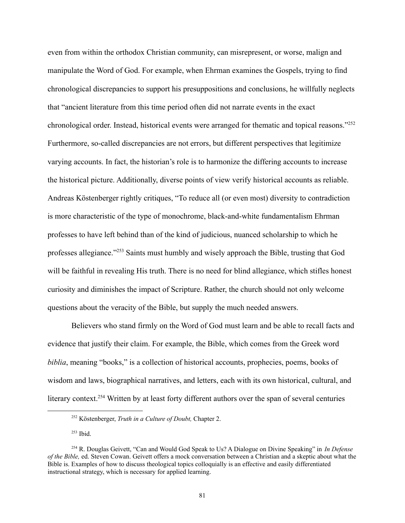even from within the orthodox Christian community, can misrepresent, or worse, malign and manipulate the Word of God. For example, when Ehrman examines the Gospels, trying to find chronological discrepancies to support his presuppositions and conclusions, he willfully neglects that "ancient literature from this time period often did not narrate events in the exact chronological order. Instead, historical events were arranged for thematic and topical reasons."<sup>252</sup> Furthermore, so-called discrepancies are not errors, but different perspectives that legitimize varying accounts. In fact, the historian's role is to harmonize the differing accounts to increase the historical picture. Additionally, diverse points of view verify historical accounts as reliable. Andreas Köstenberger rightly critiques, "To reduce all (or even most) diversity to contradiction is more characteristic of the type of monochrome, black-and-white fundamentalism Ehrman professes to have left behind than of the kind of judicious, nuanced scholarship to which he professes allegiance."<sup>253</sup> Saints must humbly and wisely approach the Bible, trusting that God will be faithful in revealing His truth. There is no need for blind allegiance, which stifles honest curiosity and diminishes the impact of Scripture. Rather, the church should not only welcome questions about the veracity of the Bible, but supply the much needed answers.

Believers who stand firmly on the Word of God must learn and be able to recall facts and evidence that justify their claim. For example, the Bible, which comes from the Greek word *biblia*, meaning "books," is a collection of historical accounts, prophecies, poems, books of wisdom and laws, biographical narratives, and letters, each with its own historical, cultural, and literary context.<sup>254</sup> Written by at least forty different authors over the span of several centuries

<sup>252</sup> Köstenberger, *Truth in a Culture of Doubt,* Chapter 2.

<sup>253</sup> Ibid.

<sup>254</sup> R. Douglas Geivett, "Can and Would God Speak to Us? A Dialogue on Divine Speaking" in *In Defense of the Bible,* ed. Steven Cowan. Geivett offers a mock conversation between a Christian and a skeptic about what the Bible is. Examples of how to discuss theological topics colloquially is an effective and easily differentiated instructional strategy, which is necessary for applied learning.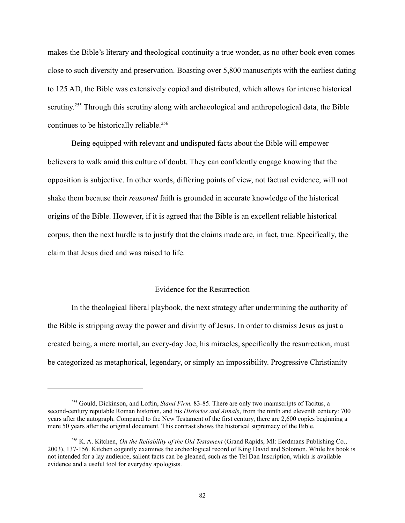makes the Bible's literary and theological continuity a true wonder, as no other book even comes close to such diversity and preservation. Boasting over 5,800 manuscripts with the earliest dating to 125 AD, the Bible was extensively copied and distributed, which allows for intense historical scrutiny.<sup>255</sup> Through this scrutiny along with archaeological and anthropological data, the Bible continues to be historically reliable.<sup>256</sup>

Being equipped with relevant and undisputed facts about the Bible will empower believers to walk amid this culture of doubt. They can confidently engage knowing that the opposition is subjective. In other words, differing points of view, not factual evidence, will not shake them because their *reasoned* faith is grounded in accurate knowledge of the historical origins of the Bible. However, if it is agreed that the Bible is an excellent reliable historical corpus, then the next hurdle is to justify that the claims made are, in fact, true. Specifically, the claim that Jesus died and was raised to life.

#### Evidence for the Resurrection

In the theological liberal playbook, the next strategy after undermining the authority of the Bible is stripping away the power and divinity of Jesus. In order to dismiss Jesus as just a created being, a mere mortal, an every-day Joe, his miracles, specifically the resurrection, must be categorized as metaphorical, legendary, or simply an impossibility. Progressive Christianity

<sup>255</sup> Gould, Dickinson, and Loftin, *Stand Firm,* 83-85. There are only two manuscripts of Tacitus, a second-century reputable Roman historian, and his *Histories and Annals*, from the ninth and eleventh century: 700 years after the autograph. Compared to the New Testament of the first century, there are 2,600 copies beginning a mere 50 years after the original document. This contrast shows the historical supremacy of the Bible.

<sup>256</sup> K. A. Kitchen, *On the Reliability of the Old Testament* (Grand Rapids, MI: Eerdmans Publishing Co., 2003), 137-156. Kitchen cogently examines the archeological record of King David and Solomon. While his book is not intended for a lay audience, salient facts can be gleaned, such as the Tel Dan Inscription, which is available evidence and a useful tool for everyday apologists.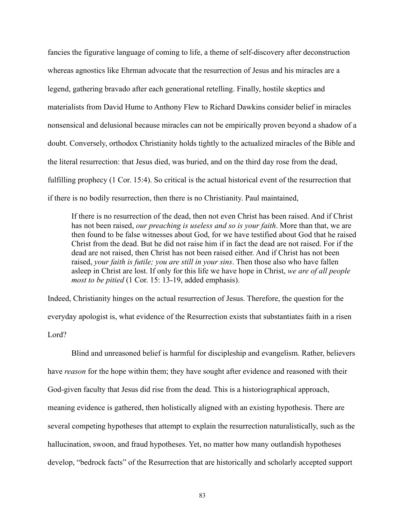fancies the figurative language of coming to life, a theme of self-discovery after deconstruction whereas agnostics like Ehrman advocate that the resurrection of Jesus and his miracles are a legend, gathering bravado after each generational retelling. Finally, hostile skeptics and materialists from David Hume to Anthony Flew to Richard Dawkins consider belief in miracles nonsensical and delusional because miracles can not be empirically proven beyond a shadow of a doubt. Conversely, orthodox Christianity holds tightly to the actualized miracles of the Bible and the literal resurrection: that Jesus died, was buried, and on the third day rose from the dead, fulfilling prophecy (1 Cor. 15:4). So critical is the actual historical event of the resurrection that if there is no bodily resurrection, then there is no Christianity. Paul maintained,

If there is no resurrection of the dead, then not even Christ has been raised. And if Christ has not been raised, *our preaching is useless and so is your faith*. More than that, we are then found to be false witnesses about God, for we have testified about God that he raised Christ from the dead. But he did not raise him if in fact the dead are not raised. For if the dead are not raised, then Christ has not been raised either. And if Christ has not been raised, *your faith is futile; you are still in your sins*. Then those also who have fallen asleep in Christ are lost. If only for this life we have hope in Christ, *we are of all people most to be pitied* (1 Cor. 15: 13-19, added emphasis).

Indeed, Christianity hinges on the actual resurrection of Jesus. Therefore, the question for the everyday apologist is, what evidence of the Resurrection exists that substantiates faith in a risen Lord?

Blind and unreasoned belief is harmful for discipleship and evangelism. Rather, believers have *reason* for the hope within them; they have sought after evidence and reasoned with their God-given faculty that Jesus did rise from the dead. This is a historiographical approach, meaning evidence is gathered, then holistically aligned with an existing hypothesis. There are several competing hypotheses that attempt to explain the resurrection naturalistically, such as the hallucination, swoon, and fraud hypotheses. Yet, no matter how many outlandish hypotheses develop, "bedrock facts" of the Resurrection that are historically and scholarly accepted support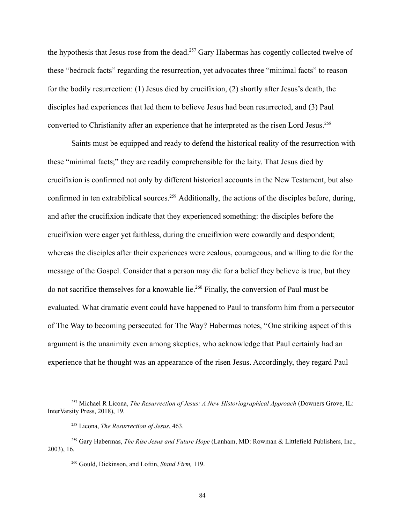the hypothesis that Jesus rose from the dead.<sup>257</sup> Gary Habermas has cogently collected twelve of these "bedrock facts" regarding the resurrection, yet advocates three "minimal facts" to reason for the bodily resurrection: (1) Jesus died by crucifixion, (2) shortly after Jesus's death, the disciples had experiences that led them to believe Jesus had been resurrected, and (3) Paul converted to Christianity after an experience that he interpreted as the risen Lord Jesus.<sup>258</sup>

Saints must be equipped and ready to defend the historical reality of the resurrection with these "minimal facts;" they are readily comprehensible for the laity. That Jesus died by crucifixion is confirmed not only by different historical accounts in the New Testament, but also confirmed in ten extrabiblical sources.<sup>259</sup> Additionally, the actions of the disciples before, during, and after the crucifixion indicate that they experienced something: the disciples before the crucifixion were eager yet faithless, during the crucifixion were cowardly and despondent; whereas the disciples after their experiences were zealous, courageous, and willing to die for the message of the Gospel. Consider that a person may die for a belief they believe is true, but they do not sacrifice themselves for a knowable lie.<sup>260</sup> Finally, the conversion of Paul must be evaluated. What dramatic event could have happened to Paul to transform him from a persecutor of The Way to becoming persecuted for The Way? Habermas notes, "One striking aspect of this argument is the unanimity even among skeptics, who acknowledge that Paul certainly had an experience that he thought was an appearance of the risen Jesus. Accordingly, they regard Paul

<sup>257</sup> Michael R Licona, *The Resurrection of Jesus: A New Historiographical Approach* (Downers Grove, IL: InterVarsity Press, 2018), 19.

<sup>258</sup> Licona, *The Resurrection of Jesus*, 463.

<sup>259</sup> Gary Habermas, *The Rise Jesus and Future Hope* (Lanham, MD: Rowman & Littlefield Publishers, Inc., 2003), 16.

<sup>260</sup> Gould, Dickinson, and Loftin, *Stand Firm,* 119.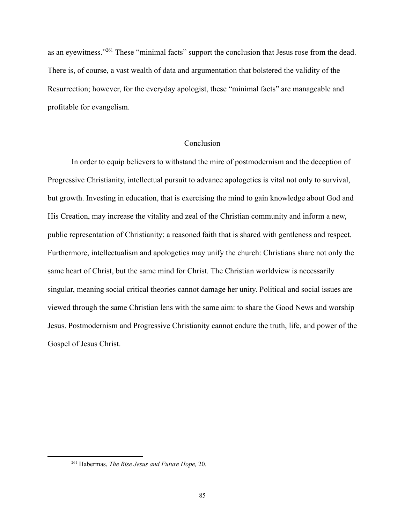as an eyewitness."<sup>261</sup> These "minimal facts" support the conclusion that Jesus rose from the dead. There is, of course, a vast wealth of data and argumentation that bolstered the validity of the Resurrection; however, for the everyday apologist, these "minimal facts" are manageable and profitable for evangelism.

# Conclusion

In order to equip believers to withstand the mire of postmodernism and the deception of Progressive Christianity, intellectual pursuit to advance apologetics is vital not only to survival, but growth. Investing in education, that is exercising the mind to gain knowledge about God and His Creation, may increase the vitality and zeal of the Christian community and inform a new, public representation of Christianity: a reasoned faith that is shared with gentleness and respect. Furthermore, intellectualism and apologetics may unify the church: Christians share not only the same heart of Christ, but the same mind for Christ. The Christian worldview is necessarily singular, meaning social critical theories cannot damage her unity. Political and social issues are viewed through the same Christian lens with the same aim: to share the Good News and worship Jesus. Postmodernism and Progressive Christianity cannot endure the truth, life, and power of the Gospel of Jesus Christ.

<sup>261</sup> Habermas, *The Rise Jesus and Future Hope,* 20.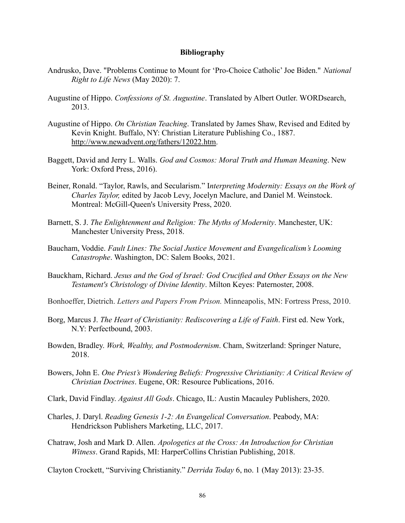# **Bibliography**

- Andrusko, Dave. "Problems Continue to Mount for 'Pro-Choice Catholic' Joe Biden." *National Right to Life News* (May 2020): 7.
- Augustine of Hippo. *Confessions of St. Augustine*. Translated by Albert Outler. WORDsearch, 2013.
- Augustine of Hippo. *On Christian Teaching*. Translated by James Shaw, Revised and Edited by Kevin Knight. Buffalo, NY: Christian Literature Publishing Co., 1887. [http://www.newadvent.org/fathers/12022.htm.](http://www.newadvent.org/fathers/12022.htm)
- Baggett, David and Jerry L. Walls. *God and Cosmos: Moral Truth and Human Meaning*. New York: Oxford Press, 2016).
- Beiner, Ronald. "Taylor, Rawls, and Secularism." I*nterpreting Modernity: Essays on the Work of Charles Taylor,* edited by Jacob Levy, Jocelyn Maclure, and Daniel M. Weinstock. Montreal: McGill-Queen's University Press, 2020.
- Barnett, S. J. *The Enlightenment and Religion: The Myths of Modernity*. Manchester, UK: Manchester University Press, 2018.
- Baucham, Voddie. *Fault Lines: The Social Justice Movement and Evangelicalism's Looming Catastrophe*. Washington, DC: Salem Books, 2021.
- Bauckham, Richard. *Jesus and the God of Israel: God Crucified and Other Essays on the New Testament's Christology of Divine Identity*. Milton Keyes: Paternoster, 2008.
- Bonhoeffer, Dietrich. *Letters and Papers From Prison.* Minneapolis, MN: Fortress Press, 2010.
- Borg, Marcus J. *The Heart of Christianity: Rediscovering a Life of Faith*. First ed. New York, N.Y: Perfectbound, 2003.
- Bowden, Bradley. *Work, Wealthy, and Postmodernism*. Cham, Switzerland: Springer Nature, 2018.
- Bowers, John E. *One Priest's Wondering Beliefs: Progressive Christianity: A Critical Review of Christian Doctrines*. Eugene, OR: Resource Publications, 2016.
- Clark, David Findlay. *Against All Gods*. Chicago, IL: Austin Macauley Publishers, 2020.
- Charles, J. Daryl. *Reading Genesis 1-2: An Evangelical Conversation*. Peabody, MA: Hendrickson Publishers Marketing, LLC, 2017.
- Chatraw, Josh and Mark D. Allen. *Apologetics at the Cross: An Introduction for Christian Witness*. Grand Rapids, MI: HarperCollins Christian Publishing, 2018.

Clayton Crockett, "Surviving Christianity." *Derrida Today* 6, no. 1 (May 2013): 23-35.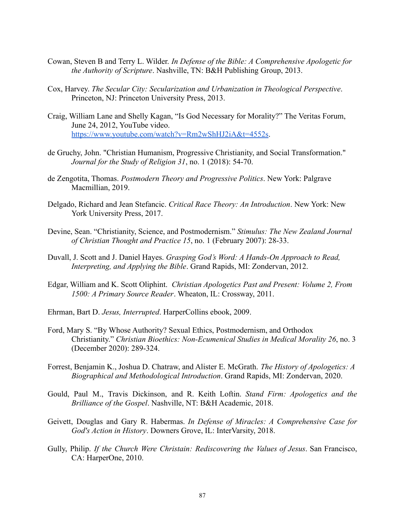- Cowan, Steven B and Terry L. Wilder. *In Defense of the Bible: A Comprehensive Apologetic for the Authority of Scripture*. Nashville, TN: B&H Publishing Group, 2013.
- Cox, Harvey. *The Secular City: Secularization and Urbanization in Theological Perspective*. Princeton, NJ: Princeton University Press, 2013.
- Craig, William Lane and Shelly Kagan, "Is God Necessary for Morality?" The Veritas Forum, June 24, 2012, YouTube video. <https://www.youtube.com/watch?v=Rm2wShHJ2iA&t=4552s>.
- de Gruchy, John. "Christian Humanism, Progressive Christianity, and Social Transformation." *Journal for the Study of Religion 31*, no. 1 (2018): 54-70.
- de Zengotita, Thomas. *Postmodern Theory and Progressive Politics*. New York: Palgrave Macmillian, 2019.
- Delgado, Richard and Jean Stefancic. *Critical Race Theory: An Introduction*. New York: New York University Press, 2017.
- Devine, Sean. "Christianity, Science, and Postmodernism." *Stimulus: The New Zealand Journal of Christian Thought and Practice 15*, no. 1 (February 2007): 28-33.
- Duvall, J. Scott and J. Daniel Hayes. *Grasping God's Word: A Hands-On Approach to Read, Interpreting, and Applying the Bible*. Grand Rapids, MI: Zondervan, 2012.
- Edgar, William and K. Scott Oliphint. *Christian Apologetics Past and Present: Volume 2, From 1500: A Primary Source Reader*. Wheaton, IL: Crossway, 2011.
- Ehrman, Bart D. *Jesus, Interrupted*. HarperCollins ebook, 2009.
- Ford, Mary S. "By Whose Authority? Sexual Ethics, Postmodernism, and Orthodox Christianity." *Christian Bioethics: Non-Ecumenical Studies in Medical Morality 26*, no. 3 (December 2020): 289-324.
- Forrest, Benjamin K., Joshua D. Chatraw, and Alister E. McGrath. *The History of Apologetics: A Biographical and Methodological Introduction*. Grand Rapids, MI: Zondervan, 2020.
- Gould, Paul M., Travis Dickinson, and R. Keith Loftin. *Stand Firm: Apologetics and the Brilliance of the Gospel*. Nashville, NT: B&H Academic, 2018.
- Geivett, Douglas and Gary R. Habermas. *In Defense of Miracles: A Comprehensive Case for God's Action in History*. Downers Grove, IL: InterVarsity, 2018.
- Gully, Philip. *If the Church Were Christain: Rediscovering the Values of Jesus*. San Francisco, CA: HarperOne, 2010.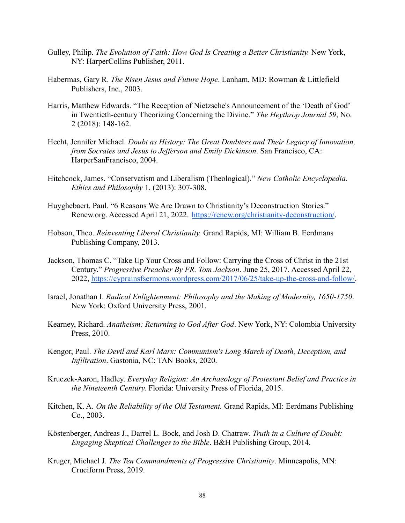- Gulley, Philip. *The Evolution of Faith: How God Is Creating a Better Christianity.* New York, NY: HarperCollins Publisher, 2011.
- Habermas, Gary R. *The Risen Jesus and Future Hope*. Lanham, MD: Rowman & Littlefield Publishers, Inc., 2003.
- Harris, Matthew Edwards. "The Reception of Nietzsche's Announcement of the 'Death of God' in Twentieth-century Theorizing Concerning the Divine." *The Heythrop Journal 59*, No. 2 (2018): 148-162.
- Hecht, Jennifer Michael. *Doubt as History: The Great Doubters and Their Legacy of Innovation, from Socrates and Jesus to Jefferson and Emily Dickinson*. San Francisco, CA: HarperSanFrancisco, 2004.
- Hitchcock, James. "Conservatism and Liberalism (Theological)*.*" *New Catholic Encyclopedia. Ethics and Philosophy* 1. (2013): 307-308.
- Huyghebaert, Paul. "6 Reasons We Are Drawn to Christianity's Deconstruction Stories." Renew.org. Accessed April 21, 2022. [https://renew.org/christianity-deconstruction/.](https://renew.org/christianity-deconstruction/)
- Hobson, Theo. *Reinventing Liberal Christianity.* Grand Rapids, MI: William B. Eerdmans Publishing Company, 2013.
- Jackson, Thomas C. "Take Up Your Cross and Follow: Carrying the Cross of Christ in the 21st Century." *Progressive Preacher By FR. Tom Jackson*. June 25, 2017. Accessed April 22, 2022, [https://cyprainsfsermons.wordpress.com/2017/06/25/take-up-the-cross-and-follow/.](https://cyprainsfsermons.wordpress.com/2017/06/25/take-up-the-cross-and-follow/)
- Israel, Jonathan I. *Radical Enlightenment: Philosophy and the Making of Modernity, 1650-1750*. New York: Oxford University Press, 2001.
- Kearney, Richard. *Anatheism: Returning to God After God*. New York, NY: Colombia University Press, 2010.
- Kengor, Paul. *The Devil and Karl Marx: Communism's Long March of Death, Deception, and Infiltration*. Gastonia, NC: TAN Books, 2020.
- Kruczek-Aaron, Hadley. *Everyday Religion: An Archaeology of Protestant Belief and Practice in the Nineteenth Century.* Florida: University Press of Florida, 2015.
- Kitchen, K. A. *On the Reliability of the Old Testament.* Grand Rapids, MI: Eerdmans Publishing Co., 2003.
- Köstenberger, Andreas J., Darrel L. Bock, and Josh D. Chatraw. *Truth in a Culture of Doubt: Engaging Skeptical Challenges to the Bible*. B&H Publishing Group, 2014.
- Kruger, Michael J. *The Ten Commandments of Progressive Christianity*. Minneapolis, MN: Cruciform Press, 2019.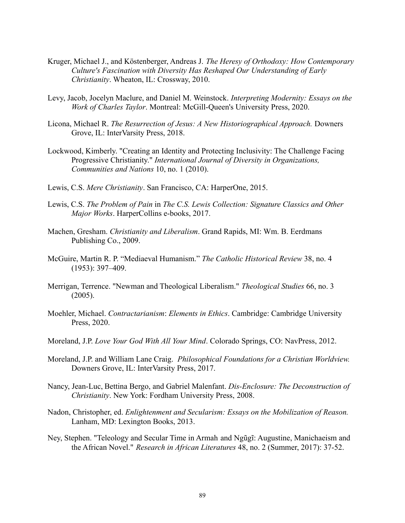- Kruger, Michael J., and Köstenberger, Andreas J. *The Heresy of Orthodoxy: How Contemporary Culture's Fascination with Diversity Has Reshaped Our Understanding of Early Christianity*. Wheaton, IL: Crossway, 2010.
- Levy, Jacob, Jocelyn Maclure, and Daniel M. Weinstock. *Interpreting Modernity: Essays on the Work of Charles Taylor*. Montreal: McGill-Queen's University Press, 2020.
- Licona, Michael R. *The Resurrection of Jesus: A New Historiographical Approach.* Downers Grove, IL: InterVarsity Press, 2018.
- Lockwood, Kimberly. "Creating an Identity and Protecting Inclusivity: The Challenge Facing Progressive Christianity." *International Journal of Diversity in Organizations, Communities and Nations* 10, no. 1 (2010).
- Lewis, C.S. *Mere Christianity*. San Francisco, CA: HarperOne, 2015.
- Lewis, C.S. *The Problem of Pain* in *The C.S. Lewis Collection: Signature Classics and Other Major Works*. HarperCollins e-books, 2017.
- Machen, Gresham. *Christianity and Liberalism*. Grand Rapids, MI: Wm. B. Eerdmans Publishing Co., 2009.
- McGuire, Martin R. P. "Mediaeval Humanism." *The Catholic Historical Review* 38, no. 4 (1953): 397–409.
- Merrigan, Terrence. "Newman and Theological Liberalism." *Theological Studies* 66, no. 3 (2005).
- Moehler, Michael. *Contractarianism*: *Elements in Ethics*. Cambridge: Cambridge University Press, 2020.
- Moreland, J.P. *Love Your God With All Your Mind*. Colorado Springs, CO: NavPress, 2012.
- Moreland, J.P. and William Lane Craig. *Philosophical Foundations for a Christian Worldview.* Downers Grove, IL: InterVarsity Press, 2017.
- Nancy, Jean-Luc, Bettina Bergo, and Gabriel Malenfant. *Dis-Enclosure: The Deconstruction of Christianity*. New York: Fordham University Press, 2008.
- Nadon, Christopher, ed. *Enlightenment and Secularism: Essays on the Mobilization of Reason.* Lanham, MD: Lexington Books, 2013.
- Ney, Stephen. "Teleology and Secular Time in Armah and Ngũgĩ: Augustine, Manichaeism and the African Novel." *Research in African Literatures* 48, no. 2 (Summer, 2017): 37-52.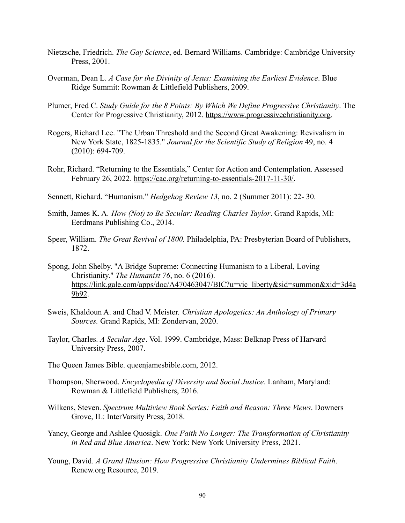- Nietzsche, Friedrich. *The Gay Science*, ed. Bernard Williams. Cambridge: Cambridge University Press, 2001.
- Overman, Dean L. *A Case for the Divinity of Jesus: Examining the Earliest Evidence*. Blue Ridge Summit: Rowman & Littlefield Publishers, 2009.
- Plumer, Fred C. *Study Guide for the 8 Points: By Which We Define Progressive Christianity*. The Center for Progressive Christianity, 2012. [https://www.progressivechristianity.org.](https://www.progressivechristianity.org)
- Rogers, Richard Lee. "The Urban Threshold and the Second Great Awakening: Revivalism in New York State, 1825-1835." *Journal for the Scientific Study of Religion* 49, no. 4 (2010): 694-709.
- Rohr, Richard. "Returning to the Essentials," Center for Action and Contemplation. Assessed February 26, 2022. [https://cac.org/returning-to-essentials-2017-11-30/.](https://cac.org/returning-to-essentials-2017-11-30/)
- Sennett, Richard. "Humanism." *Hedgehog Review 13*, no. 2 (Summer 2011): 22- 30.
- Smith, James K. A. *How (Not) to Be Secular: Reading Charles Taylor*. Grand Rapids, MI: Eerdmans Publishing Co., 2014.
- Speer, William. *The Great Revival of 1800.* Philadelphia, PA: Presbyterian Board of Publishers, 1872.
- Spong, John Shelby. "A Bridge Supreme: Connecting Humanism to a Liberal, Loving Christianity." *The Humanist 76*, no. 6 (2016). [https://link.gale.com/apps/doc/A470463047/BIC?u=vic\\_liberty&sid=summon&xid=3d4a](https://link.gale.com/apps/doc/A470463047/BIC?u=vic_liberty&sid=summon&xid=3d4a9b92) [9b92](https://link.gale.com/apps/doc/A470463047/BIC?u=vic_liberty&sid=summon&xid=3d4a9b92).
- Sweis, Khaldoun A. and Chad V. Meister. *Christian Apologetics: An Anthology of Primary Sources.* Grand Rapids, MI: Zondervan, 2020.
- Taylor, Charles. *A Secular Age*. Vol. 1999. Cambridge, Mass: Belknap Press of Harvard University Press, 2007.
- The Queen James Bible. queenjamesbible.com, 2012.
- Thompson, Sherwood. *Encyclopedia of Diversity and Social Justice*. Lanham, Maryland: Rowman & Littlefield Publishers, 2016.
- Wilkens, Steven. *Spectrum Multiview Book Series: Faith and Reason: Three Views*. Downers Grove, IL: InterVarsity Press, 2018.
- Yancy, George and Ashlee Quosigk. *One Faith No Longer: The Transformation of Christianity in Red and Blue America*. New York: New York University Press, 2021.
- Young, David. *A Grand Illusion: How Progressive Christianity Undermines Biblical Faith*. Renew.org Resource, 2019.